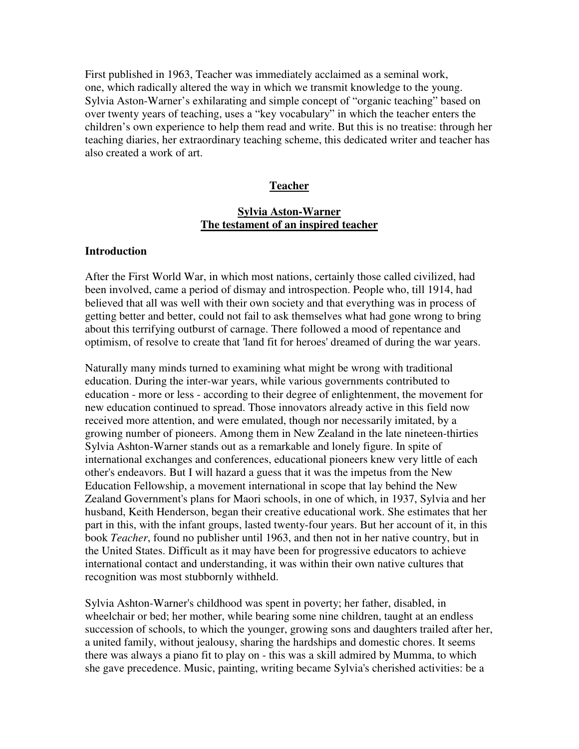First published in 1963, Teacher was immediately acclaimed as a seminal work, one, which radically altered the way in which we transmit knowledge to the young. Sylvia Aston-Warner's exhilarating and simple concept of "organic teaching" based on over twenty years of teaching, uses a "key vocabulary" in which the teacher enters the children's own experience to help them read and write. But this is no treatise: through her teaching diaries, her extraordinary teaching scheme, this dedicated writer and teacher has also created a work of art.

#### **Teacher**

#### **Sylvia Aston-Warner The testament of an inspired teacher**

#### **Introduction**

After the First World War, in which most nations, certainly those called civilized, had been involved, came a period of dismay and introspection. People who, till 1914, had believed that all was well with their own society and that everything was in process of getting better and better, could not fail to ask themselves what had gone wrong to bring about this terrifying outburst of carnage. There followed a mood of repentance and optimism, of resolve to create that 'land fit for heroes' dreamed of during the war years.

Naturally many minds turned to examining what might be wrong with traditional education. During the inter-war years, while various governments contributed to education - more or less - according to their degree of enlightenment, the movement for new education continued to spread. Those innovators already active in this field now received more attention, and were emulated, though nor necessarily imitated, by a growing number of pioneers. Among them in New Zealand in the late nineteen-thirties Sylvia Ashton-Warner stands out as a remarkable and lonely figure. In spite of international exchanges and conferences, educational pioneers knew very little of each other's endeavors. But I will hazard a guess that it was the impetus from the New Education Fellowship, a movement international in scope that lay behind the New Zealand Government's plans for Maori schools, in one of which, in 1937, Sylvia and her husband, Keith Henderson, began their creative educational work. She estimates that her part in this, with the infant groups, lasted twenty-four years. But her account of it, in this book *Teacher*, found no publisher until 1963, and then not in her native country, but in the United States. Difficult as it may have been for progressive educators to achieve international contact and understanding, it was within their own native cultures that recognition was most stubbornly withheld.

Sylvia Ashton-Warner's childhood was spent in poverty; her father, disabled, in wheelchair or bed; her mother, while bearing some nine children, taught at an endless succession of schools, to which the younger, growing sons and daughters trailed after her, a united family, without jealousy, sharing the hardships and domestic chores. It seems there was always a piano fit to play on - this was a skill admired by Mumma, to which she gave precedence. Music, painting, writing became Sylvia's cherished activities: be a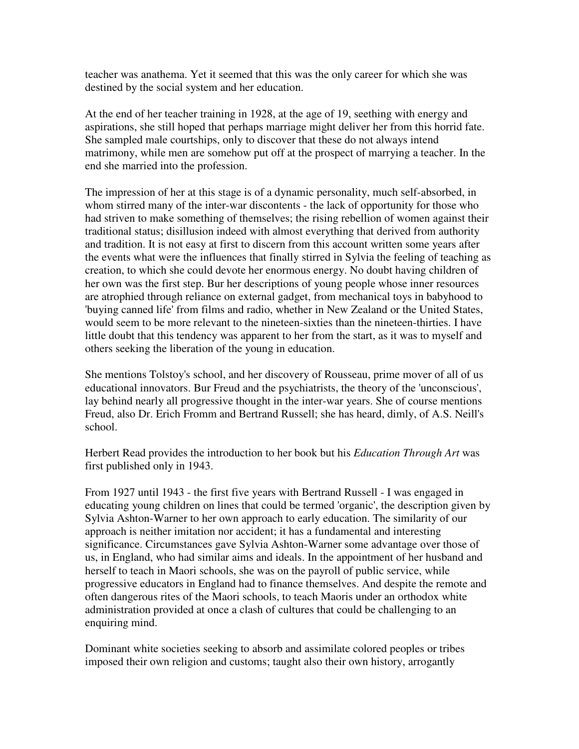teacher was anathema. Yet it seemed that this was the only career for which she was destined by the social system and her education.

At the end of her teacher training in 1928, at the age of 19, seething with energy and aspirations, she still hoped that perhaps marriage might deliver her from this horrid fate. She sampled male courtships, only to discover that these do not always intend matrimony, while men are somehow put off at the prospect of marrying a teacher. In the end she married into the profession.

The impression of her at this stage is of a dynamic personality, much self-absorbed, in whom stirred many of the inter-war discontents - the lack of opportunity for those who had striven to make something of themselves; the rising rebellion of women against their traditional status; disillusion indeed with almost everything that derived from authority and tradition. It is not easy at first to discern from this account written some years after the events what were the influences that finally stirred in Sylvia the feeling of teaching as creation, to which she could devote her enormous energy. No doubt having children of her own was the first step. Bur her descriptions of young people whose inner resources are atrophied through reliance on external gadget, from mechanical toys in babyhood to 'buying canned life' from films and radio, whether in New Zealand or the United States, would seem to be more relevant to the nineteen-sixties than the nineteen-thirties. I have little doubt that this tendency was apparent to her from the start, as it was to myself and others seeking the liberation of the young in education.

She mentions Tolstoy's school, and her discovery of Rousseau, prime mover of all of us educational innovators. Bur Freud and the psychiatrists, the theory of the 'unconscious', lay behind nearly all progressive thought in the inter-war years. She of course mentions Freud, also Dr. Erich Fromm and Bertrand Russell; she has heard, dimly, of A.S. Neill's school.

Herbert Read provides the introduction to her book but his *Education Through Art* was first published only in 1943.

From 1927 until 1943 - the first five years with Bertrand Russell - I was engaged in educating young children on lines that could be termed 'organic', the description given by Sylvia Ashton-Warner to her own approach to early education. The similarity of our approach is neither imitation nor accident; it has a fundamental and interesting significance. Circumstances gave Sylvia Ashton-Warner some advantage over those of us, in England, who had similar aims and ideals. In the appointment of her husband and herself to teach in Maori schools, she was on the payroll of public service, while progressive educators in England had to finance themselves. And despite the remote and often dangerous rites of the Maori schools, to teach Maoris under an orthodox white administration provided at once a clash of cultures that could be challenging to an enquiring mind.

Dominant white societies seeking to absorb and assimilate colored peoples or tribes imposed their own religion and customs; taught also their own history, arrogantly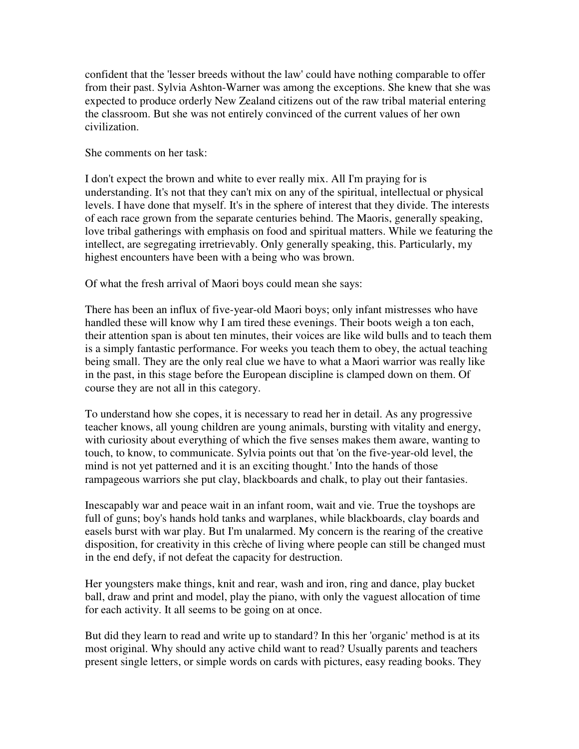confident that the 'lesser breeds without the law' could have nothing comparable to offer from their past. Sylvia Ashton-Warner was among the exceptions. She knew that she was expected to produce orderly New Zealand citizens out of the raw tribal material entering the classroom. But she was not entirely convinced of the current values of her own civilization.

She comments on her task:

I don't expect the brown and white to ever really mix. All I'm praying for is understanding. It's not that they can't mix on any of the spiritual, intellectual or physical levels. I have done that myself. It's in the sphere of interest that they divide. The interests of each race grown from the separate centuries behind. The Maoris, generally speaking, love tribal gatherings with emphasis on food and spiritual matters. While we featuring the intellect, are segregating irretrievably. Only generally speaking, this. Particularly, my highest encounters have been with a being who was brown.

Of what the fresh arrival of Maori boys could mean she says:

There has been an influx of five-year-old Maori boys; only infant mistresses who have handled these will know why I am tired these evenings. Their boots weigh a ton each, their attention span is about ten minutes, their voices are like wild bulls and to teach them is a simply fantastic performance. For weeks you teach them to obey, the actual teaching being small. They are the only real clue we have to what a Maori warrior was really like in the past, in this stage before the European discipline is clamped down on them. Of course they are not all in this category.

To understand how she copes, it is necessary to read her in detail. As any progressive teacher knows, all young children are young animals, bursting with vitality and energy, with curiosity about everything of which the five senses makes them aware, wanting to touch, to know, to communicate. Sylvia points out that 'on the five-year-old level, the mind is not yet patterned and it is an exciting thought.' Into the hands of those rampageous warriors she put clay, blackboards and chalk, to play out their fantasies.

Inescapably war and peace wait in an infant room, wait and vie. True the toyshops are full of guns; boy's hands hold tanks and warplanes, while blackboards, clay boards and easels burst with war play. But I'm unalarmed. My concern is the rearing of the creative disposition, for creativity in this crèche of living where people can still be changed must in the end defy, if not defeat the capacity for destruction.

Her youngsters make things, knit and rear, wash and iron, ring and dance, play bucket ball, draw and print and model, play the piano, with only the vaguest allocation of time for each activity. It all seems to be going on at once.

But did they learn to read and write up to standard? In this her 'organic' method is at its most original. Why should any active child want to read? Usually parents and teachers present single letters, or simple words on cards with pictures, easy reading books. They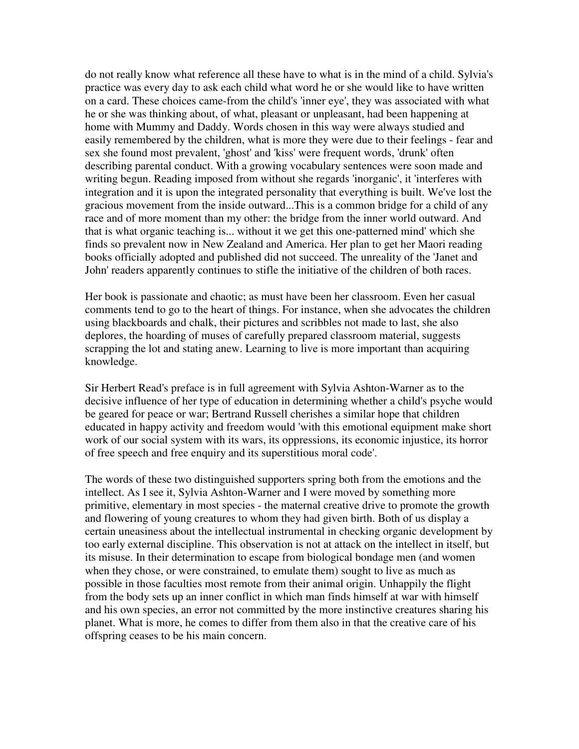do not really know what reference all these have to what is in the mind of a child. Sylvia's practice was every day to ask each child what word he or she would like to have written on a card. These choices came-from the child's 'inner eye', they was associated with what he or she was thinking about, of what, pleasant or unpleasant, had been happening at home with Mummy and Daddy. Words chosen in this way were always studied and easily remembered by the children, what is more they were due to their feelings - fear and sex she found most prevalent, 'ghost' and 'kiss' were frequent words, 'drunk' often describing parental conduct. With a growing vocabulary sentences were soon made and writing begun. Reading imposed from without she regards 'inorganic', it 'interferes with integration and it is upon the integrated personality that everything is built. We've lost the gracious movement from the inside outward...This is a common bridge for a child of any race and of more moment than my other: the bridge from the inner world outward. And that is what organic teaching is... without it we get this one-patterned mind' which she finds so prevalent now in New Zealand and America. Her plan to get her Maori reading books officially adopted and published did not succeed. The unreality of the 'Janet and John' readers apparently continues to stifle the initiative of the children of both races.

Her book is passionate and chaotic; as must have been her classroom. Even her casual comments tend to go to the heart of things. For instance, when she advocates the children using blackboards and chalk, their pictures and scribbles not made to last, she also deplores, the hoarding of muses of carefully prepared classroom material, suggests scrapping the lot and stating anew. Learning to live is more important than acquiring knowledge.

Sir Herbert Read's preface is in full agreement with Sylvia Ashton-Warner as to the decisive influence of her type of education in determining whether a child's psyche would be geared for peace or war; Bertrand Russell cherishes a similar hope that children educated in happy activity and freedom would 'with this emotional equipment make short work of our social system with its wars, its oppressions, its economic injustice, its horror of free speech and free enquiry and its superstitious moral code'.

The words of these two distinguished supporters spring both from the emotions and the intellect. As I see it, Sylvia Ashton-Warner and I were moved by something more primitive, elementary in most species - the maternal creative drive to promote the growth and flowering of young creatures to whom they had given birth. Both of us display a certain uneasiness about the intellectual instrumental in checking organic development by too early external discipline. This observation is not at attack on the intellect in itself, but its misuse. In their determination to escape from biological bondage men (and women when they chose, or were constrained, to emulate them) sought to live as much as possible in those faculties most remote from their animal origin. Unhappily the flight from the body sets up an inner conflict in which man finds himself at war with himself and his own species, an error not committed by the more instinctive creatures sharing his planet. What is more, he comes to differ from them also in that the creative care of his offspring ceases to be his main concern.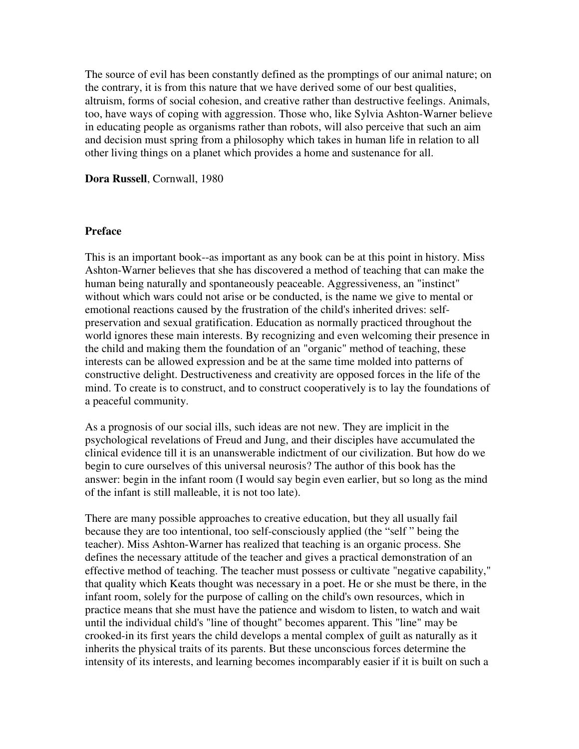The source of evil has been constantly defined as the promptings of our animal nature; on the contrary, it is from this nature that we have derived some of our best qualities, altruism, forms of social cohesion, and creative rather than destructive feelings. Animals, too, have ways of coping with aggression. Those who, like Sylvia Ashton-Warner believe in educating people as organisms rather than robots, will also perceive that such an aim and decision must spring from a philosophy which takes in human life in relation to all other living things on a planet which provides a home and sustenance for all.

**Dora Russell**, Cornwall, 1980

#### **Preface**

This is an important book--as important as any book can be at this point in history. Miss Ashton-Warner believes that she has discovered a method of teaching that can make the human being naturally and spontaneously peaceable. Aggressiveness, an "instinct" without which wars could not arise or be conducted, is the name we give to mental or emotional reactions caused by the frustration of the child's inherited drives: selfpreservation and sexual gratification. Education as normally practiced throughout the world ignores these main interests. By recognizing and even welcoming their presence in the child and making them the foundation of an "organic" method of teaching, these interests can be allowed expression and be at the same time molded into patterns of constructive delight. Destructiveness and creativity are opposed forces in the life of the mind. To create is to construct, and to construct cooperatively is to lay the foundations of a peaceful community.

As a prognosis of our social ills, such ideas are not new. They are implicit in the psychological revelations of Freud and Jung, and their disciples have accumulated the clinical evidence till it is an unanswerable indictment of our civilization. But how do we begin to cure ourselves of this universal neurosis? The author of this book has the answer: begin in the infant room (I would say begin even earlier, but so long as the mind of the infant is still malleable, it is not too late).

There are many possible approaches to creative education, but they all usually fail because they are too intentional, too self-consciously applied (the "self " being the teacher). Miss Ashton-Warner has realized that teaching is an organic process. She defines the necessary attitude of the teacher and gives a practical demonstration of an effective method of teaching. The teacher must possess or cultivate "negative capability," that quality which Keats thought was necessary in a poet. He or she must be there, in the infant room, solely for the purpose of calling on the child's own resources, which in practice means that she must have the patience and wisdom to listen, to watch and wait until the individual child's "line of thought" becomes apparent. This "line" may be crooked-in its first years the child develops a mental complex of guilt as naturally as it inherits the physical traits of its parents. But these unconscious forces determine the intensity of its interests, and learning becomes incomparably easier if it is built on such a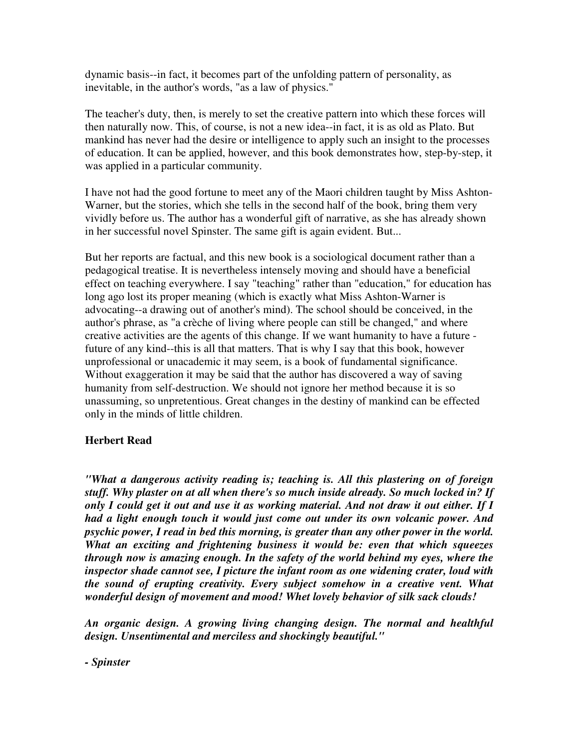dynamic basis--in fact, it becomes part of the unfolding pattern of personality, as inevitable, in the author's words, "as a law of physics."

The teacher's duty, then, is merely to set the creative pattern into which these forces will then naturally now. This, of course, is not a new idea--in fact, it is as old as Plato. But mankind has never had the desire or intelligence to apply such an insight to the processes of education. It can be applied, however, and this book demonstrates how, step-by-step, it was applied in a particular community.

I have not had the good fortune to meet any of the Maori children taught by Miss Ashton-Warner, but the stories, which she tells in the second half of the book, bring them very vividly before us. The author has a wonderful gift of narrative, as she has already shown in her successful novel Spinster. The same gift is again evident. But...

But her reports are factual, and this new book is a sociological document rather than a pedagogical treatise. It is nevertheless intensely moving and should have a beneficial effect on teaching everywhere. I say "teaching" rather than "education," for education has long ago lost its proper meaning (which is exactly what Miss Ashton-Warner is advocating--a drawing out of another's mind). The school should be conceived, in the author's phrase, as "a crèche of living where people can still be changed," and where creative activities are the agents of this change. If we want humanity to have a future future of any kind--this is all that matters. That is why I say that this book, however unprofessional or unacademic it may seem, is a book of fundamental significance. Without exaggeration it may be said that the author has discovered a way of saving humanity from self-destruction. We should not ignore her method because it is so unassuming, so unpretentious. Great changes in the destiny of mankind can be effected only in the minds of little children.

#### **Herbert Read**

*"What a dangerous activity reading is; teaching is. All this plastering on of foreign stuff. Why plaster on at all when there's so much inside already. So much locked in? If only I could get it out and use it as working material. And not draw it out either. If I had a light enough touch it would just come out under its own volcanic power. And psychic power, I read in bed this morning, is greater than any other power in the world. What an exciting and frightening business it would be: even that which squeezes through now is amazing enough. In the safety of the world behind my eyes, where the inspector shade cannot see, I picture the infant room as one widening crater, loud with the sound of erupting creativity. Every subject somehow in a creative vent. What wonderful design of movement and mood! Whet lovely behavior of silk sack clouds!* 

*An organic design. A growing living changing design. The normal and healthful design. Unsentimental and merciless and shockingly beautiful."* 

*- Spinster*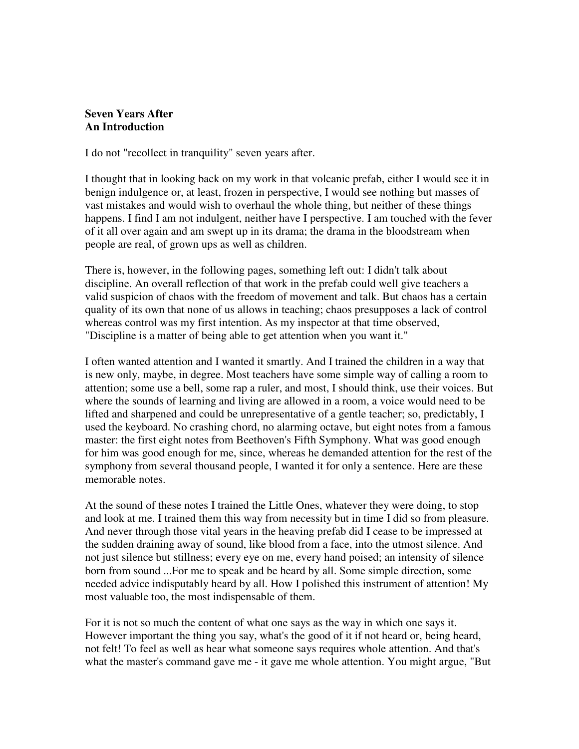#### **Seven Years After An Introduction**

I do not "recollect in tranquility" seven years after.

I thought that in looking back on my work in that volcanic prefab, either I would see it in benign indulgence or, at least, frozen in perspective, I would see nothing but masses of vast mistakes and would wish to overhaul the whole thing, but neither of these things happens. I find I am not indulgent, neither have I perspective. I am touched with the fever of it all over again and am swept up in its drama; the drama in the bloodstream when people are real, of grown ups as well as children.

There is, however, in the following pages, something left out: I didn't talk about discipline. An overall reflection of that work in the prefab could well give teachers a valid suspicion of chaos with the freedom of movement and talk. But chaos has a certain quality of its own that none of us allows in teaching; chaos presupposes a lack of control whereas control was my first intention. As my inspector at that time observed, "Discipline is a matter of being able to get attention when you want it."

I often wanted attention and I wanted it smartly. And I trained the children in a way that is new only, maybe, in degree. Most teachers have some simple way of calling a room to attention; some use a bell, some rap a ruler, and most, I should think, use their voices. But where the sounds of learning and living are allowed in a room, a voice would need to be lifted and sharpened and could be unrepresentative of a gentle teacher; so, predictably, I used the keyboard. No crashing chord, no alarming octave, but eight notes from a famous master: the first eight notes from Beethoven's Fifth Symphony. What was good enough for him was good enough for me, since, whereas he demanded attention for the rest of the symphony from several thousand people, I wanted it for only a sentence. Here are these memorable notes.

At the sound of these notes I trained the Little Ones, whatever they were doing, to stop and look at me. I trained them this way from necessity but in time I did so from pleasure. And never through those vital years in the heaving prefab did I cease to be impressed at the sudden draining away of sound, like blood from a face, into the utmost silence. And not just silence but stillness; every eye on me, every hand poised; an intensity of silence born from sound ...For me to speak and be heard by all. Some simple direction, some needed advice indisputably heard by all. How I polished this instrument of attention! My most valuable too, the most indispensable of them.

For it is not so much the content of what one says as the way in which one says it. However important the thing you say, what's the good of it if not heard or, being heard, not felt! To feel as well as hear what someone says requires whole attention. And that's what the master's command gave me - it gave me whole attention. You might argue, "But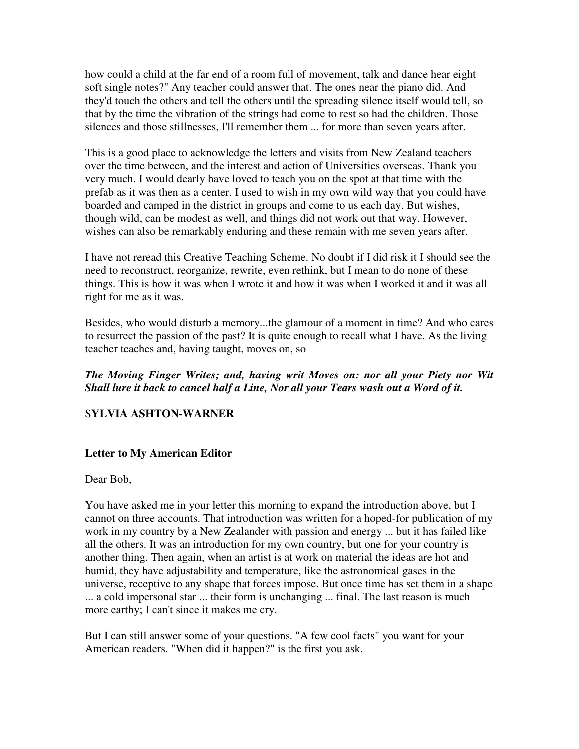how could a child at the far end of a room full of movement, talk and dance hear eight soft single notes?" Any teacher could answer that. The ones near the piano did. And they'd touch the others and tell the others until the spreading silence itself would tell, so that by the time the vibration of the strings had come to rest so had the children. Those silences and those stillnesses, I'll remember them ... for more than seven years after.

This is a good place to acknowledge the letters and visits from New Zealand teachers over the time between, and the interest and action of Universities overseas. Thank you very much. I would dearly have loved to teach you on the spot at that time with the prefab as it was then as a center. I used to wish in my own wild way that you could have boarded and camped in the district in groups and come to us each day. But wishes, though wild, can be modest as well, and things did not work out that way. However, wishes can also be remarkably enduring and these remain with me seven years after.

I have not reread this Creative Teaching Scheme. No doubt if I did risk it I should see the need to reconstruct, reorganize, rewrite, even rethink, but I mean to do none of these things. This is how it was when I wrote it and how it was when I worked it and it was all right for me as it was.

Besides, who would disturb a memory...the glamour of a moment in time? And who cares to resurrect the passion of the past? It is quite enough to recall what I have. As the living teacher teaches and, having taught, moves on, so

# *The Moving Finger Writes; and, having writ Moves on: nor all your Piety nor Wit Shall lure it back to cancel half a Line, Nor all your Tears wash out a Word of it.*

# S**YLVIA ASHTON-WARNER**

# **Letter to My American Editor**

Dear Bob,

You have asked me in your letter this morning to expand the introduction above, but I cannot on three accounts. That introduction was written for a hoped-for publication of my work in my country by a New Zealander with passion and energy ... but it has failed like all the others. It was an introduction for my own country, but one for your country is another thing. Then again, when an artist is at work on material the ideas are hot and humid, they have adjustability and temperature, like the astronomical gases in the universe, receptive to any shape that forces impose. But once time has set them in a shape ... a cold impersonal star ... their form is unchanging ... final. The last reason is much more earthy; I can't since it makes me cry.

But I can still answer some of your questions. "A few cool facts" you want for your American readers. "When did it happen?" is the first you ask.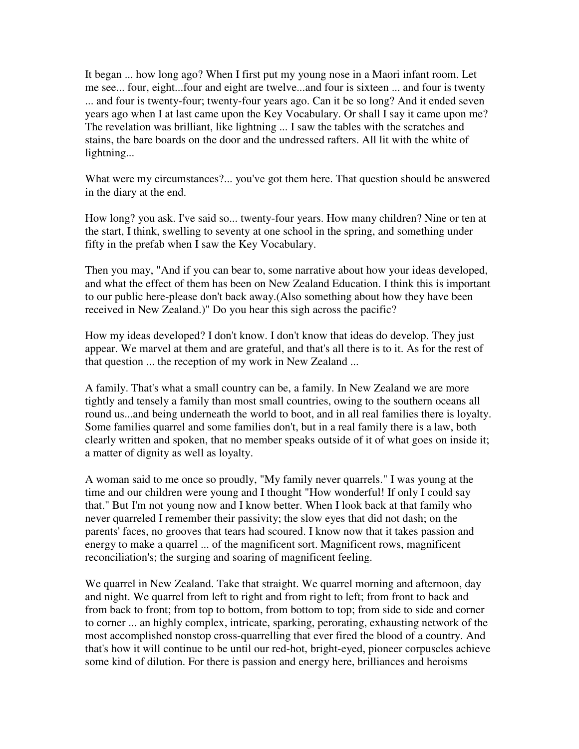It began ... how long ago? When I first put my young nose in a Maori infant room. Let me see... four, eight...four and eight are twelve...and four is sixteen ... and four is twenty ... and four is twenty-four; twenty-four years ago. Can it be so long? And it ended seven years ago when I at last came upon the Key Vocabulary. Or shall I say it came upon me? The revelation was brilliant, like lightning ... I saw the tables with the scratches and stains, the bare boards on the door and the undressed rafters. All lit with the white of lightning...

What were my circumstances?... you've got them here. That question should be answered in the diary at the end.

How long? you ask. I've said so... twenty-four years. How many children? Nine or ten at the start, I think, swelling to seventy at one school in the spring, and something under fifty in the prefab when I saw the Key Vocabulary.

Then you may, "And if you can bear to, some narrative about how your ideas developed, and what the effect of them has been on New Zealand Education. I think this is important to our public here-please don't back away.(Also something about how they have been received in New Zealand.)" Do you hear this sigh across the pacific?

How my ideas developed? I don't know. I don't know that ideas do develop. They just appear. We marvel at them and are grateful, and that's all there is to it. As for the rest of that question ... the reception of my work in New Zealand ...

A family. That's what a small country can be, a family. In New Zealand we are more tightly and tensely a family than most small countries, owing to the southern oceans all round us...and being underneath the world to boot, and in all real families there is loyalty. Some families quarrel and some families don't, but in a real family there is a law, both clearly written and spoken, that no member speaks outside of it of what goes on inside it; a matter of dignity as well as loyalty.

A woman said to me once so proudly, "My family never quarrels." I was young at the time and our children were young and I thought "How wonderful! If only I could say that." But I'm not young now and I know better. When I look back at that family who never quarreled I remember their passivity; the slow eyes that did not dash; on the parents' faces, no grooves that tears had scoured. I know now that it takes passion and energy to make a quarrel ... of the magnificent sort. Magnificent rows, magnificent reconciliation's; the surging and soaring of magnificent feeling.

We quarrel in New Zealand. Take that straight. We quarrel morning and afternoon, day and night. We quarrel from left to right and from right to left; from front to back and from back to front; from top to bottom, from bottom to top; from side to side and corner to corner ... an highly complex, intricate, sparking, perorating, exhausting network of the most accomplished nonstop cross-quarrelling that ever fired the blood of a country. And that's how it will continue to be until our red-hot, bright-eyed, pioneer corpuscles achieve some kind of dilution. For there is passion and energy here, brilliances and heroisms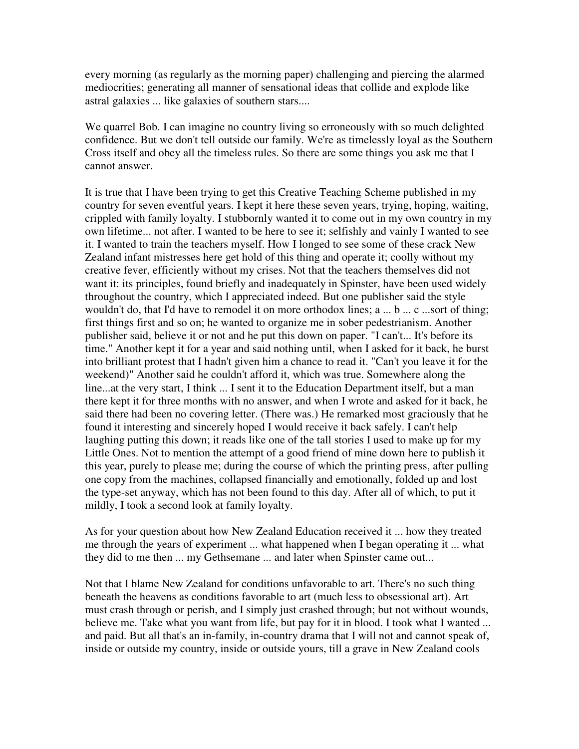every morning (as regularly as the morning paper) challenging and piercing the alarmed mediocrities; generating all manner of sensational ideas that collide and explode like astral galaxies ... like galaxies of southern stars....

We quarrel Bob. I can imagine no country living so erroneously with so much delighted confidence. But we don't tell outside our family. We're as timelessly loyal as the Southern Cross itself and obey all the timeless rules. So there are some things you ask me that I cannot answer.

It is true that I have been trying to get this Creative Teaching Scheme published in my country for seven eventful years. I kept it here these seven years, trying, hoping, waiting, crippled with family loyalty. I stubbornly wanted it to come out in my own country in my own lifetime... not after. I wanted to be here to see it; selfishly and vainly I wanted to see it. I wanted to train the teachers myself. How I longed to see some of these crack New Zealand infant mistresses here get hold of this thing and operate it; coolly without my creative fever, efficiently without my crises. Not that the teachers themselves did not want it: its principles, found briefly and inadequately in Spinster, have been used widely throughout the country, which I appreciated indeed. But one publisher said the style wouldn't do, that I'd have to remodel it on more orthodox lines; a ... b ... c ...sort of thing; first things first and so on; he wanted to organize me in sober pedestrianism. Another publisher said, believe it or not and he put this down on paper. "I can't... It's before its time." Another kept it for a year and said nothing until, when I asked for it back, he burst into brilliant protest that I hadn't given him a chance to read it. "Can't you leave it for the weekend)" Another said he couldn't afford it, which was true. Somewhere along the line...at the very start, I think ... I sent it to the Education Department itself, but a man there kept it for three months with no answer, and when I wrote and asked for it back, he said there had been no covering letter. (There was.) He remarked most graciously that he found it interesting and sincerely hoped I would receive it back safely. I can't help laughing putting this down; it reads like one of the tall stories I used to make up for my Little Ones. Not to mention the attempt of a good friend of mine down here to publish it this year, purely to please me; during the course of which the printing press, after pulling one copy from the machines, collapsed financially and emotionally, folded up and lost the type-set anyway, which has not been found to this day. After all of which, to put it mildly, I took a second look at family loyalty.

As for your question about how New Zealand Education received it ... how they treated me through the years of experiment ... what happened when I began operating it ... what they did to me then ... my Gethsemane ... and later when Spinster came out...

Not that I blame New Zealand for conditions unfavorable to art. There's no such thing beneath the heavens as conditions favorable to art (much less to obsessional art). Art must crash through or perish, and I simply just crashed through; but not without wounds, believe me. Take what you want from life, but pay for it in blood. I took what I wanted ... and paid. But all that's an in-family, in-country drama that I will not and cannot speak of, inside or outside my country, inside or outside yours, till a grave in New Zealand cools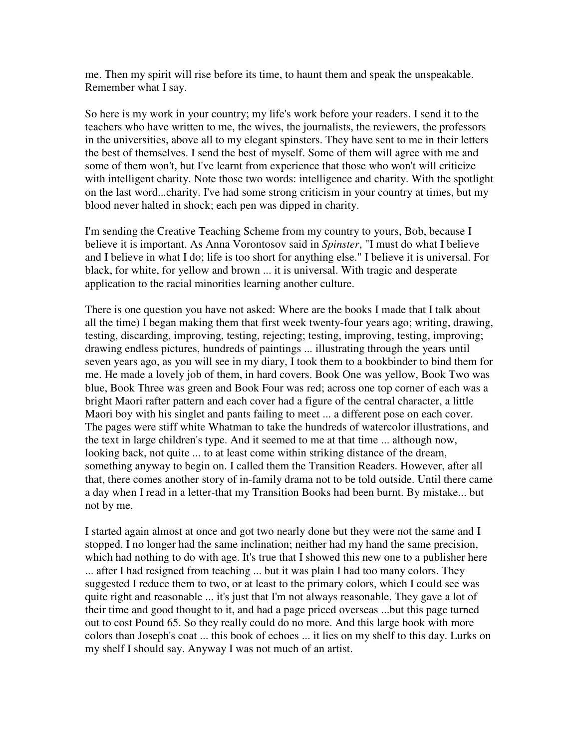me. Then my spirit will rise before its time, to haunt them and speak the unspeakable. Remember what I say.

So here is my work in your country; my life's work before your readers. I send it to the teachers who have written to me, the wives, the journalists, the reviewers, the professors in the universities, above all to my elegant spinsters. They have sent to me in their letters the best of themselves. I send the best of myself. Some of them will agree with me and some of them won't, but I've learnt from experience that those who won't will criticize with intelligent charity. Note those two words: intelligence and charity. With the spotlight on the last word...charity. I've had some strong criticism in your country at times, but my blood never halted in shock; each pen was dipped in charity.

I'm sending the Creative Teaching Scheme from my country to yours, Bob, because I believe it is important. As Anna Vorontosov said in *Spinster*, "I must do what I believe and I believe in what I do; life is too short for anything else." I believe it is universal. For black, for white, for yellow and brown ... it is universal. With tragic and desperate application to the racial minorities learning another culture.

There is one question you have not asked: Where are the books I made that I talk about all the time) I began making them that first week twenty-four years ago; writing, drawing, testing, discarding, improving, testing, rejecting; testing, improving, testing, improving; drawing endless pictures, hundreds of paintings ... illustrating through the years until seven years ago, as you will see in my diary, I took them to a bookbinder to bind them for me. He made a lovely job of them, in hard covers. Book One was yellow, Book Two was blue, Book Three was green and Book Four was red; across one top corner of each was a bright Maori rafter pattern and each cover had a figure of the central character, a little Maori boy with his singlet and pants failing to meet ... a different pose on each cover. The pages were stiff white Whatman to take the hundreds of watercolor illustrations, and the text in large children's type. And it seemed to me at that time ... although now, looking back, not quite ... to at least come within striking distance of the dream, something anyway to begin on. I called them the Transition Readers. However, after all that, there comes another story of in-family drama not to be told outside. Until there came a day when I read in a letter-that my Transition Books had been burnt. By mistake... but not by me.

I started again almost at once and got two nearly done but they were not the same and I stopped. I no longer had the same inclination; neither had my hand the same precision, which had nothing to do with age. It's true that I showed this new one to a publisher here ... after I had resigned from teaching ... but it was plain I had too many colors. They suggested I reduce them to two, or at least to the primary colors, which I could see was quite right and reasonable ... it's just that I'm not always reasonable. They gave a lot of their time and good thought to it, and had a page priced overseas ...but this page turned out to cost Pound 65. So they really could do no more. And this large book with more colors than Joseph's coat ... this book of echoes ... it lies on my shelf to this day. Lurks on my shelf I should say. Anyway I was not much of an artist.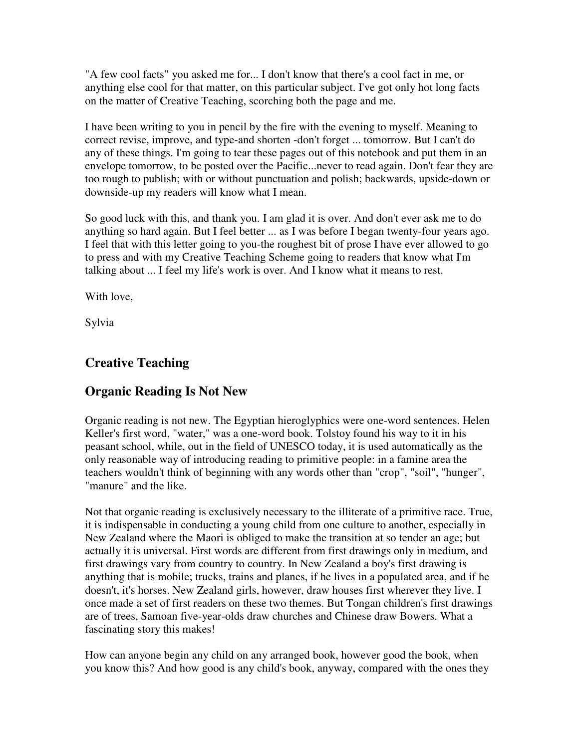"A few cool facts" you asked me for... I don't know that there's a cool fact in me, or anything else cool for that matter, on this particular subject. I've got only hot long facts on the matter of Creative Teaching, scorching both the page and me.

I have been writing to you in pencil by the fire with the evening to myself. Meaning to correct revise, improve, and type-and shorten -don't forget ... tomorrow. But I can't do any of these things. I'm going to tear these pages out of this notebook and put them in an envelope tomorrow, to be posted over the Pacific...never to read again. Don't fear they are too rough to publish; with or without punctuation and polish; backwards, upside-down or downside-up my readers will know what I mean.

So good luck with this, and thank you. I am glad it is over. And don't ever ask me to do anything so hard again. But I feel better ... as I was before I began twenty-four years ago. I feel that with this letter going to you-the roughest bit of prose I have ever allowed to go to press and with my Creative Teaching Scheme going to readers that know what I'm talking about ... I feel my life's work is over. And I know what it means to rest.

With love,

Sylvia

# **Creative Teaching**

# **Organic Reading Is Not New**

Organic reading is not new. The Egyptian hieroglyphics were one-word sentences. Helen Keller's first word, "water," was a one-word book. Tolstoy found his way to it in his peasant school, while, out in the field of UNESCO today, it is used automatically as the only reasonable way of introducing reading to primitive people: in a famine area the teachers wouldn't think of beginning with any words other than "crop", "soil", "hunger", "manure" and the like.

Not that organic reading is exclusively necessary to the illiterate of a primitive race. True, it is indispensable in conducting a young child from one culture to another, especially in New Zealand where the Maori is obliged to make the transition at so tender an age; but actually it is universal. First words are different from first drawings only in medium, and first drawings vary from country to country. In New Zealand a boy's first drawing is anything that is mobile; trucks, trains and planes, if he lives in a populated area, and if he doesn't, it's horses. New Zealand girls, however, draw houses first wherever they live. I once made a set of first readers on these two themes. But Tongan children's first drawings are of trees, Samoan five-year-olds draw churches and Chinese draw Bowers. What a fascinating story this makes!

How can anyone begin any child on any arranged book, however good the book, when you know this? And how good is any child's book, anyway, compared with the ones they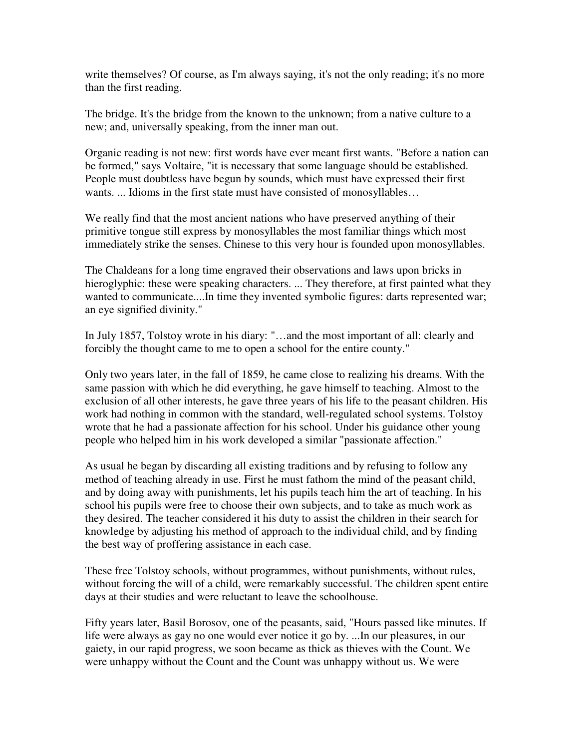write themselves? Of course, as I'm always saying, it's not the only reading; it's no more than the first reading.

The bridge. It's the bridge from the known to the unknown; from a native culture to a new; and, universally speaking, from the inner man out.

Organic reading is not new: first words have ever meant first wants. "Before a nation can be formed," says Voltaire, "it is necessary that some language should be established. People must doubtless have begun by sounds, which must have expressed their first wants. ... Idioms in the first state must have consisted of monosyllables...

We really find that the most ancient nations who have preserved anything of their primitive tongue still express by monosyllables the most familiar things which most immediately strike the senses. Chinese to this very hour is founded upon monosyllables.

The Chaldeans for a long time engraved their observations and laws upon bricks in hieroglyphic: these were speaking characters. ... They therefore, at first painted what they wanted to communicate....In time they invented symbolic figures: darts represented war; an eye signified divinity."

In July 1857, Tolstoy wrote in his diary: "…and the most important of all: clearly and forcibly the thought came to me to open a school for the entire county."

Only two years later, in the fall of 1859, he came close to realizing his dreams. With the same passion with which he did everything, he gave himself to teaching. Almost to the exclusion of all other interests, he gave three years of his life to the peasant children. His work had nothing in common with the standard, well-regulated school systems. Tolstoy wrote that he had a passionate affection for his school. Under his guidance other young people who helped him in his work developed a similar "passionate affection."

As usual he began by discarding all existing traditions and by refusing to follow any method of teaching already in use. First he must fathom the mind of the peasant child, and by doing away with punishments, let his pupils teach him the art of teaching. In his school his pupils were free to choose their own subjects, and to take as much work as they desired. The teacher considered it his duty to assist the children in their search for knowledge by adjusting his method of approach to the individual child, and by finding the best way of proffering assistance in each case.

These free Tolstoy schools, without programmes, without punishments, without rules, without forcing the will of a child, were remarkably successful. The children spent entire days at their studies and were reluctant to leave the schoolhouse.

Fifty years later, Basil Borosov, one of the peasants, said, "Hours passed like minutes. If life were always as gay no one would ever notice it go by. ...In our pleasures, in our gaiety, in our rapid progress, we soon became as thick as thieves with the Count. We were unhappy without the Count and the Count was unhappy without us. We were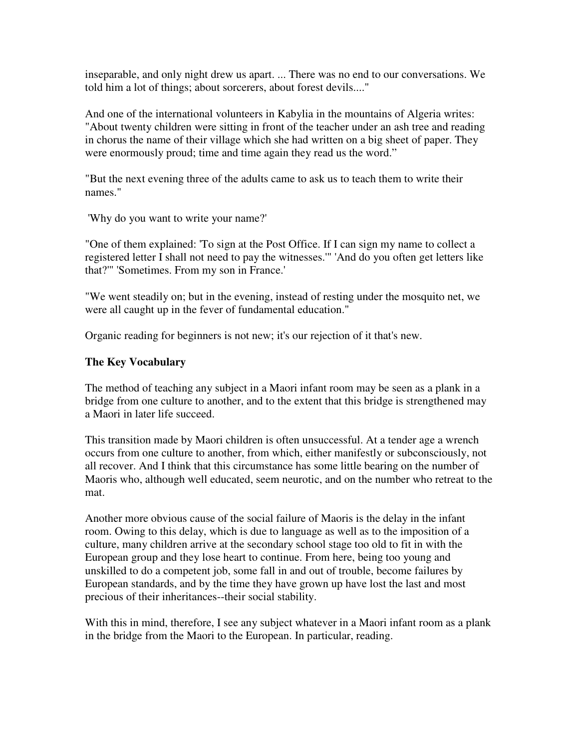inseparable, and only night drew us apart. ... There was no end to our conversations. We told him a lot of things; about sorcerers, about forest devils...."

And one of the international volunteers in Kabylia in the mountains of Algeria writes: "About twenty children were sitting in front of the teacher under an ash tree and reading in chorus the name of their village which she had written on a big sheet of paper. They were enormously proud; time and time again they read us the word."

"But the next evening three of the adults came to ask us to teach them to write their names."

'Why do you want to write your name?'

"One of them explained: 'To sign at the Post Office. If I can sign my name to collect a registered letter I shall not need to pay the witnesses.'" 'And do you often get letters like that?'" 'Sometimes. From my son in France.'

"We went steadily on; but in the evening, instead of resting under the mosquito net, we were all caught up in the fever of fundamental education."

Organic reading for beginners is not new; it's our rejection of it that's new.

# **The Key Vocabulary**

The method of teaching any subject in a Maori infant room may be seen as a plank in a bridge from one culture to another, and to the extent that this bridge is strengthened may a Maori in later life succeed.

This transition made by Maori children is often unsuccessful. At a tender age a wrench occurs from one culture to another, from which, either manifestly or subconsciously, not all recover. And I think that this circumstance has some little bearing on the number of Maoris who, although well educated, seem neurotic, and on the number who retreat to the mat.

Another more obvious cause of the social failure of Maoris is the delay in the infant room. Owing to this delay, which is due to language as well as to the imposition of a culture, many children arrive at the secondary school stage too old to fit in with the European group and they lose heart to continue. From here, being too young and unskilled to do a competent job, some fall in and out of trouble, become failures by European standards, and by the time they have grown up have lost the last and most precious of their inheritances--their social stability.

With this in mind, therefore, I see any subject whatever in a Maori infant room as a plank in the bridge from the Maori to the European. In particular, reading.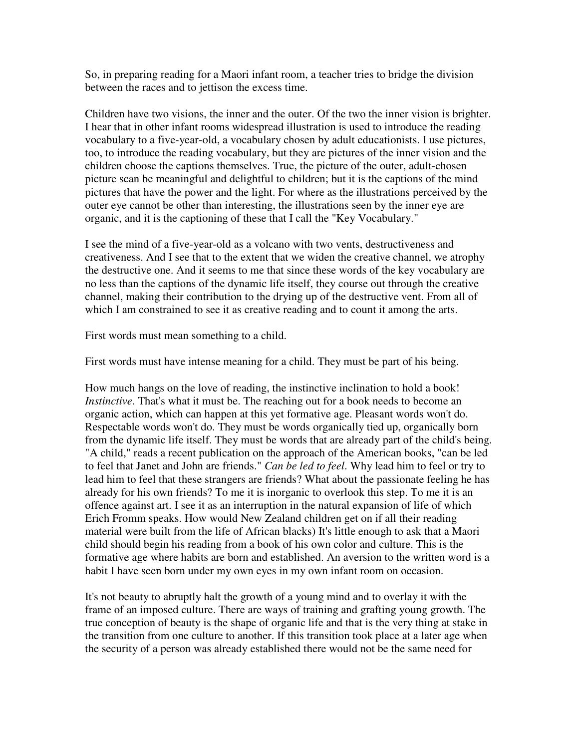So, in preparing reading for a Maori infant room, a teacher tries to bridge the division between the races and to jettison the excess time.

Children have two visions, the inner and the outer. Of the two the inner vision is brighter. I hear that in other infant rooms widespread illustration is used to introduce the reading vocabulary to a five-year-old, a vocabulary chosen by adult educationists. I use pictures, too, to introduce the reading vocabulary, but they are pictures of the inner vision and the children choose the captions themselves. True, the picture of the outer, adult-chosen picture scan be meaningful and delightful to children; but it is the captions of the mind pictures that have the power and the light. For where as the illustrations perceived by the outer eye cannot be other than interesting, the illustrations seen by the inner eye are organic, and it is the captioning of these that I call the "Key Vocabulary."

I see the mind of a five-year-old as a volcano with two vents, destructiveness and creativeness. And I see that to the extent that we widen the creative channel, we atrophy the destructive one. And it seems to me that since these words of the key vocabulary are no less than the captions of the dynamic life itself, they course out through the creative channel, making their contribution to the drying up of the destructive vent. From all of which I am constrained to see it as creative reading and to count it among the arts.

First words must mean something to a child.

First words must have intense meaning for a child. They must be part of his being.

How much hangs on the love of reading, the instinctive inclination to hold a book! *Instinctive*. That's what it must be. The reaching out for a book needs to become an organic action, which can happen at this yet formative age. Pleasant words won't do. Respectable words won't do. They must be words organically tied up, organically born from the dynamic life itself. They must be words that are already part of the child's being. "A child," reads a recent publication on the approach of the American books, "can be led to feel that Janet and John are friends." *Can be led to feel*. Why lead him to feel or try to lead him to feel that these strangers are friends? What about the passionate feeling he has already for his own friends? To me it is inorganic to overlook this step. To me it is an offence against art. I see it as an interruption in the natural expansion of life of which Erich Fromm speaks. How would New Zealand children get on if all their reading material were built from the life of African blacks) It's little enough to ask that a Maori child should begin his reading from a book of his own color and culture. This is the formative age where habits are born and established. An aversion to the written word is a habit I have seen born under my own eyes in my own infant room on occasion.

It's not beauty to abruptly halt the growth of a young mind and to overlay it with the frame of an imposed culture. There are ways of training and grafting young growth. The true conception of beauty is the shape of organic life and that is the very thing at stake in the transition from one culture to another. If this transition took place at a later age when the security of a person was already established there would not be the same need for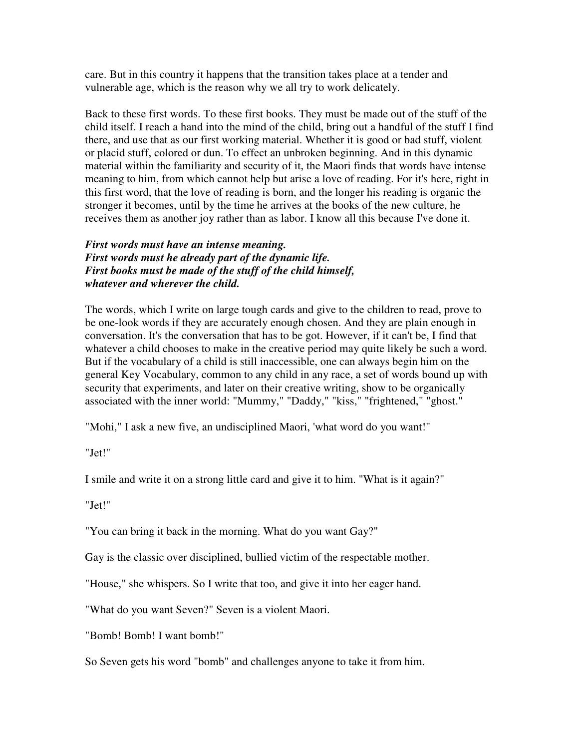care. But in this country it happens that the transition takes place at a tender and vulnerable age, which is the reason why we all try to work delicately.

Back to these first words. To these first books. They must be made out of the stuff of the child itself. I reach a hand into the mind of the child, bring out a handful of the stuff I find there, and use that as our first working material. Whether it is good or bad stuff, violent or placid stuff, colored or dun. To effect an unbroken beginning. And in this dynamic material within the familiarity and security of it, the Maori finds that words have intense meaning to him, from which cannot help but arise a love of reading. For it's here, right in this first word, that the love of reading is born, and the longer his reading is organic the stronger it becomes, until by the time he arrives at the books of the new culture, he receives them as another joy rather than as labor. I know all this because I've done it.

#### *First words must have an intense meaning. First words must he already part of the dynamic life. First books must be made of the stuff of the child himself, whatever and wherever the child.*

The words, which I write on large tough cards and give to the children to read, prove to be one-look words if they are accurately enough chosen. And they are plain enough in conversation. It's the conversation that has to be got. However, if it can't be, I find that whatever a child chooses to make in the creative period may quite likely be such a word. But if the vocabulary of a child is still inaccessible, one can always begin him on the general Key Vocabulary, common to any child in any race, a set of words bound up with security that experiments, and later on their creative writing, show to be organically associated with the inner world: "Mummy," "Daddy," "kiss," "frightened," "ghost."

"Mohi," I ask a new five, an undisciplined Maori, 'what word do you want!"

"Jet!"

I smile and write it on a strong little card and give it to him. "What is it again?"

"Jet!"

"You can bring it back in the morning. What do you want Gay?"

Gay is the classic over disciplined, bullied victim of the respectable mother.

"House," she whispers. So I write that too, and give it into her eager hand.

"What do you want Seven?" Seven is a violent Maori.

"Bomb! Bomb! I want bomb!"

So Seven gets his word "bomb" and challenges anyone to take it from him.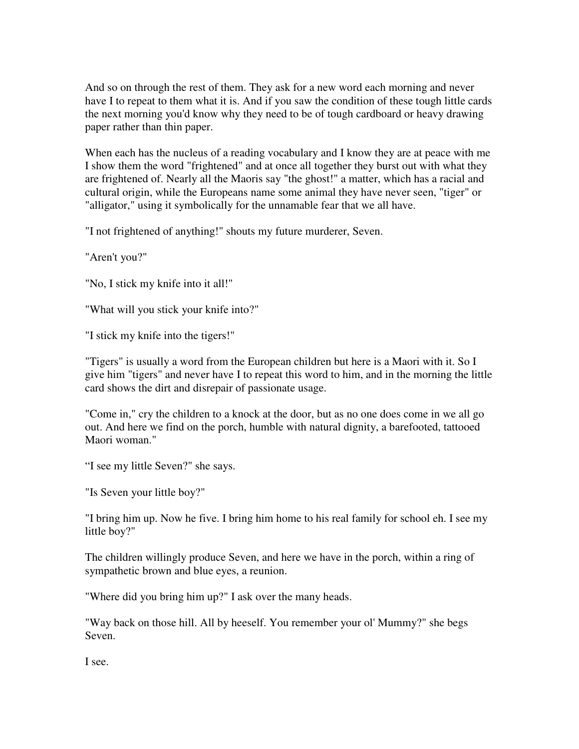And so on through the rest of them. They ask for a new word each morning and never have I to repeat to them what it is. And if you saw the condition of these tough little cards the next morning you'd know why they need to be of tough cardboard or heavy drawing paper rather than thin paper.

When each has the nucleus of a reading vocabulary and I know they are at peace with me I show them the word "frightened" and at once all together they burst out with what they are frightened of. Nearly all the Maoris say "the ghost!" a matter, which has a racial and cultural origin, while the Europeans name some animal they have never seen, "tiger" or "alligator," using it symbolically for the unnamable fear that we all have.

"I not frightened of anything!" shouts my future murderer, Seven.

"Aren't you?"

"No, I stick my knife into it all!"

"What will you stick your knife into?"

"I stick my knife into the tigers!"

"Tigers" is usually a word from the European children but here is a Maori with it. So I give him "tigers" and never have I to repeat this word to him, and in the morning the little card shows the dirt and disrepair of passionate usage.

"Come in," cry the children to a knock at the door, but as no one does come in we all go out. And here we find on the porch, humble with natural dignity, a barefooted, tattooed Maori woman."

"I see my little Seven?" she says.

"Is Seven your little boy?"

"I bring him up. Now he five. I bring him home to his real family for school eh. I see my little boy?"

The children willingly produce Seven, and here we have in the porch, within a ring of sympathetic brown and blue eyes, a reunion.

"Where did you bring him up?" I ask over the many heads.

"Way back on those hill. All by heeself. You remember your ol' Mummy?" she begs Seven.

I see.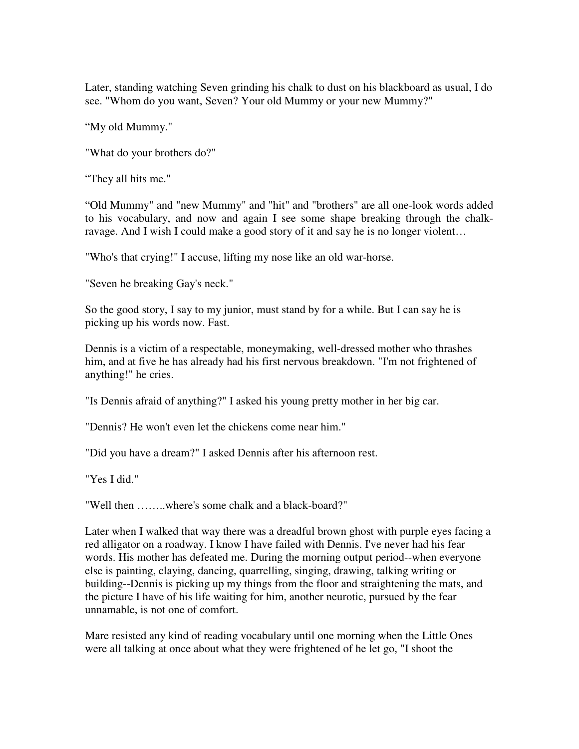Later, standing watching Seven grinding his chalk to dust on his blackboard as usual, I do see. "Whom do you want, Seven? Your old Mummy or your new Mummy?"

"My old Mummy."

"What do your brothers do?"

"They all hits me."

"Old Mummy" and "new Mummy" and "hit" and "brothers" are all one-look words added to his vocabulary, and now and again I see some shape breaking through the chalkravage. And I wish I could make a good story of it and say he is no longer violent…

"Who's that crying!" I accuse, lifting my nose like an old war-horse.

"Seven he breaking Gay's neck."

So the good story, I say to my junior, must stand by for a while. But I can say he is picking up his words now. Fast.

Dennis is a victim of a respectable, moneymaking, well-dressed mother who thrashes him, and at five he has already had his first nervous breakdown. "I'm not frightened of anything!" he cries.

"Is Dennis afraid of anything?" I asked his young pretty mother in her big car.

"Dennis? He won't even let the chickens come near him."

"Did you have a dream?" I asked Dennis after his afternoon rest.

"Yes I did."

"Well then ……..where's some chalk and a black-board?"

Later when I walked that way there was a dreadful brown ghost with purple eyes facing a red alligator on a roadway. I know I have failed with Dennis. I've never had his fear words. His mother has defeated me. During the morning output period--when everyone else is painting, claying, dancing, quarrelling, singing, drawing, talking writing or building--Dennis is picking up my things from the floor and straightening the mats, and the picture I have of his life waiting for him, another neurotic, pursued by the fear unnamable, is not one of comfort.

Mare resisted any kind of reading vocabulary until one morning when the Little Ones were all talking at once about what they were frightened of he let go, "I shoot the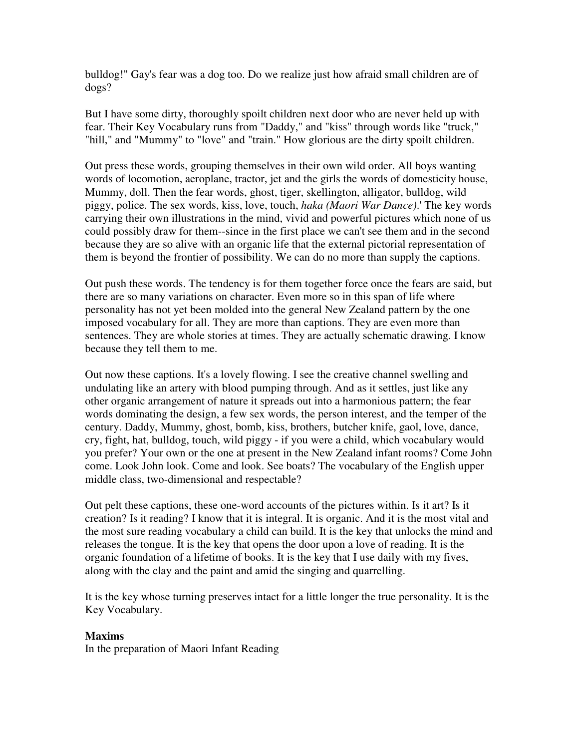bulldog!" Gay's fear was a dog too. Do we realize just how afraid small children are of dogs?

But I have some dirty, thoroughly spoilt children next door who are never held up with fear. Their Key Vocabulary runs from "Daddy," and "kiss" through words like "truck," "hill," and "Mummy" to "love" and "train." How glorious are the dirty spoilt children.

Out press these words, grouping themselves in their own wild order. All boys wanting words of locomotion, aeroplane, tractor, jet and the girls the words of domesticity house, Mummy, doll. Then the fear words, ghost, tiger, skellington, alligator, bulldog, wild piggy, police. The sex words, kiss, love, touch, *haka (Maori War Dance)*.' The key words carrying their own illustrations in the mind, vivid and powerful pictures which none of us could possibly draw for them--since in the first place we can't see them and in the second because they are so alive with an organic life that the external pictorial representation of them is beyond the frontier of possibility. We can do no more than supply the captions.

Out push these words. The tendency is for them together force once the fears are said, but there are so many variations on character. Even more so in this span of life where personality has not yet been molded into the general New Zealand pattern by the one imposed vocabulary for all. They are more than captions. They are even more than sentences. They are whole stories at times. They are actually schematic drawing. I know because they tell them to me.

Out now these captions. It's a lovely flowing. I see the creative channel swelling and undulating like an artery with blood pumping through. And as it settles, just like any other organic arrangement of nature it spreads out into a harmonious pattern; the fear words dominating the design, a few sex words, the person interest, and the temper of the century. Daddy, Mummy, ghost, bomb, kiss, brothers, butcher knife, gaol, love, dance, cry, fight, hat, bulldog, touch, wild piggy - if you were a child, which vocabulary would you prefer? Your own or the one at present in the New Zealand infant rooms? Come John come. Look John look. Come and look. See boats? The vocabulary of the English upper middle class, two-dimensional and respectable?

Out pelt these captions, these one-word accounts of the pictures within. Is it art? Is it creation? Is it reading? I know that it is integral. It is organic. And it is the most vital and the most sure reading vocabulary a child can build. It is the key that unlocks the mind and releases the tongue. It is the key that opens the door upon a love of reading. It is the organic foundation of a lifetime of books. It is the key that I use daily with my fives, along with the clay and the paint and amid the singing and quarrelling.

It is the key whose turning preserves intact for a little longer the true personality. It is the Key Vocabulary.

#### **Maxims**

In the preparation of Maori Infant Reading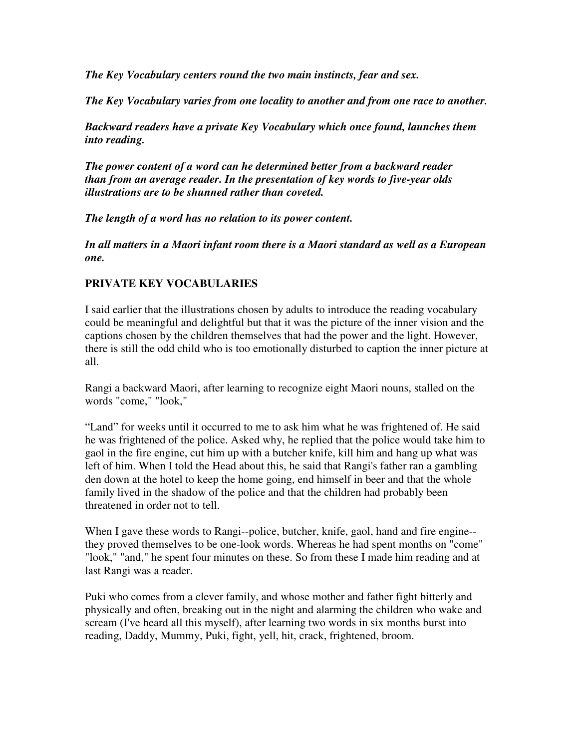*The Key Vocabulary centers round the two main instincts, fear and sex.* 

*The Key Vocabulary varies from one locality to another and from one race to another.* 

*Backward readers have a private Key Vocabulary which once found, launches them into reading.* 

*The power content of a word can he determined better from a backward reader than from an average reader. In the presentation of key words to five-year olds illustrations are to be shunned rather than coveted.* 

*The length of a word has no relation to its power content.* 

*In all matters in a Maori infant room there is a Maori standard as well as a European one.*

# **PRIVATE KEY VOCABULARIES**

I said earlier that the illustrations chosen by adults to introduce the reading vocabulary could be meaningful and delightful but that it was the picture of the inner vision and the captions chosen by the children themselves that had the power and the light. However, there is still the odd child who is too emotionally disturbed to caption the inner picture at all.

Rangi a backward Maori, after learning to recognize eight Maori nouns, stalled on the words "come," "look,"

"Land" for weeks until it occurred to me to ask him what he was frightened of. He said he was frightened of the police. Asked why, he replied that the police would take him to gaol in the fire engine, cut him up with a butcher knife, kill him and hang up what was left of him. When I told the Head about this, he said that Rangi's father ran a gambling den down at the hotel to keep the home going, end himself in beer and that the whole family lived in the shadow of the police and that the children had probably been threatened in order not to tell.

When I gave these words to Rangi--police, butcher, knife, gaol, hand and fire engine-they proved themselves to be one-look words. Whereas he had spent months on "come" "look," "and," he spent four minutes on these. So from these I made him reading and at last Rangi was a reader.

Puki who comes from a clever family, and whose mother and father fight bitterly and physically and often, breaking out in the night and alarming the children who wake and scream (I've heard all this myself), after learning two words in six months burst into reading, Daddy, Mummy, Puki, fight, yell, hit, crack, frightened, broom.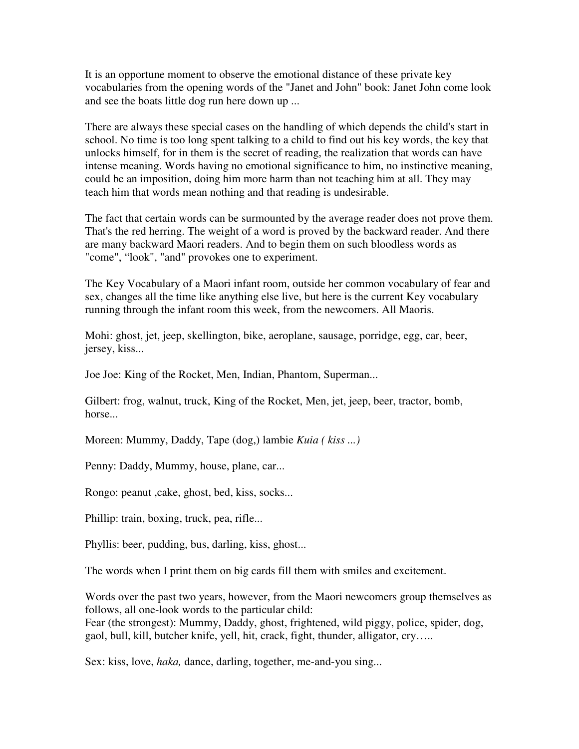It is an opportune moment to observe the emotional distance of these private key vocabularies from the opening words of the "Janet and John" book: Janet John come look and see the boats little dog run here down up ...

There are always these special cases on the handling of which depends the child's start in school. No time is too long spent talking to a child to find out his key words, the key that unlocks himself, for in them is the secret of reading, the realization that words can have intense meaning. Words having no emotional significance to him, no instinctive meaning, could be an imposition, doing him more harm than not teaching him at all. They may teach him that words mean nothing and that reading is undesirable.

The fact that certain words can be surmounted by the average reader does not prove them. That's the red herring. The weight of a word is proved by the backward reader. And there are many backward Maori readers. And to begin them on such bloodless words as "come", "look", "and" provokes one to experiment.

The Key Vocabulary of a Maori infant room, outside her common vocabulary of fear and sex, changes all the time like anything else live, but here is the current Key vocabulary running through the infant room this week, from the newcomers. All Maoris.

Mohi: ghost, jet, jeep, skellington, bike, aeroplane, sausage, porridge, egg, car, beer, jersey, kiss...

Joe Joe: King of the Rocket, Men, Indian, Phantom, Superman...

Gilbert: frog, walnut, truck, King of the Rocket, Men, jet, jeep, beer, tractor, bomb, horse...

Moreen: Mummy, Daddy, Tape (dog,) lambie *Kuia ( kiss ...)*

Penny: Daddy, Mummy, house, plane, car...

Rongo: peanut ,cake, ghost, bed, kiss, socks...

Phillip: train, boxing, truck, pea, rifle...

Phyllis: beer, pudding, bus, darling, kiss, ghost...

The words when I print them on big cards fill them with smiles and excitement.

Words over the past two years, however, from the Maori newcomers group themselves as follows, all one-look words to the particular child:

Fear (the strongest): Mummy, Daddy, ghost, frightened, wild piggy, police, spider, dog, gaol, bull, kill, butcher knife, yell, hit, crack, fight, thunder, alligator, cry…..

Sex: kiss, love, *haka,* dance, darling, together, me-and-you sing...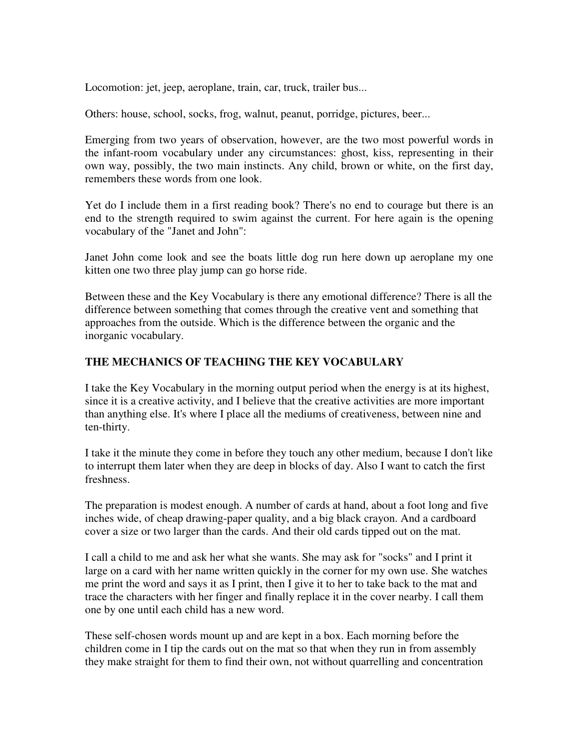Locomotion: jet, jeep, aeroplane, train, car, truck, trailer bus...

Others: house, school, socks, frog, walnut, peanut, porridge, pictures, beer...

Emerging from two years of observation, however, are the two most powerful words in the infant-room vocabulary under any circumstances: ghost, kiss, representing in their own way, possibly, the two main instincts. Any child, brown or white, on the first day, remembers these words from one look.

Yet do I include them in a first reading book? There's no end to courage but there is an end to the strength required to swim against the current. For here again is the opening vocabulary of the "Janet and John":

Janet John come look and see the boats little dog run here down up aeroplane my one kitten one two three play jump can go horse ride.

Between these and the Key Vocabulary is there any emotional difference? There is all the difference between something that comes through the creative vent and something that approaches from the outside. Which is the difference between the organic and the inorganic vocabulary.

# **THE MECHANICS OF TEACHING THE KEY VOCABULARY**

I take the Key Vocabulary in the morning output period when the energy is at its highest, since it is a creative activity, and I believe that the creative activities are more important than anything else. It's where I place all the mediums of creativeness, between nine and ten-thirty.

I take it the minute they come in before they touch any other medium, because I don't like to interrupt them later when they are deep in blocks of day. Also I want to catch the first freshness.

The preparation is modest enough. A number of cards at hand, about a foot long and five inches wide, of cheap drawing-paper quality, and a big black crayon. And a cardboard cover a size or two larger than the cards. And their old cards tipped out on the mat.

I call a child to me and ask her what she wants. She may ask for "socks" and I print it large on a card with her name written quickly in the corner for my own use. She watches me print the word and says it as I print, then I give it to her to take back to the mat and trace the characters with her finger and finally replace it in the cover nearby. I call them one by one until each child has a new word.

These self-chosen words mount up and are kept in a box. Each morning before the children come in I tip the cards out on the mat so that when they run in from assembly they make straight for them to find their own, not without quarrelling and concentration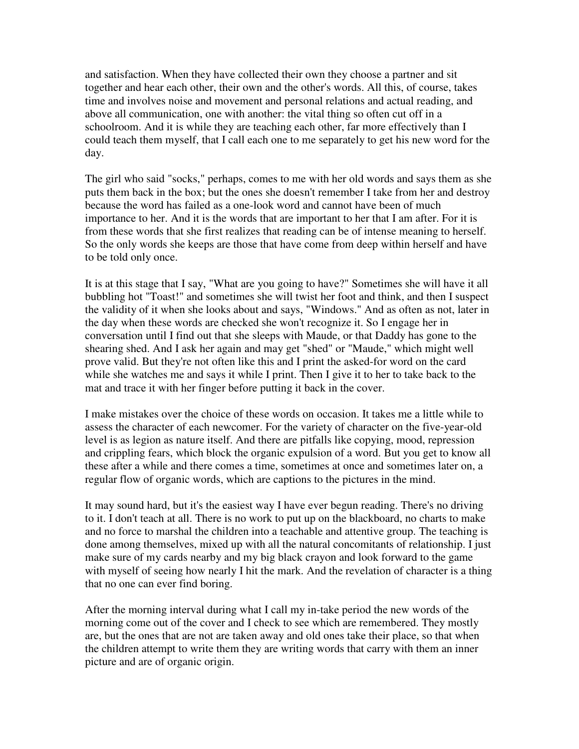and satisfaction. When they have collected their own they choose a partner and sit together and hear each other, their own and the other's words. All this, of course, takes time and involves noise and movement and personal relations and actual reading, and above all communication, one with another: the vital thing so often cut off in a schoolroom. And it is while they are teaching each other, far more effectively than I could teach them myself, that I call each one to me separately to get his new word for the day.

The girl who said "socks," perhaps, comes to me with her old words and says them as she puts them back in the box; but the ones she doesn't remember I take from her and destroy because the word has failed as a one-look word and cannot have been of much importance to her. And it is the words that are important to her that I am after. For it is from these words that she first realizes that reading can be of intense meaning to herself. So the only words she keeps are those that have come from deep within herself and have to be told only once.

It is at this stage that I say, "What are you going to have?" Sometimes she will have it all bubbling hot "Toast!" and sometimes she will twist her foot and think, and then I suspect the validity of it when she looks about and says, "Windows." And as often as not, later in the day when these words are checked she won't recognize it. So I engage her in conversation until I find out that she sleeps with Maude, or that Daddy has gone to the shearing shed. And I ask her again and may get "shed" or "Maude," which might well prove valid. But they're not often like this and I print the asked-for word on the card while she watches me and says it while I print. Then I give it to her to take back to the mat and trace it with her finger before putting it back in the cover.

I make mistakes over the choice of these words on occasion. It takes me a little while to assess the character of each newcomer. For the variety of character on the five-year-old level is as legion as nature itself. And there are pitfalls like copying, mood, repression and crippling fears, which block the organic expulsion of a word. But you get to know all these after a while and there comes a time, sometimes at once and sometimes later on, a regular flow of organic words, which are captions to the pictures in the mind.

It may sound hard, but it's the easiest way I have ever begun reading. There's no driving to it. I don't teach at all. There is no work to put up on the blackboard, no charts to make and no force to marshal the children into a teachable and attentive group. The teaching is done among themselves, mixed up with all the natural concomitants of relationship. I just make sure of my cards nearby and my big black crayon and look forward to the game with myself of seeing how nearly I hit the mark. And the revelation of character is a thing that no one can ever find boring.

After the morning interval during what I call my in-take period the new words of the morning come out of the cover and I check to see which are remembered. They mostly are, but the ones that are not are taken away and old ones take their place, so that when the children attempt to write them they are writing words that carry with them an inner picture and are of organic origin.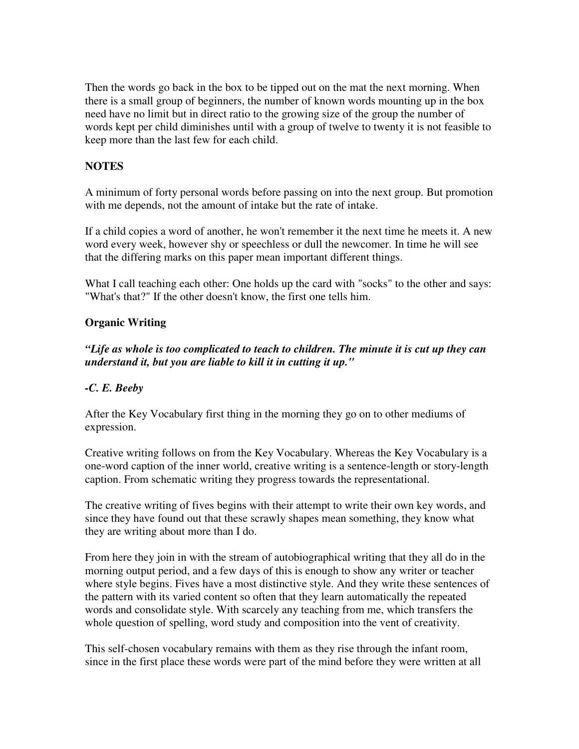Then the words go back in the box to be tipped out on the mat the next morning. When there is a small group of beginners, the number of known words mounting up in the box need have no limit but in direct ratio to the growing size of the group the number of words kept per child diminishes until with a group of twelve to twenty it is not feasible to keep more than the last few for each child.

# **NOTES**

A minimum of forty personal words before passing on into the next group. But promotion with me depends, not the amount of intake but the rate of intake.

If a child copies a word of another, he won't remember it the next time he meets it. A new word every week, however shy or speechless or dull the newcomer. In time he will see that the differing marks on this paper mean important different things.

What I call teaching each other: One holds up the card with "socks" to the other and says: "What's that?" If the other doesn't know, the first one tells him.

# **Organic Writing**

*"Life as whole is too complicated to teach to children. The minute it is cut up they can understand it, but you are liable to kill it in cutting it up."* 

# *-C. E. Beeby*

After the Key Vocabulary first thing in the morning they go on to other mediums of expression.

Creative writing follows on from the Key Vocabulary. Whereas the Key Vocabulary is a one-word caption of the inner world, creative writing is a sentence-length or story-length caption. From schematic writing they progress towards the representational.

The creative writing of fives begins with their attempt to write their own key words, and since they have found out that these scrawly shapes mean something, they know what they are writing about more than I do.

From here they join in with the stream of autobiographical writing that they all do in the morning output period, and a few days of this is enough to show any writer or teacher where style begins. Fives have a most distinctive style. And they write these sentences of the pattern with its varied content so often that they learn automatically the repeated words and consolidate style. With scarcely any teaching from me, which transfers the whole question of spelling, word study and composition into the vent of creativity.

This self-chosen vocabulary remains with them as they rise through the infant room, since in the first place these words were part of the mind before they were written at all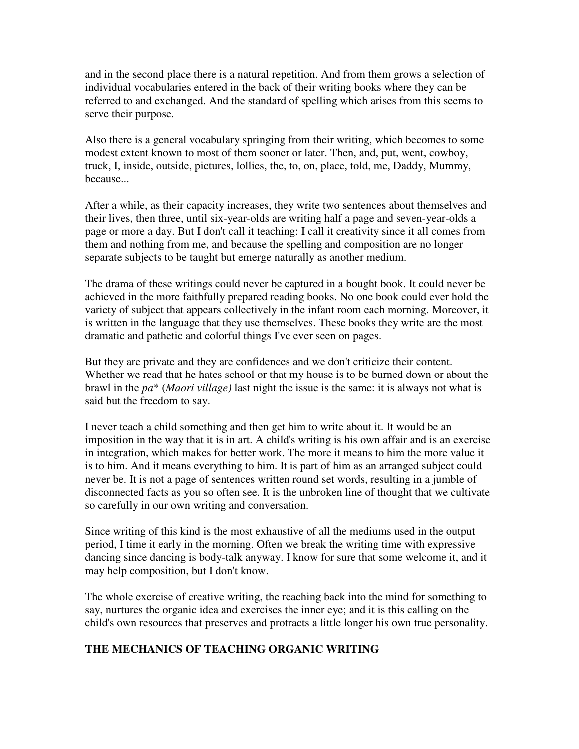and in the second place there is a natural repetition. And from them grows a selection of individual vocabularies entered in the back of their writing books where they can be referred to and exchanged. And the standard of spelling which arises from this seems to serve their purpose.

Also there is a general vocabulary springing from their writing, which becomes to some modest extent known to most of them sooner or later. Then, and, put, went, cowboy, truck, I, inside, outside, pictures, lollies, the, to, on, place, told, me, Daddy, Mummy, because...

After a while, as their capacity increases, they write two sentences about themselves and their lives, then three, until six-year-olds are writing half a page and seven-year-olds a page or more a day. But I don't call it teaching: I call it creativity since it all comes from them and nothing from me, and because the spelling and composition are no longer separate subjects to be taught but emerge naturally as another medium.

The drama of these writings could never be captured in a bought book. It could never be achieved in the more faithfully prepared reading books. No one book could ever hold the variety of subject that appears collectively in the infant room each morning. Moreover, it is written in the language that they use themselves. These books they write are the most dramatic and pathetic and colorful things I've ever seen on pages.

But they are private and they are confidences and we don't criticize their content. Whether we read that he hates school or that my house is to be burned down or about the brawl in the *pa*\* (*Maori village)* last night the issue is the same: it is always not what is said but the freedom to say.

I never teach a child something and then get him to write about it. It would be an imposition in the way that it is in art. A child's writing is his own affair and is an exercise in integration, which makes for better work. The more it means to him the more value it is to him. And it means everything to him. It is part of him as an arranged subject could never be. It is not a page of sentences written round set words, resulting in a jumble of disconnected facts as you so often see. It is the unbroken line of thought that we cultivate so carefully in our own writing and conversation.

Since writing of this kind is the most exhaustive of all the mediums used in the output period, I time it early in the morning. Often we break the writing time with expressive dancing since dancing is body-talk anyway. I know for sure that some welcome it, and it may help composition, but I don't know.

The whole exercise of creative writing, the reaching back into the mind for something to say, nurtures the organic idea and exercises the inner eye; and it is this calling on the child's own resources that preserves and protracts a little longer his own true personality.

# **THE MECHANICS OF TEACHING ORGANIC WRITING**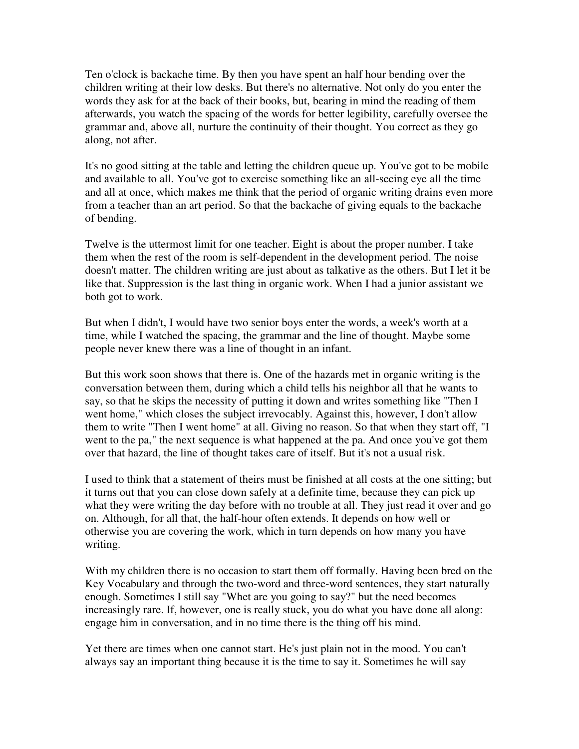Ten o'clock is backache time. By then you have spent an half hour bending over the children writing at their low desks. But there's no alternative. Not only do you enter the words they ask for at the back of their books, but, bearing in mind the reading of them afterwards, you watch the spacing of the words for better legibility, carefully oversee the grammar and, above all, nurture the continuity of their thought. You correct as they go along, not after.

It's no good sitting at the table and letting the children queue up. You've got to be mobile and available to all. You've got to exercise something like an all-seeing eye all the time and all at once, which makes me think that the period of organic writing drains even more from a teacher than an art period. So that the backache of giving equals to the backache of bending.

Twelve is the uttermost limit for one teacher. Eight is about the proper number. I take them when the rest of the room is self-dependent in the development period. The noise doesn't matter. The children writing are just about as talkative as the others. But I let it be like that. Suppression is the last thing in organic work. When I had a junior assistant we both got to work.

But when I didn't, I would have two senior boys enter the words, a week's worth at a time, while I watched the spacing, the grammar and the line of thought. Maybe some people never knew there was a line of thought in an infant.

But this work soon shows that there is. One of the hazards met in organic writing is the conversation between them, during which a child tells his neighbor all that he wants to say, so that he skips the necessity of putting it down and writes something like "Then I went home," which closes the subject irrevocably. Against this, however, I don't allow them to write "Then I went home" at all. Giving no reason. So that when they start off, "I went to the pa," the next sequence is what happened at the pa. And once you've got them over that hazard, the line of thought takes care of itself. But it's not a usual risk.

I used to think that a statement of theirs must be finished at all costs at the one sitting; but it turns out that you can close down safely at a definite time, because they can pick up what they were writing the day before with no trouble at all. They just read it over and go on. Although, for all that, the half-hour often extends. It depends on how well or otherwise you are covering the work, which in turn depends on how many you have writing.

With my children there is no occasion to start them off formally. Having been bred on the Key Vocabulary and through the two-word and three-word sentences, they start naturally enough. Sometimes I still say "Whet are you going to say?" but the need becomes increasingly rare. If, however, one is really stuck, you do what you have done all along: engage him in conversation, and in no time there is the thing off his mind.

Yet there are times when one cannot start. He's just plain not in the mood. You can't always say an important thing because it is the time to say it. Sometimes he will say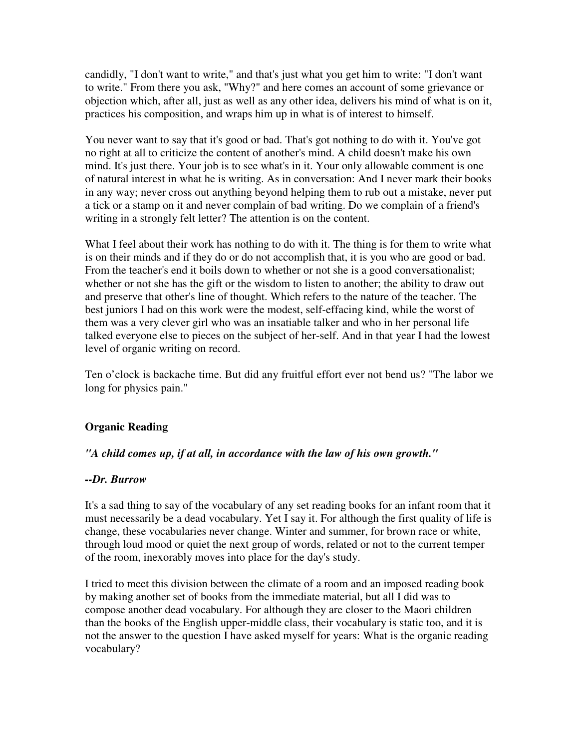candidly, "I don't want to write," and that's just what you get him to write: "I don't want to write." From there you ask, "Why?" and here comes an account of some grievance or objection which, after all, just as well as any other idea, delivers his mind of what is on it, practices his composition, and wraps him up in what is of interest to himself.

You never want to say that it's good or bad. That's got nothing to do with it. You've got no right at all to criticize the content of another's mind. A child doesn't make his own mind. It's just there. Your job is to see what's in it. Your only allowable comment is one of natural interest in what he is writing. As in conversation: And I never mark their books in any way; never cross out anything beyond helping them to rub out a mistake, never put a tick or a stamp on it and never complain of bad writing. Do we complain of a friend's writing in a strongly felt letter? The attention is on the content.

What I feel about their work has nothing to do with it. The thing is for them to write what is on their minds and if they do or do not accomplish that, it is you who are good or bad. From the teacher's end it boils down to whether or not she is a good conversationalist; whether or not she has the gift or the wisdom to listen to another; the ability to draw out and preserve that other's line of thought. Which refers to the nature of the teacher. The best juniors I had on this work were the modest, self-effacing kind, while the worst of them was a very clever girl who was an insatiable talker and who in her personal life talked everyone else to pieces on the subject of her-self. And in that year I had the lowest level of organic writing on record.

Ten o'clock is backache time. But did any fruitful effort ever not bend us? "The labor we long for physics pain."

# **Organic Reading**

#### *"A child comes up, if at all, in accordance with the law of his own growth."*

#### *--Dr. Burrow*

It's a sad thing to say of the vocabulary of any set reading books for an infant room that it must necessarily be a dead vocabulary. Yet I say it. For although the first quality of life is change, these vocabularies never change. Winter and summer, for brown race or white, through loud mood or quiet the next group of words, related or not to the current temper of the room, inexorably moves into place for the day's study.

I tried to meet this division between the climate of a room and an imposed reading book by making another set of books from the immediate material, but all I did was to compose another dead vocabulary. For although they are closer to the Maori children than the books of the English upper-middle class, their vocabulary is static too, and it is not the answer to the question I have asked myself for years: What is the organic reading vocabulary?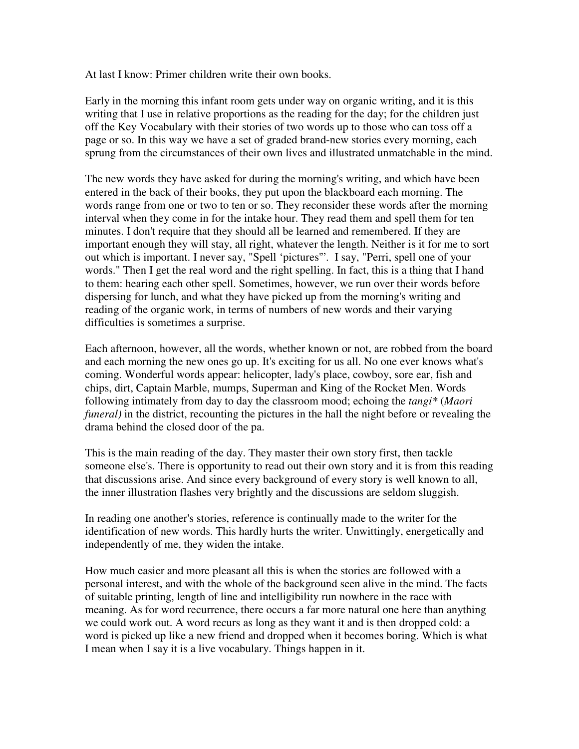At last I know: Primer children write their own books.

Early in the morning this infant room gets under way on organic writing, and it is this writing that I use in relative proportions as the reading for the day; for the children just off the Key Vocabulary with their stories of two words up to those who can toss off a page or so. In this way we have a set of graded brand-new stories every morning, each sprung from the circumstances of their own lives and illustrated unmatchable in the mind.

The new words they have asked for during the morning's writing, and which have been entered in the back of their books, they put upon the blackboard each morning. The words range from one or two to ten or so. They reconsider these words after the morning interval when they come in for the intake hour. They read them and spell them for ten minutes. I don't require that they should all be learned and remembered. If they are important enough they will stay, all right, whatever the length. Neither is it for me to sort out which is important. I never say, "Spell 'pictures'". I say, "Perri, spell one of your words." Then I get the real word and the right spelling. In fact, this is a thing that I hand to them: hearing each other spell. Sometimes, however, we run over their words before dispersing for lunch, and what they have picked up from the morning's writing and reading of the organic work, in terms of numbers of new words and their varying difficulties is sometimes a surprise.

Each afternoon, however, all the words, whether known or not, are robbed from the board and each morning the new ones go up. It's exciting for us all. No one ever knows what's coming. Wonderful words appear: helicopter, lady's place, cowboy, sore ear, fish and chips, dirt, Captain Marble, mumps, Superman and King of the Rocket Men. Words following intimately from day to day the classroom mood; echoing the *tangi\** (*Maori funeral*) in the district, recounting the pictures in the hall the night before or revealing the drama behind the closed door of the pa.

This is the main reading of the day. They master their own story first, then tackle someone else's. There is opportunity to read out their own story and it is from this reading that discussions arise. And since every background of every story is well known to all, the inner illustration flashes very brightly and the discussions are seldom sluggish.

In reading one another's stories, reference is continually made to the writer for the identification of new words. This hardly hurts the writer. Unwittingly, energetically and independently of me, they widen the intake.

How much easier and more pleasant all this is when the stories are followed with a personal interest, and with the whole of the background seen alive in the mind. The facts of suitable printing, length of line and intelligibility run nowhere in the race with meaning. As for word recurrence, there occurs a far more natural one here than anything we could work out. A word recurs as long as they want it and is then dropped cold: a word is picked up like a new friend and dropped when it becomes boring. Which is what I mean when I say it is a live vocabulary. Things happen in it.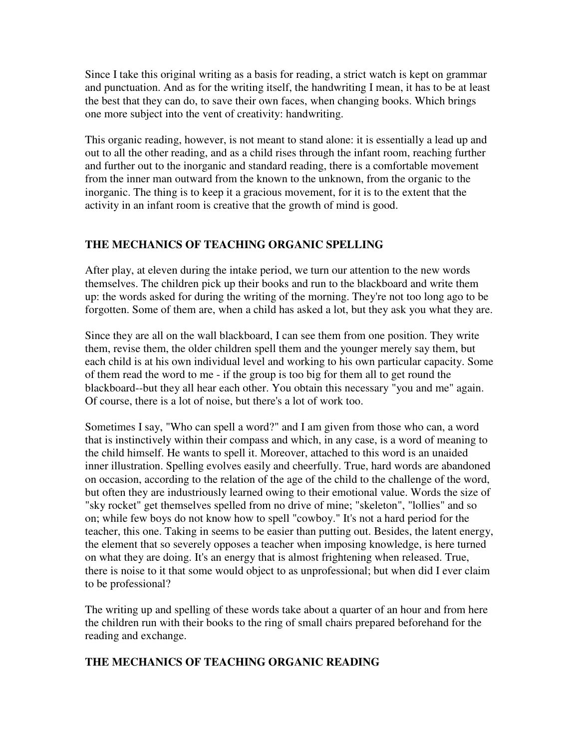Since I take this original writing as a basis for reading, a strict watch is kept on grammar and punctuation. And as for the writing itself, the handwriting I mean, it has to be at least the best that they can do, to save their own faces, when changing books. Which brings one more subject into the vent of creativity: handwriting.

This organic reading, however, is not meant to stand alone: it is essentially a lead up and out to all the other reading, and as a child rises through the infant room, reaching further and further out to the inorganic and standard reading, there is a comfortable movement from the inner man outward from the known to the unknown, from the organic to the inorganic. The thing is to keep it a gracious movement, for it is to the extent that the activity in an infant room is creative that the growth of mind is good.

# **THE MECHANICS OF TEACHING ORGANIC SPELLING**

After play, at eleven during the intake period, we turn our attention to the new words themselves. The children pick up their books and run to the blackboard and write them up: the words asked for during the writing of the morning. They're not too long ago to be forgotten. Some of them are, when a child has asked a lot, but they ask you what they are.

Since they are all on the wall blackboard, I can see them from one position. They write them, revise them, the older children spell them and the younger merely say them, but each child is at his own individual level and working to his own particular capacity. Some of them read the word to me - if the group is too big for them all to get round the blackboard--but they all hear each other. You obtain this necessary "you and me" again. Of course, there is a lot of noise, but there's a lot of work too.

Sometimes I say, "Who can spell a word?" and I am given from those who can, a word that is instinctively within their compass and which, in any case, is a word of meaning to the child himself. He wants to spell it. Moreover, attached to this word is an unaided inner illustration. Spelling evolves easily and cheerfully. True, hard words are abandoned on occasion, according to the relation of the age of the child to the challenge of the word, but often they are industriously learned owing to their emotional value. Words the size of "sky rocket" get themselves spelled from no drive of mine; "skeleton", "lollies" and so on; while few boys do not know how to spell "cowboy." It's not a hard period for the teacher, this one. Taking in seems to be easier than putting out. Besides, the latent energy, the element that so severely opposes a teacher when imposing knowledge, is here turned on what they are doing. It's an energy that is almost frightening when released. True, there is noise to it that some would object to as unprofessional; but when did I ever claim to be professional?

The writing up and spelling of these words take about a quarter of an hour and from here the children run with their books to the ring of small chairs prepared beforehand for the reading and exchange.

# **THE MECHANICS OF TEACHING ORGANIC READING**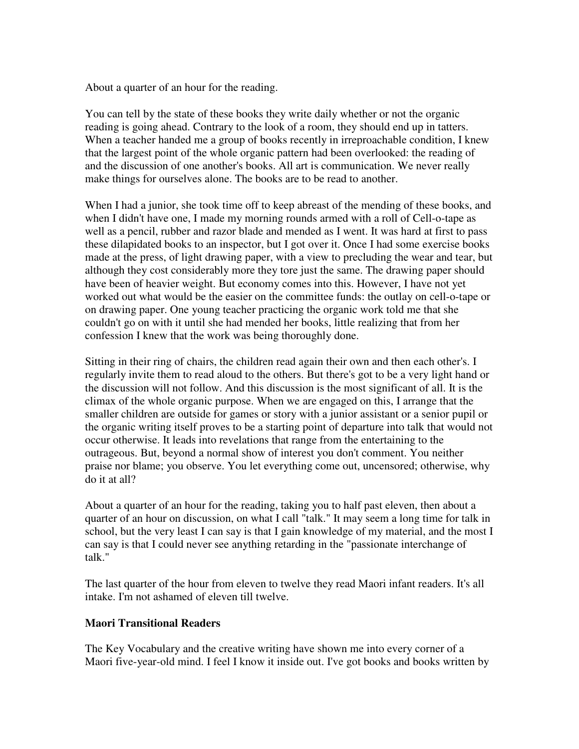About a quarter of an hour for the reading.

You can tell by the state of these books they write daily whether or not the organic reading is going ahead. Contrary to the look of a room, they should end up in tatters. When a teacher handed me a group of books recently in irreproachable condition, I knew that the largest point of the whole organic pattern had been overlooked: the reading of and the discussion of one another's books. All art is communication. We never really make things for ourselves alone. The books are to be read to another.

When I had a junior, she took time off to keep abreast of the mending of these books, and when I didn't have one, I made my morning rounds armed with a roll of Cell-o-tape as well as a pencil, rubber and razor blade and mended as I went. It was hard at first to pass these dilapidated books to an inspector, but I got over it. Once I had some exercise books made at the press, of light drawing paper, with a view to precluding the wear and tear, but although they cost considerably more they tore just the same. The drawing paper should have been of heavier weight. But economy comes into this. However, I have not yet worked out what would be the easier on the committee funds: the outlay on cell-o-tape or on drawing paper. One young teacher practicing the organic work told me that she couldn't go on with it until she had mended her books, little realizing that from her confession I knew that the work was being thoroughly done.

Sitting in their ring of chairs, the children read again their own and then each other's. I regularly invite them to read aloud to the others. But there's got to be a very light hand or the discussion will not follow. And this discussion is the most significant of all. It is the climax of the whole organic purpose. When we are engaged on this, I arrange that the smaller children are outside for games or story with a junior assistant or a senior pupil or the organic writing itself proves to be a starting point of departure into talk that would not occur otherwise. It leads into revelations that range from the entertaining to the outrageous. But, beyond a normal show of interest you don't comment. You neither praise nor blame; you observe. You let everything come out, uncensored; otherwise, why do it at all?

About a quarter of an hour for the reading, taking you to half past eleven, then about a quarter of an hour on discussion, on what I call "talk." It may seem a long time for talk in school, but the very least I can say is that I gain knowledge of my material, and the most I can say is that I could never see anything retarding in the "passionate interchange of talk."

The last quarter of the hour from eleven to twelve they read Maori infant readers. It's all intake. I'm not ashamed of eleven till twelve.

#### **Maori Transitional Readers**

The Key Vocabulary and the creative writing have shown me into every corner of a Maori five-year-old mind. I feel I know it inside out. I've got books and books written by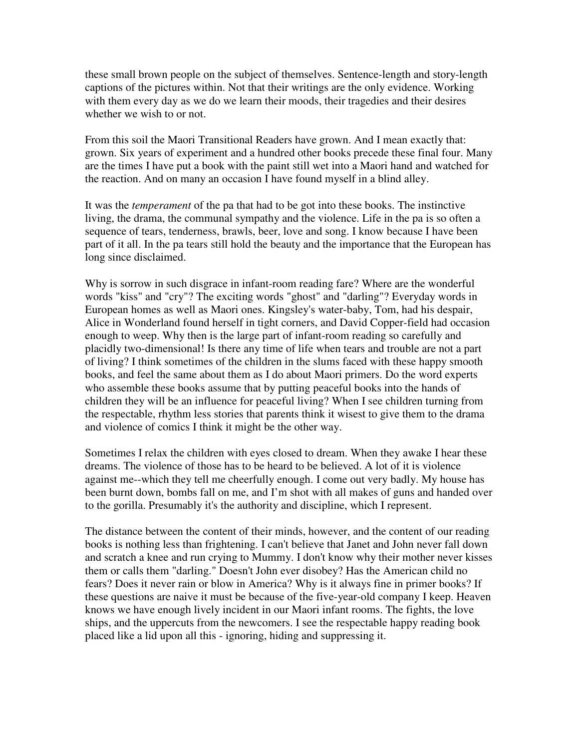these small brown people on the subject of themselves. Sentence-length and story-length captions of the pictures within. Not that their writings are the only evidence. Working with them every day as we do we learn their moods, their tragedies and their desires whether we wish to or not.

From this soil the Maori Transitional Readers have grown. And I mean exactly that: grown. Six years of experiment and a hundred other books precede these final four. Many are the times I have put a book with the paint still wet into a Maori hand and watched for the reaction. And on many an occasion I have found myself in a blind alley.

It was the *temperament* of the pa that had to be got into these books. The instinctive living, the drama, the communal sympathy and the violence. Life in the pa is so often a sequence of tears, tenderness, brawls, beer, love and song. I know because I have been part of it all. In the pa tears still hold the beauty and the importance that the European has long since disclaimed.

Why is sorrow in such disgrace in infant-room reading fare? Where are the wonderful words "kiss" and "cry"? The exciting words "ghost" and "darling"? Everyday words in European homes as well as Maori ones. Kingsley's water-baby, Tom, had his despair, Alice in Wonderland found herself in tight corners, and David Copper-field had occasion enough to weep. Why then is the large part of infant-room reading so carefully and placidly two-dimensional! Is there any time of life when tears and trouble are not a part of living? I think sometimes of the children in the slums faced with these happy smooth books, and feel the same about them as I do about Maori primers. Do the word experts who assemble these books assume that by putting peaceful books into the hands of children they will be an influence for peaceful living? When I see children turning from the respectable, rhythm less stories that parents think it wisest to give them to the drama and violence of comics I think it might be the other way.

Sometimes I relax the children with eyes closed to dream. When they awake I hear these dreams. The violence of those has to be heard to be believed. A lot of it is violence against me--which they tell me cheerfully enough. I come out very badly. My house has been burnt down, bombs fall on me, and I'm shot with all makes of guns and handed over to the gorilla. Presumably it's the authority and discipline, which I represent.

The distance between the content of their minds, however, and the content of our reading books is nothing less than frightening. I can't believe that Janet and John never fall down and scratch a knee and run crying to Mummy. I don't know why their mother never kisses them or calls them "darling." Doesn't John ever disobey? Has the American child no fears? Does it never rain or blow in America? Why is it always fine in primer books? If these questions are naive it must be because of the five-year-old company I keep. Heaven knows we have enough lively incident in our Maori infant rooms. The fights, the love ships, and the uppercuts from the newcomers. I see the respectable happy reading book placed like a lid upon all this - ignoring, hiding and suppressing it.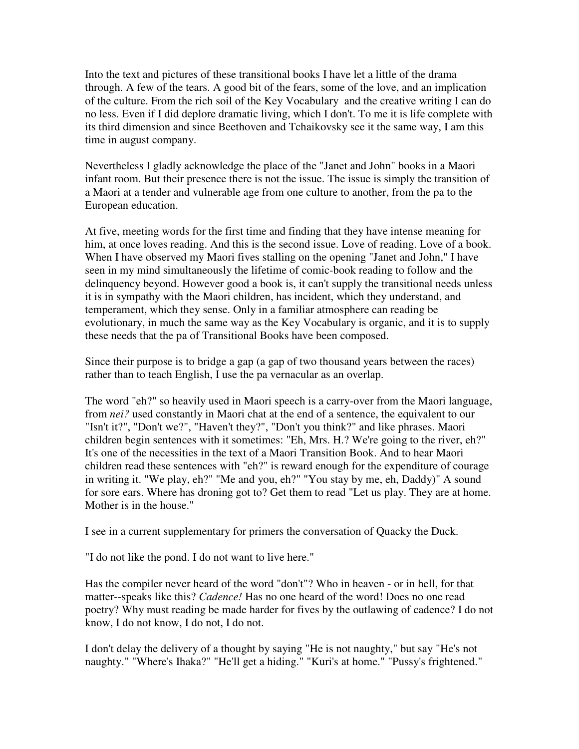Into the text and pictures of these transitional books I have let a little of the drama through. A few of the tears. A good bit of the fears, some of the love, and an implication of the culture. From the rich soil of the Key Vocabulary and the creative writing I can do no less. Even if I did deplore dramatic living, which I don't. To me it is life complete with its third dimension and since Beethoven and Tchaikovsky see it the same way, I am this time in august company.

Nevertheless I gladly acknowledge the place of the "Janet and John" books in a Maori infant room. But their presence there is not the issue. The issue is simply the transition of a Maori at a tender and vulnerable age from one culture to another, from the pa to the European education.

At five, meeting words for the first time and finding that they have intense meaning for him, at once loves reading. And this is the second issue. Love of reading. Love of a book. When I have observed my Maori fives stalling on the opening "Janet and John," I have seen in my mind simultaneously the lifetime of comic-book reading to follow and the delinquency beyond. However good a book is, it can't supply the transitional needs unless it is in sympathy with the Maori children, has incident, which they understand, and temperament, which they sense. Only in a familiar atmosphere can reading be evolutionary, in much the same way as the Key Vocabulary is organic, and it is to supply these needs that the pa of Transitional Books have been composed.

Since their purpose is to bridge a gap (a gap of two thousand years between the races) rather than to teach English, I use the pa vernacular as an overlap.

The word "eh?" so heavily used in Maori speech is a carry-over from the Maori language, from *nei?* used constantly in Maori chat at the end of a sentence, the equivalent to our "Isn't it?", "Don't we?", "Haven't they?", "Don't you think?" and like phrases. Maori children begin sentences with it sometimes: "Eh, Mrs. H.? We're going to the river, eh?" It's one of the necessities in the text of a Maori Transition Book. And to hear Maori children read these sentences with "eh?" is reward enough for the expenditure of courage in writing it. "We play, eh?" "Me and you, eh?" "You stay by me, eh, Daddy)" A sound for sore ears. Where has droning got to? Get them to read "Let us play. They are at home. Mother is in the house."

I see in a current supplementary for primers the conversation of Quacky the Duck.

"I do not like the pond. I do not want to live here."

Has the compiler never heard of the word "don't"? Who in heaven - or in hell, for that matter--speaks like this? *Cadence!* Has no one heard of the word! Does no one read poetry? Why must reading be made harder for fives by the outlawing of cadence? I do not know, I do not know, I do not, I do not.

I don't delay the delivery of a thought by saying "He is not naughty," but say "He's not naughty." "Where's Ihaka?" "He'll get a hiding." "Kuri's at home." "Pussy's frightened."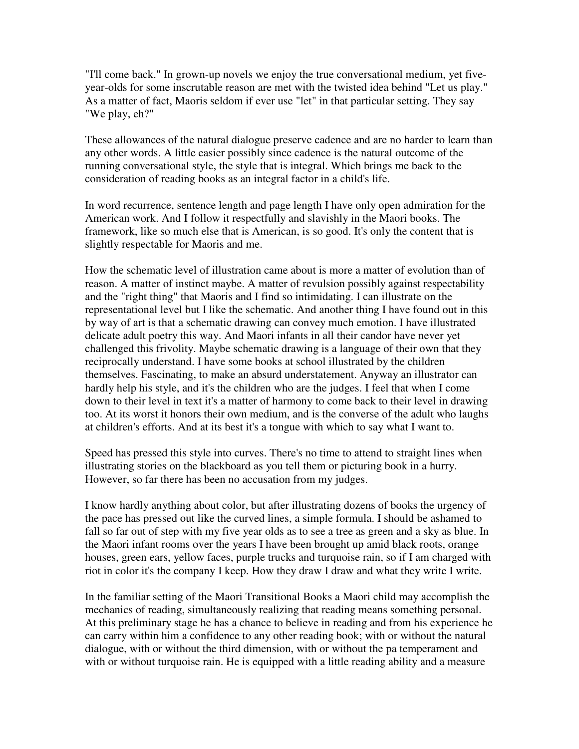"I'll come back." In grown-up novels we enjoy the true conversational medium, yet fiveyear-olds for some inscrutable reason are met with the twisted idea behind "Let us play." As a matter of fact, Maoris seldom if ever use "let" in that particular setting. They say "We play, eh?"

These allowances of the natural dialogue preserve cadence and are no harder to learn than any other words. A little easier possibly since cadence is the natural outcome of the running conversational style, the style that is integral. Which brings me back to the consideration of reading books as an integral factor in a child's life.

In word recurrence, sentence length and page length I have only open admiration for the American work. And I follow it respectfully and slavishly in the Maori books. The framework, like so much else that is American, is so good. It's only the content that is slightly respectable for Maoris and me.

How the schematic level of illustration came about is more a matter of evolution than of reason. A matter of instinct maybe. A matter of revulsion possibly against respectability and the "right thing" that Maoris and I find so intimidating. I can illustrate on the representational level but I like the schematic. And another thing I have found out in this by way of art is that a schematic drawing can convey much emotion. I have illustrated delicate adult poetry this way. And Maori infants in all their candor have never yet challenged this frivolity. Maybe schematic drawing is a language of their own that they reciprocally understand. I have some books at school illustrated by the children themselves. Fascinating, to make an absurd understatement. Anyway an illustrator can hardly help his style, and it's the children who are the judges. I feel that when I come down to their level in text it's a matter of harmony to come back to their level in drawing too. At its worst it honors their own medium, and is the converse of the adult who laughs at children's efforts. And at its best it's a tongue with which to say what I want to.

Speed has pressed this style into curves. There's no time to attend to straight lines when illustrating stories on the blackboard as you tell them or picturing book in a hurry. However, so far there has been no accusation from my judges.

I know hardly anything about color, but after illustrating dozens of books the urgency of the pace has pressed out like the curved lines, a simple formula. I should be ashamed to fall so far out of step with my five year olds as to see a tree as green and a sky as blue. In the Maori infant rooms over the years I have been brought up amid black roots, orange houses, green ears, yellow faces, purple trucks and turquoise rain, so if I am charged with riot in color it's the company I keep. How they draw I draw and what they write I write.

In the familiar setting of the Maori Transitional Books a Maori child may accomplish the mechanics of reading, simultaneously realizing that reading means something personal. At this preliminary stage he has a chance to believe in reading and from his experience he can carry within him a confidence to any other reading book; with or without the natural dialogue, with or without the third dimension, with or without the pa temperament and with or without turquoise rain. He is equipped with a little reading ability and a measure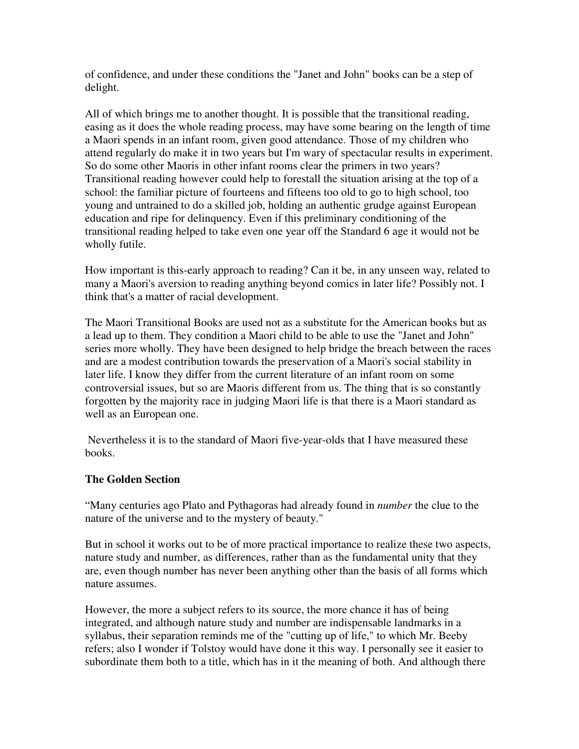of confidence, and under these conditions the "Janet and John" books can be a step of delight.

All of which brings me to another thought. It is possible that the transitional reading, easing as it does the whole reading process, may have some bearing on the length of time a Maori spends in an infant room, given good attendance. Those of my children who attend regularly do make it in two years but I'm wary of spectacular results in experiment. So do some other Maoris in other infant rooms clear the primers in two years? Transitional reading however could help to forestall the situation arising at the top of a school: the familiar picture of fourteens and fifteens too old to go to high school, too young and untrained to do a skilled job, holding an authentic grudge against European education and ripe for delinquency. Even if this preliminary conditioning of the transitional reading helped to take even one year off the Standard 6 age it would not be wholly futile.

How important is this-early approach to reading? Can it be, in any unseen way, related to many a Maori's aversion to reading anything beyond comics in later life? Possibly not. I think that's a matter of racial development.

The Maori Transitional Books are used not as a substitute for the American books but as a lead up to them. They condition a Maori child to be able to use the "Janet and John" series more wholly. They have been designed to help bridge the breach between the races and are a modest contribution towards the preservation of a Maori's social stability in later life. I know they differ from the current literature of an infant room on some controversial issues, but so are Maoris different from us. The thing that is so constantly forgotten by the majority race in judging Maori life is that there is a Maori standard as well as an European one.

 Nevertheless it is to the standard of Maori five-year-olds that I have measured these books.

#### **The Golden Section**

"Many centuries ago Plato and Pythagoras had already found in *number* the clue to the nature of the universe and to the mystery of beauty."

But in school it works out to be of more practical importance to realize these two aspects, nature study and number, as differences, rather than as the fundamental unity that they are, even though number has never been anything other than the basis of all forms which nature assumes.

However, the more a subject refers to its source, the more chance it has of being integrated, and although nature study and number are indispensable landmarks in a syllabus, their separation reminds me of the "cutting up of life," to which Mr. Beeby refers; also I wonder if Tolstoy would have done it this way. I personally see it easier to subordinate them both to a title, which has in it the meaning of both. And although there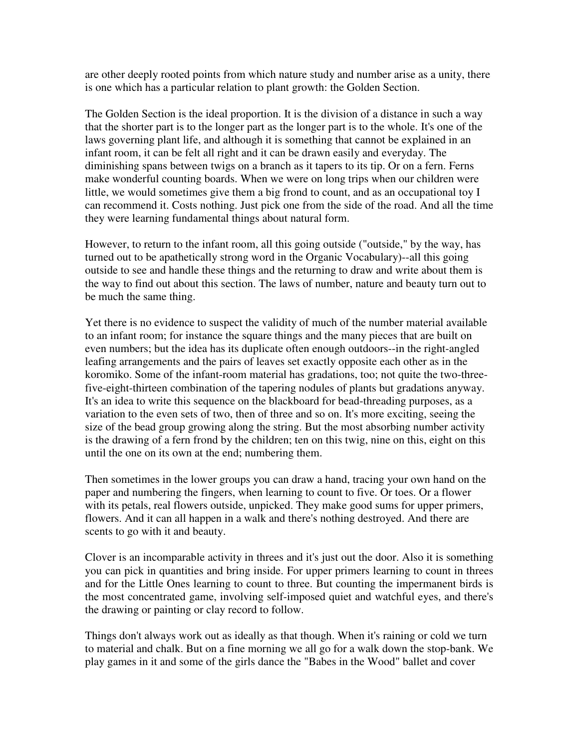are other deeply rooted points from which nature study and number arise as a unity, there is one which has a particular relation to plant growth: the Golden Section.

The Golden Section is the ideal proportion. It is the division of a distance in such a way that the shorter part is to the longer part as the longer part is to the whole. It's one of the laws governing plant life, and although it is something that cannot be explained in an infant room, it can be felt all right and it can be drawn easily and everyday. The diminishing spans between twigs on a branch as it tapers to its tip. Or on a fern. Ferns make wonderful counting boards. When we were on long trips when our children were little, we would sometimes give them a big frond to count, and as an occupational toy I can recommend it. Costs nothing. Just pick one from the side of the road. And all the time they were learning fundamental things about natural form.

However, to return to the infant room, all this going outside ("outside," by the way, has turned out to be apathetically strong word in the Organic Vocabulary)--all this going outside to see and handle these things and the returning to draw and write about them is the way to find out about this section. The laws of number, nature and beauty turn out to be much the same thing.

Yet there is no evidence to suspect the validity of much of the number material available to an infant room; for instance the square things and the many pieces that are built on even numbers; but the idea has its duplicate often enough outdoors--in the right-angled leafing arrangements and the pairs of leaves set exactly opposite each other as in the koromiko. Some of the infant-room material has gradations, too; not quite the two-threefive-eight-thirteen combination of the tapering nodules of plants but gradations anyway. It's an idea to write this sequence on the blackboard for bead-threading purposes, as a variation to the even sets of two, then of three and so on. It's more exciting, seeing the size of the bead group growing along the string. But the most absorbing number activity is the drawing of a fern frond by the children; ten on this twig, nine on this, eight on this until the one on its own at the end; numbering them.

Then sometimes in the lower groups you can draw a hand, tracing your own hand on the paper and numbering the fingers, when learning to count to five. Or toes. Or a flower with its petals, real flowers outside, unpicked. They make good sums for upper primers, flowers. And it can all happen in a walk and there's nothing destroyed. And there are scents to go with it and beauty.

Clover is an incomparable activity in threes and it's just out the door. Also it is something you can pick in quantities and bring inside. For upper primers learning to count in threes and for the Little Ones learning to count to three. But counting the impermanent birds is the most concentrated game, involving self-imposed quiet and watchful eyes, and there's the drawing or painting or clay record to follow.

Things don't always work out as ideally as that though. When it's raining or cold we turn to material and chalk. But on a fine morning we all go for a walk down the stop-bank. We play games in it and some of the girls dance the "Babes in the Wood" ballet and cover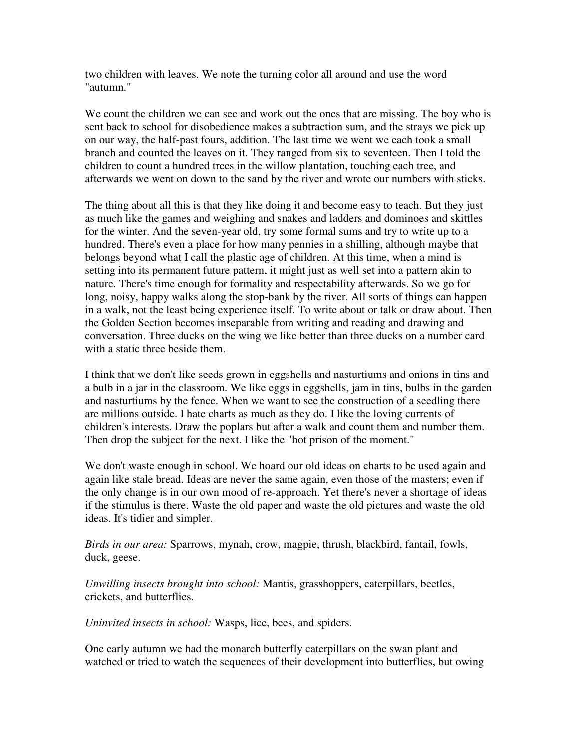two children with leaves. We note the turning color all around and use the word "autumn."

We count the children we can see and work out the ones that are missing. The boy who is sent back to school for disobedience makes a subtraction sum, and the strays we pick up on our way, the half-past fours, addition. The last time we went we each took a small branch and counted the leaves on it. They ranged from six to seventeen. Then I told the children to count a hundred trees in the willow plantation, touching each tree, and afterwards we went on down to the sand by the river and wrote our numbers with sticks.

The thing about all this is that they like doing it and become easy to teach. But they just as much like the games and weighing and snakes and ladders and dominoes and skittles for the winter. And the seven-year old, try some formal sums and try to write up to a hundred. There's even a place for how many pennies in a shilling, although maybe that belongs beyond what I call the plastic age of children. At this time, when a mind is setting into its permanent future pattern, it might just as well set into a pattern akin to nature. There's time enough for formality and respectability afterwards. So we go for long, noisy, happy walks along the stop-bank by the river. All sorts of things can happen in a walk, not the least being experience itself. To write about or talk or draw about. Then the Golden Section becomes inseparable from writing and reading and drawing and conversation. Three ducks on the wing we like better than three ducks on a number card with a static three beside them.

I think that we don't like seeds grown in eggshells and nasturtiums and onions in tins and a bulb in a jar in the classroom. We like eggs in eggshells, jam in tins, bulbs in the garden and nasturtiums by the fence. When we want to see the construction of a seedling there are millions outside. I hate charts as much as they do. I like the loving currents of children's interests. Draw the poplars but after a walk and count them and number them. Then drop the subject for the next. I like the "hot prison of the moment."

We don't waste enough in school. We hoard our old ideas on charts to be used again and again like stale bread. Ideas are never the same again, even those of the masters; even if the only change is in our own mood of re-approach. Yet there's never a shortage of ideas if the stimulus is there. Waste the old paper and waste the old pictures and waste the old ideas. It's tidier and simpler.

*Birds in our area:* Sparrows, mynah, crow, magpie, thrush, blackbird, fantail, fowls, duck, geese.

*Unwilling insects brought into school:* Mantis, grasshoppers, caterpillars, beetles, crickets, and butterflies.

*Uninvited insects in school:* Wasps, lice, bees, and spiders.

One early autumn we had the monarch butterfly caterpillars on the swan plant and watched or tried to watch the sequences of their development into butterflies, but owing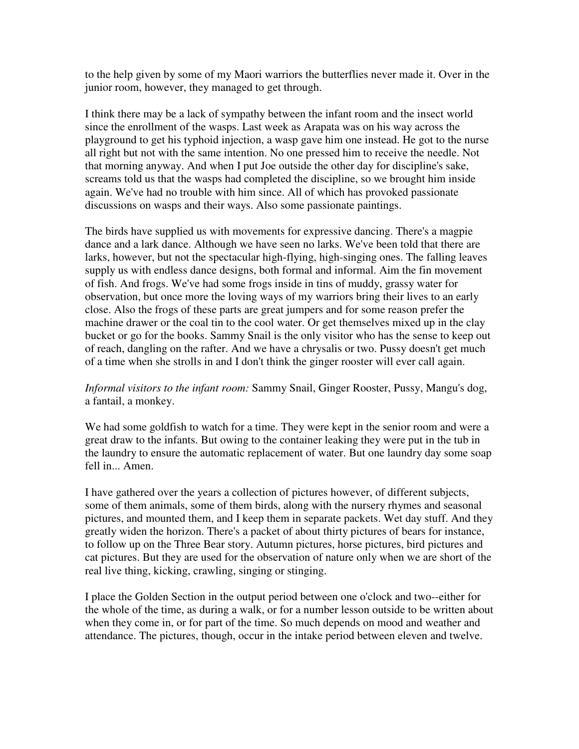to the help given by some of my Maori warriors the butterflies never made it. Over in the junior room, however, they managed to get through.

I think there may be a lack of sympathy between the infant room and the insect world since the enrollment of the wasps. Last week as Arapata was on his way across the playground to get his typhoid injection, a wasp gave him one instead. He got to the nurse all right but not with the same intention. No one pressed him to receive the needle. Not that morning anyway. And when I put Joe outside the other day for discipline's sake, screams told us that the wasps had completed the discipline, so we brought him inside again. We've had no trouble with him since. All of which has provoked passionate discussions on wasps and their ways. Also some passionate paintings.

The birds have supplied us with movements for expressive dancing. There's a magpie dance and a lark dance. Although we have seen no larks. We've been told that there are larks, however, but not the spectacular high-flying, high-singing ones. The falling leaves supply us with endless dance designs, both formal and informal. Aim the fin movement of fish. And frogs. We've had some frogs inside in tins of muddy, grassy water for observation, but once more the loving ways of my warriors bring their lives to an early close. Also the frogs of these parts are great jumpers and for some reason prefer the machine drawer or the coal tin to the cool water. Or get themselves mixed up in the clay bucket or go for the books. Sammy Snail is the only visitor who has the sense to keep out of reach, dangling on the rafter. And we have a chrysalis or two. Pussy doesn't get much of a time when she strolls in and I don't think the ginger rooster will ever call again.

# *Informal visitors to the infant room:* Sammy Snail, Ginger Rooster, Pussy, Mangu's dog, a fantail, a monkey.

We had some goldfish to watch for a time. They were kept in the senior room and were a great draw to the infants. But owing to the container leaking they were put in the tub in the laundry to ensure the automatic replacement of water. But one laundry day some soap fell in... Amen.

I have gathered over the years a collection of pictures however, of different subjects, some of them animals, some of them birds, along with the nursery rhymes and seasonal pictures, and mounted them, and I keep them in separate packets. Wet day stuff. And they greatly widen the horizon. There's a packet of about thirty pictures of bears for instance, to follow up on the Three Bear story. Autumn pictures, horse pictures, bird pictures and cat pictures. But they are used for the observation of nature only when we are short of the real live thing, kicking, crawling, singing or stinging.

I place the Golden Section in the output period between one o'clock and two--either for the whole of the time, as during a walk, or for a number lesson outside to be written about when they come in, or for part of the time. So much depends on mood and weather and attendance. The pictures, though, occur in the intake period between eleven and twelve.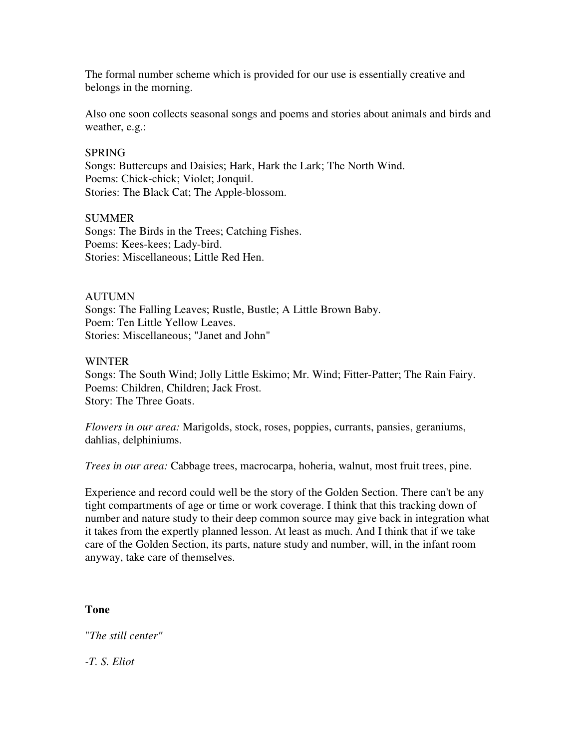The formal number scheme which is provided for our use is essentially creative and belongs in the morning.

Also one soon collects seasonal songs and poems and stories about animals and birds and weather, e.g.:

# **SPRING**

Songs: Buttercups and Daisies; Hark, Hark the Lark; The North Wind. Poems: Chick-chick; Violet; Jonquil. Stories: The Black Cat; The Apple-blossom.

# SUMMER

Songs: The Birds in the Trees; Catching Fishes. Poems: Kees-kees; Lady-bird. Stories: Miscellaneous; Little Red Hen.

# AUTUMN

Songs: The Falling Leaves; Rustle, Bustle; A Little Brown Baby. Poem: Ten Little Yellow Leaves. Stories: Miscellaneous; "Janet and John"

# **WINTER**

Songs: The South Wind; Jolly Little Eskimo; Mr. Wind; Fitter-Patter; The Rain Fairy. Poems: Children, Children; Jack Frost. Story: The Three Goats.

*Flowers in our area:* Marigolds, stock, roses, poppies, currants, pansies, geraniums, dahlias, delphiniums.

*Trees in our area:* Cabbage trees, macrocarpa, hoheria, walnut, most fruit trees, pine.

Experience and record could well be the story of the Golden Section. There can't be any tight compartments of age or time or work coverage. I think that this tracking down of number and nature study to their deep common source may give back in integration what it takes from the expertly planned lesson. At least as much. And I think that if we take care of the Golden Section, its parts, nature study and number, will, in the infant room anyway, take care of themselves.

# **Tone**

"*The still center"*

*-T. S. Eliot*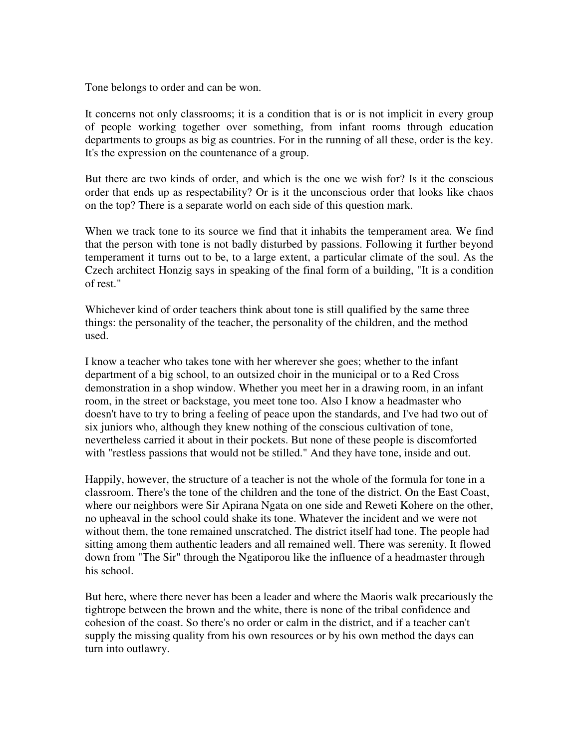Tone belongs to order and can be won.

It concerns not only classrooms; it is a condition that is or is not implicit in every group of people working together over something, from infant rooms through education departments to groups as big as countries. For in the running of all these, order is the key. It's the expression on the countenance of a group.

But there are two kinds of order, and which is the one we wish for? Is it the conscious order that ends up as respectability? Or is it the unconscious order that looks like chaos on the top? There is a separate world on each side of this question mark.

When we track tone to its source we find that it inhabits the temperament area. We find that the person with tone is not badly disturbed by passions. Following it further beyond temperament it turns out to be, to a large extent, a particular climate of the soul. As the Czech architect Honzig says in speaking of the final form of a building, "It is a condition of rest."

Whichever kind of order teachers think about tone is still qualified by the same three things: the personality of the teacher, the personality of the children, and the method used.

I know a teacher who takes tone with her wherever she goes; whether to the infant department of a big school, to an outsized choir in the municipal or to a Red Cross demonstration in a shop window. Whether you meet her in a drawing room, in an infant room, in the street or backstage, you meet tone too. Also I know a headmaster who doesn't have to try to bring a feeling of peace upon the standards, and I've had two out of six juniors who, although they knew nothing of the conscious cultivation of tone, nevertheless carried it about in their pockets. But none of these people is discomforted with "restless passions that would not be stilled." And they have tone, inside and out.

Happily, however, the structure of a teacher is not the whole of the formula for tone in a classroom. There's the tone of the children and the tone of the district. On the East Coast, where our neighbors were Sir Apirana Ngata on one side and Reweti Kohere on the other, no upheaval in the school could shake its tone. Whatever the incident and we were not without them, the tone remained unscratched. The district itself had tone. The people had sitting among them authentic leaders and all remained well. There was serenity. It flowed down from "The Sir" through the Ngatiporou like the influence of a headmaster through his school.

But here, where there never has been a leader and where the Maoris walk precariously the tightrope between the brown and the white, there is none of the tribal confidence and cohesion of the coast. So there's no order or calm in the district, and if a teacher can't supply the missing quality from his own resources or by his own method the days can turn into outlawry.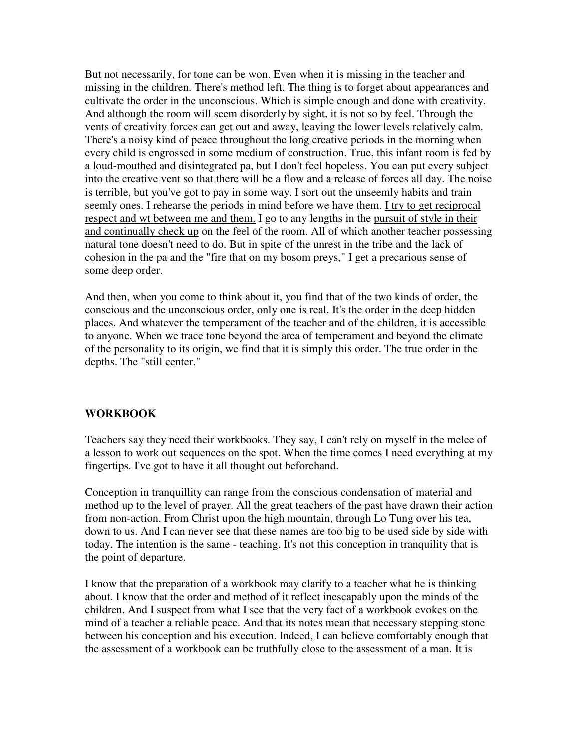But not necessarily, for tone can be won. Even when it is missing in the teacher and missing in the children. There's method left. The thing is to forget about appearances and cultivate the order in the unconscious. Which is simple enough and done with creativity. And although the room will seem disorderly by sight, it is not so by feel. Through the vents of creativity forces can get out and away, leaving the lower levels relatively calm. There's a noisy kind of peace throughout the long creative periods in the morning when every child is engrossed in some medium of construction. True, this infant room is fed by a loud-mouthed and disintegrated pa, but I don't feel hopeless. You can put every subject into the creative vent so that there will be a flow and a release of forces all day. The noise is terrible, but you've got to pay in some way. I sort out the unseemly habits and train seemly ones. I rehearse the periods in mind before we have them. I try to get reciprocal respect and wt between me and them. I go to any lengths in the pursuit of style in their and continually check up on the feel of the room. All of which another teacher possessing natural tone doesn't need to do. But in spite of the unrest in the tribe and the lack of cohesion in the pa and the "fire that on my bosom preys," I get a precarious sense of some deep order.

And then, when you come to think about it, you find that of the two kinds of order, the conscious and the unconscious order, only one is real. It's the order in the deep hidden places. And whatever the temperament of the teacher and of the children, it is accessible to anyone. When we trace tone beyond the area of temperament and beyond the climate of the personality to its origin, we find that it is simply this order. The true order in the depths. The "still center."

# **WORKBOOK**

Teachers say they need their workbooks. They say, I can't rely on myself in the melee of a lesson to work out sequences on the spot. When the time comes I need everything at my fingertips. I've got to have it all thought out beforehand.

Conception in tranquillity can range from the conscious condensation of material and method up to the level of prayer. All the great teachers of the past have drawn their action from non-action. From Christ upon the high mountain, through Lo Tung over his tea, down to us. And I can never see that these names are too big to be used side by side with today. The intention is the same - teaching. It's not this conception in tranquility that is the point of departure.

I know that the preparation of a workbook may clarify to a teacher what he is thinking about. I know that the order and method of it reflect inescapably upon the minds of the children. And I suspect from what I see that the very fact of a workbook evokes on the mind of a teacher a reliable peace. And that its notes mean that necessary stepping stone between his conception and his execution. Indeed, I can believe comfortably enough that the assessment of a workbook can be truthfully close to the assessment of a man. It is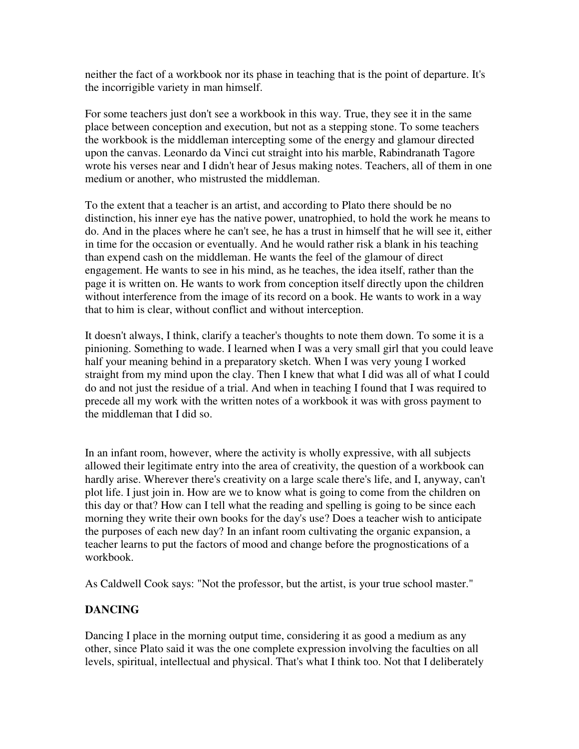neither the fact of a workbook nor its phase in teaching that is the point of departure. It's the incorrigible variety in man himself.

For some teachers just don't see a workbook in this way. True, they see it in the same place between conception and execution, but not as a stepping stone. To some teachers the workbook is the middleman intercepting some of the energy and glamour directed upon the canvas. Leonardo da Vinci cut straight into his marble, Rabindranath Tagore wrote his verses near and I didn't hear of Jesus making notes. Teachers, all of them in one medium or another, who mistrusted the middleman.

To the extent that a teacher is an artist, and according to Plato there should be no distinction, his inner eye has the native power, unatrophied, to hold the work he means to do. And in the places where he can't see, he has a trust in himself that he will see it, either in time for the occasion or eventually. And he would rather risk a blank in his teaching than expend cash on the middleman. He wants the feel of the glamour of direct engagement. He wants to see in his mind, as he teaches, the idea itself, rather than the page it is written on. He wants to work from conception itself directly upon the children without interference from the image of its record on a book. He wants to work in a way that to him is clear, without conflict and without interception.

It doesn't always, I think, clarify a teacher's thoughts to note them down. To some it is a pinioning. Something to wade. I learned when I was a very small girl that you could leave half your meaning behind in a preparatory sketch. When I was very young I worked straight from my mind upon the clay. Then I knew that what I did was all of what I could do and not just the residue of a trial. And when in teaching I found that I was required to precede all my work with the written notes of a workbook it was with gross payment to the middleman that I did so.

In an infant room, however, where the activity is wholly expressive, with all subjects allowed their legitimate entry into the area of creativity, the question of a workbook can hardly arise. Wherever there's creativity on a large scale there's life, and I, anyway, can't plot life. I just join in. How are we to know what is going to come from the children on this day or that? How can I tell what the reading and spelling is going to be since each morning they write their own books for the day's use? Does a teacher wish to anticipate the purposes of each new day? In an infant room cultivating the organic expansion, a teacher learns to put the factors of mood and change before the prognostications of a workbook.

As Caldwell Cook says: "Not the professor, but the artist, is your true school master."

# **DANCING**

Dancing I place in the morning output time, considering it as good a medium as any other, since Plato said it was the one complete expression involving the faculties on all levels, spiritual, intellectual and physical. That's what I think too. Not that I deliberately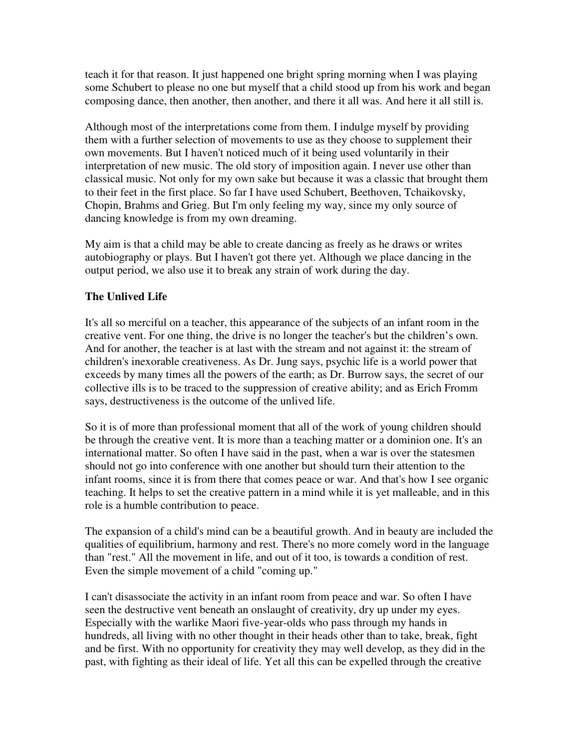teach it for that reason. It just happened one bright spring morning when I was playing some Schubert to please no one but myself that a child stood up from his work and began composing dance, then another, then another, and there it all was. And here it all still is.

Although most of the interpretations come from them. I indulge myself by providing them with a further selection of movements to use as they choose to supplement their own movements. But I haven't noticed much of it being used voluntarily in their interpretation of new music. The old story of imposition again. I never use other than classical music. Not only for my own sake but because it was a classic that brought them to their feet in the first place. So far I have used Schubert, Beethoven, Tchaikovsky, Chopin, Brahms and Grieg. But I'm only feeling my way, since my only source of dancing knowledge is from my own dreaming.

My aim is that a child may be able to create dancing as freely as he draws or writes autobiography or plays. But I haven't got there yet. Although we place dancing in the output period, we also use it to break any strain of work during the day.

# **The Unlived Life**

It's all so merciful on a teacher, this appearance of the subjects of an infant room in the creative vent. For one thing, the drive is no longer the teacher's but the children's own. And for another, the teacher is at last with the stream and not against it: the stream of children's inexorable creativeness. As Dr. Jung says, psychic life is a world power that exceeds by many times all the powers of the earth; as Dr. Burrow says, the secret of our collective ills is to be traced to the suppression of creative ability; and as Erich Fromm says, destructiveness is the outcome of the unlived life.

So it is of more than professional moment that all of the work of young children should be through the creative vent. It is more than a teaching matter or a dominion one. It's an international matter. So often I have said in the past, when a war is over the statesmen should not go into conference with one another but should turn their attention to the infant rooms, since it is from there that comes peace or war. And that's how I see organic teaching. It helps to set the creative pattern in a mind while it is yet malleable, and in this role is a humble contribution to peace.

The expansion of a child's mind can be a beautiful growth. And in beauty are included the qualities of equilibrium, harmony and rest. There's no more comely word in the language than "rest." All the movement in life, and out of it too, is towards a condition of rest. Even the simple movement of a child "coming up."

I can't disassociate the activity in an infant room from peace and war. So often I have seen the destructive vent beneath an onslaught of creativity, dry up under my eyes. Especially with the warlike Maori five-year-olds who pass through my hands in hundreds, all living with no other thought in their heads other than to take, break, fight and be first. With no opportunity for creativity they may well develop, as they did in the past, with fighting as their ideal of life. Yet all this can be expelled through the creative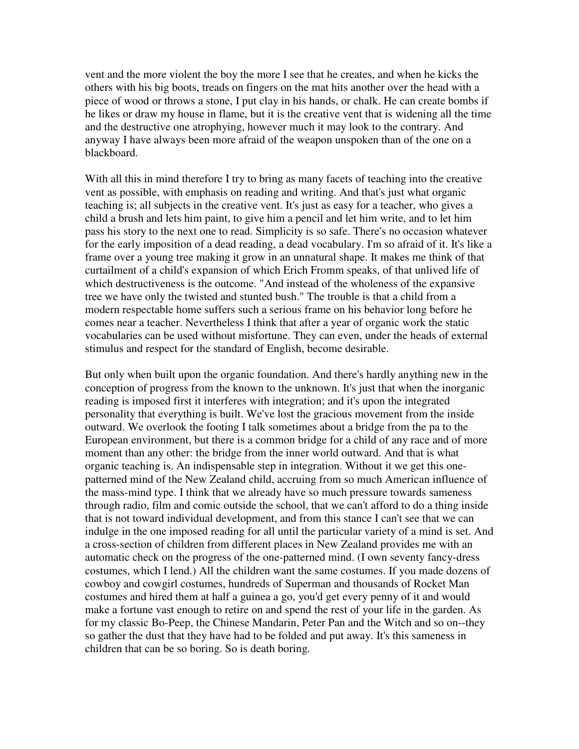vent and the more violent the boy the more I see that he creates, and when he kicks the others with his big boots, treads on fingers on the mat hits another over the head with a piece of wood or throws a stone, I put clay in his hands, or chalk. He can create bombs if he likes or draw my house in flame, but it is the creative vent that is widening all the time and the destructive one atrophying, however much it may look to the contrary. And anyway I have always been more afraid of the weapon unspoken than of the one on a blackboard.

With all this in mind therefore I try to bring as many facets of teaching into the creative vent as possible, with emphasis on reading and writing. And that's just what organic teaching is; all subjects in the creative vent. It's just as easy for a teacher, who gives a child a brush and lets him paint, to give him a pencil and let him write, and to let him pass his story to the next one to read. Simplicity is so safe. There's no occasion whatever for the early imposition of a dead reading, a dead vocabulary. I'm so afraid of it. It's like a frame over a young tree making it grow in an unnatural shape. It makes me think of that curtailment of a child's expansion of which Erich Fromm speaks, of that unlived life of which destructiveness is the outcome. "And instead of the wholeness of the expansive tree we have only the twisted and stunted bush." The trouble is that a child from a modern respectable home suffers such a serious frame on his behavior long before he comes near a teacher. Nevertheless I think that after a year of organic work the static vocabularies can be used without misfortune. They can even, under the heads of external stimulus and respect for the standard of English, become desirable.

But only when built upon the organic foundation. And there's hardly anything new in the conception of progress from the known to the unknown. It's just that when the inorganic reading is imposed first it interferes with integration; and it's upon the integrated personality that everything is built. We've lost the gracious movement from the inside outward. We overlook the footing I talk sometimes about a bridge from the pa to the European environment, but there is a common bridge for a child of any race and of more moment than any other: the bridge from the inner world outward. And that is what organic teaching is. An indispensable step in integration. Without it we get this onepatterned mind of the New Zealand child, accruing from so much American influence of the mass-mind type. I think that we already have so much pressure towards sameness through radio, film and comic outside the school, that we can't afford to do a thing inside that is not toward individual development, and from this stance I can't see that we can indulge in the one imposed reading for all until the particular variety of a mind is set. And a cross-section of children from different places in New Zealand provides me with an automatic check on the progress of the one-patterned mind. (I own seventy fancy-dress costumes, which I lend.) All the children want the same costumes. If you made dozens of cowboy and cowgirl costumes, hundreds of Superman and thousands of Rocket Man costumes and hired them at half a guinea a go, you'd get every penny of it and would make a fortune vast enough to retire on and spend the rest of your life in the garden. As for my classic Bo-Peep, the Chinese Mandarin, Peter Pan and the Witch and so on--they so gather the dust that they have had to be folded and put away. It's this sameness in children that can be so boring. So is death boring.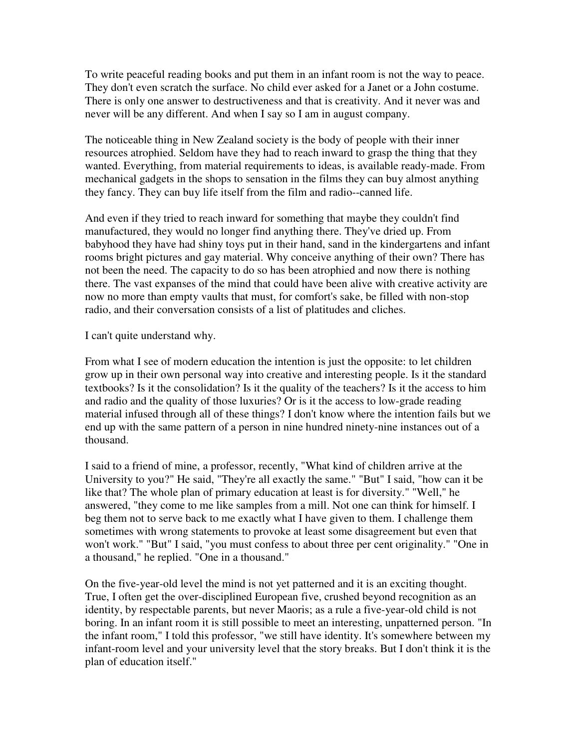To write peaceful reading books and put them in an infant room is not the way to peace. They don't even scratch the surface. No child ever asked for a Janet or a John costume. There is only one answer to destructiveness and that is creativity. And it never was and never will be any different. And when I say so I am in august company.

The noticeable thing in New Zealand society is the body of people with their inner resources atrophied. Seldom have they had to reach inward to grasp the thing that they wanted. Everything, from material requirements to ideas, is available ready-made. From mechanical gadgets in the shops to sensation in the films they can buy almost anything they fancy. They can buy life itself from the film and radio--canned life.

And even if they tried to reach inward for something that maybe they couldn't find manufactured, they would no longer find anything there. They've dried up. From babyhood they have had shiny toys put in their hand, sand in the kindergartens and infant rooms bright pictures and gay material. Why conceive anything of their own? There has not been the need. The capacity to do so has been atrophied and now there is nothing there. The vast expanses of the mind that could have been alive with creative activity are now no more than empty vaults that must, for comfort's sake, be filled with non-stop radio, and their conversation consists of a list of platitudes and cliches.

I can't quite understand why.

From what I see of modern education the intention is just the opposite: to let children grow up in their own personal way into creative and interesting people. Is it the standard textbooks? Is it the consolidation? Is it the quality of the teachers? Is it the access to him and radio and the quality of those luxuries? Or is it the access to low-grade reading material infused through all of these things? I don't know where the intention fails but we end up with the same pattern of a person in nine hundred ninety-nine instances out of a thousand.

I said to a friend of mine, a professor, recently, "What kind of children arrive at the University to you?" He said, "They're all exactly the same." "But" I said, "how can it be like that? The whole plan of primary education at least is for diversity." "Well," he answered, "they come to me like samples from a mill. Not one can think for himself. I beg them not to serve back to me exactly what I have given to them. I challenge them sometimes with wrong statements to provoke at least some disagreement but even that won't work." "But" I said, "you must confess to about three per cent originality." "One in a thousand," he replied. "One in a thousand."

On the five-year-old level the mind is not yet patterned and it is an exciting thought. True, I often get the over-disciplined European five, crushed beyond recognition as an identity, by respectable parents, but never Maoris; as a rule a five-year-old child is not boring. In an infant room it is still possible to meet an interesting, unpatterned person. "In the infant room," I told this professor, "we still have identity. It's somewhere between my infant-room level and your university level that the story breaks. But I don't think it is the plan of education itself."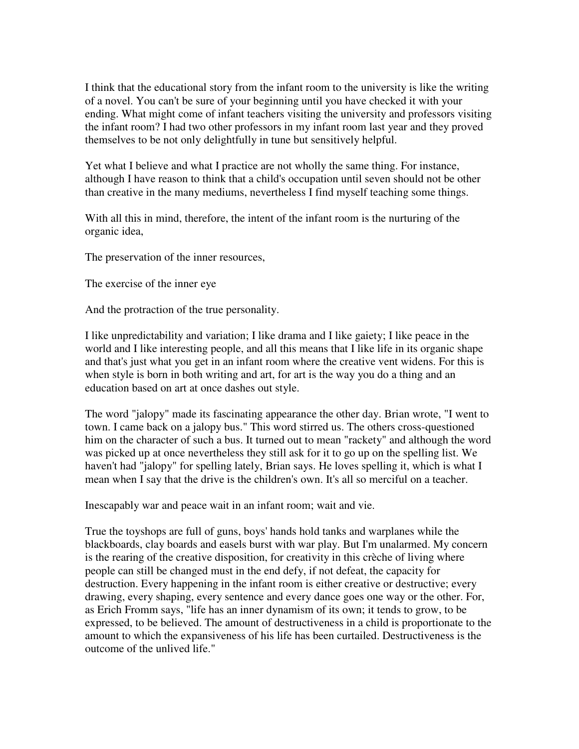I think that the educational story from the infant room to the university is like the writing of a novel. You can't be sure of your beginning until you have checked it with your ending. What might come of infant teachers visiting the university and professors visiting the infant room? I had two other professors in my infant room last year and they proved themselves to be not only delightfully in tune but sensitively helpful.

Yet what I believe and what I practice are not wholly the same thing. For instance, although I have reason to think that a child's occupation until seven should not be other than creative in the many mediums, nevertheless I find myself teaching some things.

With all this in mind, therefore, the intent of the infant room is the nurturing of the organic idea,

The preservation of the inner resources,

The exercise of the inner eye

And the protraction of the true personality.

I like unpredictability and variation; I like drama and I like gaiety; I like peace in the world and I like interesting people, and all this means that I like life in its organic shape and that's just what you get in an infant room where the creative vent widens. For this is when style is born in both writing and art, for art is the way you do a thing and an education based on art at once dashes out style.

The word "jalopy" made its fascinating appearance the other day. Brian wrote, "I went to town. I came back on a jalopy bus." This word stirred us. The others cross-questioned him on the character of such a bus. It turned out to mean "rackety" and although the word was picked up at once nevertheless they still ask for it to go up on the spelling list. We haven't had "jalopy" for spelling lately, Brian says. He loves spelling it, which is what I mean when I say that the drive is the children's own. It's all so merciful on a teacher.

Inescapably war and peace wait in an infant room; wait and vie.

True the toyshops are full of guns, boys' hands hold tanks and warplanes while the blackboards, clay boards and easels burst with war play. But I'm unalarmed. My concern is the rearing of the creative disposition, for creativity in this crèche of living where people can still be changed must in the end defy, if not defeat, the capacity for destruction. Every happening in the infant room is either creative or destructive; every drawing, every shaping, every sentence and every dance goes one way or the other. For, as Erich Fromm says, "life has an inner dynamism of its own; it tends to grow, to be expressed, to be believed. The amount of destructiveness in a child is proportionate to the amount to which the expansiveness of his life has been curtailed. Destructiveness is the outcome of the unlived life."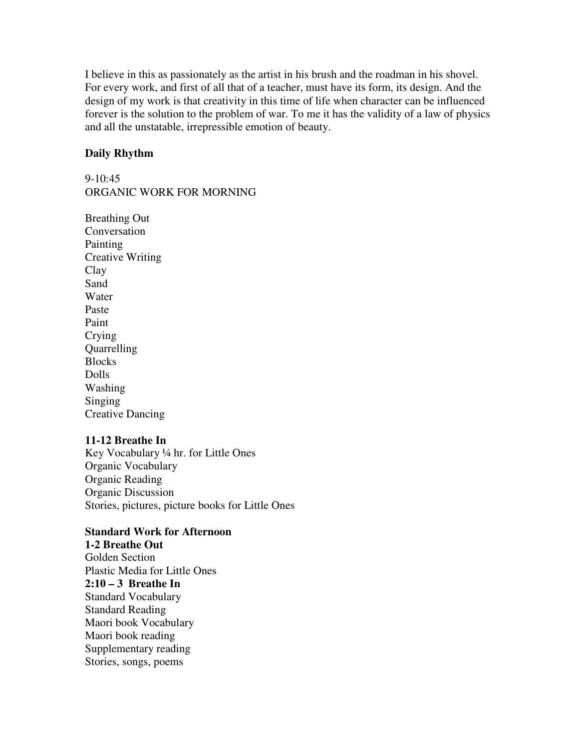I believe in this as passionately as the artist in his brush and the roadman in his shovel. For every work, and first of all that of a teacher, must have its form, its design. And the design of my work is that creativity in this time of life when character can be influenced forever is the solution to the problem of war. To me it has the validity of a law of physics and all the unstatable, irrepressible emotion of beauty.

### **Daily Rhythm**

9-10:45 ORGANIC WORK FOR MORNING

Breathing Out Conversation Painting Creative Writing Clay Sand Water Paste Paint Crying **Quarrelling** Blocks Dolls Washing Singing Creative Dancing

#### **11-12 Breathe In**

Key Vocabulary ¼ hr. for Little Ones Organic Vocabulary Organic Reading Organic Discussion Stories, pictures, picture books for Little Ones

### **Standard Work for Afternoon**

**1-2 Breathe Out** Golden Section Plastic Media for Little Ones **2:10 – 3 Breathe In**  Standard Vocabulary Standard Reading Maori book Vocabulary Maori book reading Supplementary reading Stories, songs, poems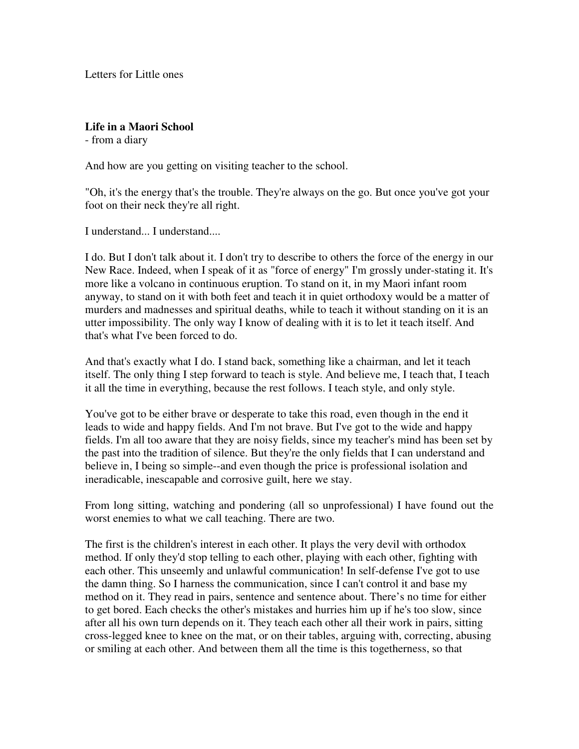Letters for Little ones

# **Life in a Maori School**

- from a diary

And how are you getting on visiting teacher to the school.

"Oh, it's the energy that's the trouble. They're always on the go. But once you've got your foot on their neck they're all right.

I understand... I understand....

I do. But I don't talk about it. I don't try to describe to others the force of the energy in our New Race. Indeed, when I speak of it as "force of energy" I'm grossly under-stating it. It's more like a volcano in continuous eruption. To stand on it, in my Maori infant room anyway, to stand on it with both feet and teach it in quiet orthodoxy would be a matter of murders and madnesses and spiritual deaths, while to teach it without standing on it is an utter impossibility. The only way I know of dealing with it is to let it teach itself. And that's what I've been forced to do.

And that's exactly what I do. I stand back, something like a chairman, and let it teach itself. The only thing I step forward to teach is style. And believe me, I teach that, I teach it all the time in everything, because the rest follows. I teach style, and only style.

You've got to be either brave or desperate to take this road, even though in the end it leads to wide and happy fields. And I'm not brave. But I've got to the wide and happy fields. I'm all too aware that they are noisy fields, since my teacher's mind has been set by the past into the tradition of silence. But they're the only fields that I can understand and believe in, I being so simple--and even though the price is professional isolation and ineradicable, inescapable and corrosive guilt, here we stay.

From long sitting, watching and pondering (all so unprofessional) I have found out the worst enemies to what we call teaching. There are two.

The first is the children's interest in each other. It plays the very devil with orthodox method. If only they'd stop telling to each other, playing with each other, fighting with each other. This unseemly and unlawful communication! In self-defense I've got to use the damn thing. So I harness the communication, since I can't control it and base my method on it. They read in pairs, sentence and sentence about. There's no time for either to get bored. Each checks the other's mistakes and hurries him up if he's too slow, since after all his own turn depends on it. They teach each other all their work in pairs, sitting cross-legged knee to knee on the mat, or on their tables, arguing with, correcting, abusing or smiling at each other. And between them all the time is this togetherness, so that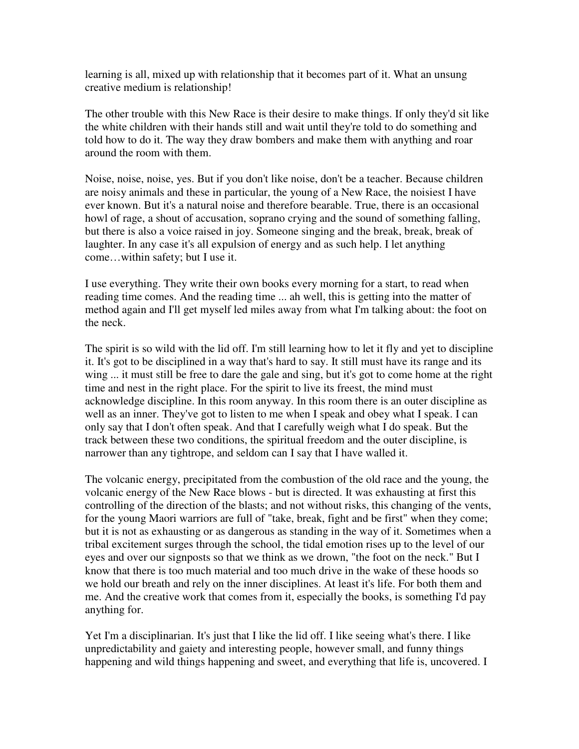learning is all, mixed up with relationship that it becomes part of it. What an unsung creative medium is relationship!

The other trouble with this New Race is their desire to make things. If only they'd sit like the white children with their hands still and wait until they're told to do something and told how to do it. The way they draw bombers and make them with anything and roar around the room with them.

Noise, noise, noise, yes. But if you don't like noise, don't be a teacher. Because children are noisy animals and these in particular, the young of a New Race, the noisiest I have ever known. But it's a natural noise and therefore bearable. True, there is an occasional howl of rage, a shout of accusation, soprano crying and the sound of something falling, but there is also a voice raised in joy. Someone singing and the break, break, break of laughter. In any case it's all expulsion of energy and as such help. I let anything come…within safety; but I use it.

I use everything. They write their own books every morning for a start, to read when reading time comes. And the reading time ... ah well, this is getting into the matter of method again and I'll get myself led miles away from what I'm talking about: the foot on the neck.

The spirit is so wild with the lid off. I'm still learning how to let it fly and yet to discipline it. It's got to be disciplined in a way that's hard to say. It still must have its range and its wing ... it must still be free to dare the gale and sing, but it's got to come home at the right time and nest in the right place. For the spirit to live its freest, the mind must acknowledge discipline. In this room anyway. In this room there is an outer discipline as well as an inner. They've got to listen to me when I speak and obey what I speak. I can only say that I don't often speak. And that I carefully weigh what I do speak. But the track between these two conditions, the spiritual freedom and the outer discipline, is narrower than any tightrope, and seldom can I say that I have walled it.

The volcanic energy, precipitated from the combustion of the old race and the young, the volcanic energy of the New Race blows - but is directed. It was exhausting at first this controlling of the direction of the blasts; and not without risks, this changing of the vents, for the young Maori warriors are full of "take, break, fight and be first" when they come; but it is not as exhausting or as dangerous as standing in the way of it. Sometimes when a tribal excitement surges through the school, the tidal emotion rises up to the level of our eyes and over our signposts so that we think as we drown, "the foot on the neck." But I know that there is too much material and too much drive in the wake of these hoods so we hold our breath and rely on the inner disciplines. At least it's life. For both them and me. And the creative work that comes from it, especially the books, is something I'd pay anything for.

Yet I'm a disciplinarian. It's just that I like the lid off. I like seeing what's there. I like unpredictability and gaiety and interesting people, however small, and funny things happening and wild things happening and sweet, and everything that life is, uncovered. I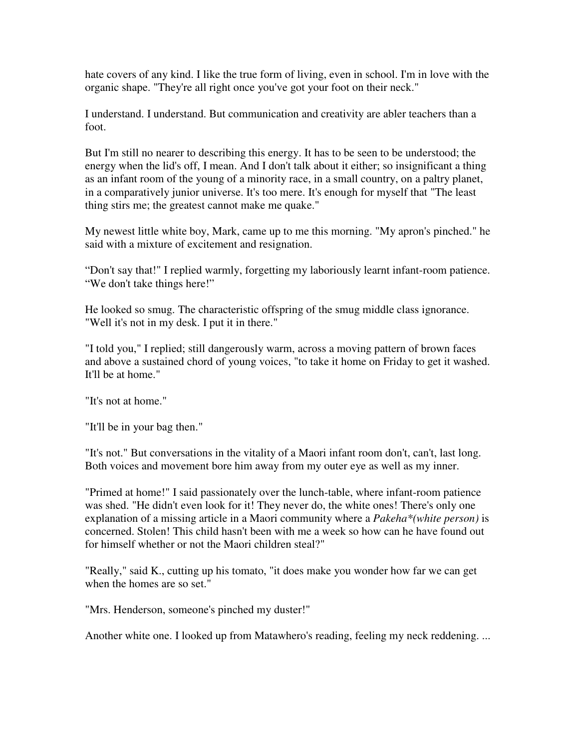hate covers of any kind. I like the true form of living, even in school. I'm in love with the organic shape. "They're all right once you've got your foot on their neck."

I understand. I understand. But communication and creativity are abler teachers than a foot.

But I'm still no nearer to describing this energy. It has to be seen to be understood; the energy when the lid's off, I mean. And I don't talk about it either; so insignificant a thing as an infant room of the young of a minority race, in a small country, on a paltry planet, in a comparatively junior universe. It's too mere. It's enough for myself that "The least thing stirs me; the greatest cannot make me quake."

My newest little white boy, Mark, came up to me this morning. "My apron's pinched." he said with a mixture of excitement and resignation.

"Don't say that!" I replied warmly, forgetting my laboriously learnt infant-room patience. "We don't take things here!"

He looked so smug. The characteristic offspring of the smug middle class ignorance. "Well it's not in my desk. I put it in there."

"I told you," I replied; still dangerously warm, across a moving pattern of brown faces and above a sustained chord of young voices, "to take it home on Friday to get it washed. It'll be at home."

"It's not at home."

"It'll be in your bag then."

"It's not." But conversations in the vitality of a Maori infant room don't, can't, last long. Both voices and movement bore him away from my outer eye as well as my inner.

"Primed at home!" I said passionately over the lunch-table, where infant-room patience was shed. "He didn't even look for it! They never do, the white ones! There's only one explanation of a missing article in a Maori community where a *Pakeha\*(white person)* is concerned. Stolen! This child hasn't been with me a week so how can he have found out for himself whether or not the Maori children steal?"

"Really," said K., cutting up his tomato, "it does make you wonder how far we can get when the homes are so set."

"Mrs. Henderson, someone's pinched my duster!"

Another white one. I looked up from Matawhero's reading, feeling my neck reddening. ...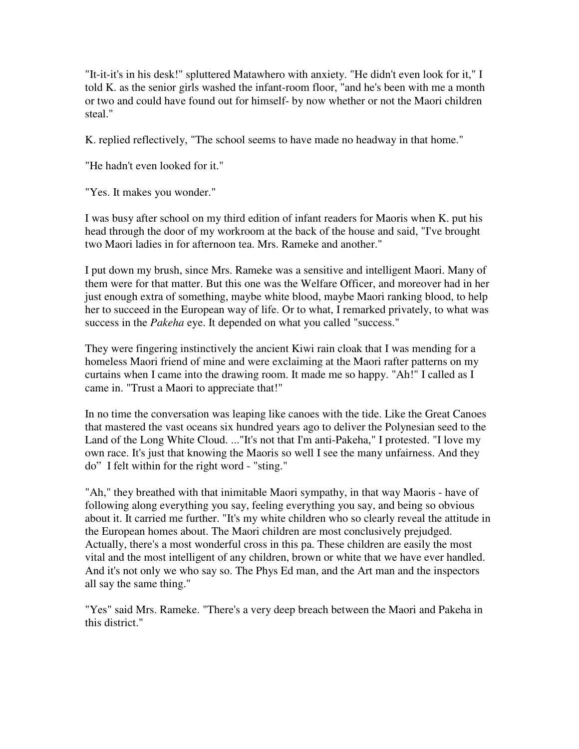"It-it-it's in his desk!" spluttered Matawhero with anxiety. "He didn't even look for it," I told K. as the senior girls washed the infant-room floor, "and he's been with me a month or two and could have found out for himself- by now whether or not the Maori children steal."

K. replied reflectively, "The school seems to have made no headway in that home."

"He hadn't even looked for it."

"Yes. It makes you wonder."

I was busy after school on my third edition of infant readers for Maoris when K. put his head through the door of my workroom at the back of the house and said, "I've brought two Maori ladies in for afternoon tea. Mrs. Rameke and another."

I put down my brush, since Mrs. Rameke was a sensitive and intelligent Maori. Many of them were for that matter. But this one was the Welfare Officer, and moreover had in her just enough extra of something, maybe white blood, maybe Maori ranking blood, to help her to succeed in the European way of life. Or to what, I remarked privately, to what was success in the *Pakeha* eye. It depended on what you called "success."

They were fingering instinctively the ancient Kiwi rain cloak that I was mending for a homeless Maori friend of mine and were exclaiming at the Maori rafter patterns on my curtains when I came into the drawing room. It made me so happy. "Ah!" I called as I came in. "Trust a Maori to appreciate that!"

In no time the conversation was leaping like canoes with the tide. Like the Great Canoes that mastered the vast oceans six hundred years ago to deliver the Polynesian seed to the Land of the Long White Cloud. ..."It's not that I'm anti-Pakeha," I protested. "I love my own race. It's just that knowing the Maoris so well I see the many unfairness. And they do" I felt within for the right word - "sting."

"Ah," they breathed with that inimitable Maori sympathy, in that way Maoris - have of following along everything you say, feeling everything you say, and being so obvious about it. It carried me further. "It's my white children who so clearly reveal the attitude in the European homes about. The Maori children are most conclusively prejudged. Actually, there's a most wonderful cross in this pa. These children are easily the most vital and the most intelligent of any children, brown or white that we have ever handled. And it's not only we who say so. The Phys Ed man, and the Art man and the inspectors all say the same thing."

"Yes" said Mrs. Rameke. "There's a very deep breach between the Maori and Pakeha in this district."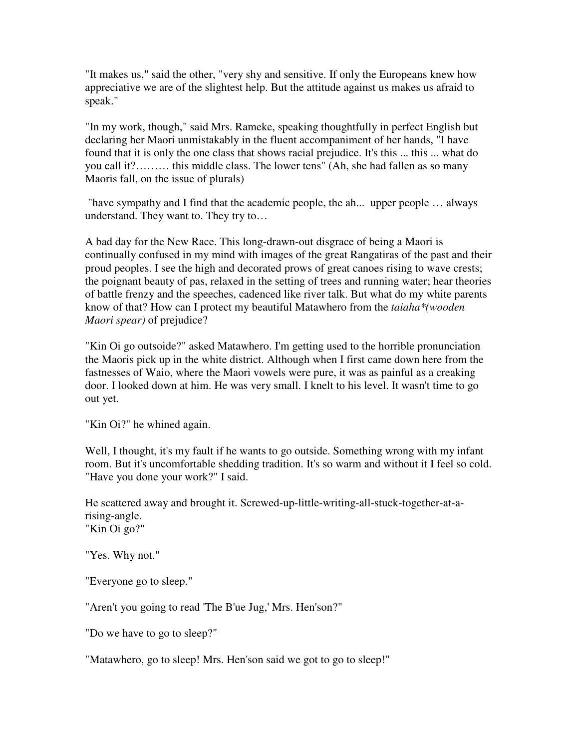"It makes us," said the other, "very shy and sensitive. If only the Europeans knew how appreciative we are of the slightest help. But the attitude against us makes us afraid to speak."

"In my work, though," said Mrs. Rameke, speaking thoughtfully in perfect English but declaring her Maori unmistakably in the fluent accompaniment of her hands, "I have found that it is only the one class that shows racial prejudice. It's this ... this ... what do you call it?……… this middle class. The lower tens" (Ah, she had fallen as so many Maoris fall, on the issue of plurals)

 "have sympathy and I find that the academic people, the ah... upper people … always understand. They want to. They try to…

A bad day for the New Race. This long-drawn-out disgrace of being a Maori is continually confused in my mind with images of the great Rangatiras of the past and their proud peoples. I see the high and decorated prows of great canoes rising to wave crests; the poignant beauty of pas, relaxed in the setting of trees and running water; hear theories of battle frenzy and the speeches, cadenced like river talk. But what do my white parents know of that? How can I protect my beautiful Matawhero from the *taiaha\*(wooden Maori spear)* of prejudice?

"Kin Oi go outsoide?" asked Matawhero. I'm getting used to the horrible pronunciation the Maoris pick up in the white district. Although when I first came down here from the fastnesses of Waio, where the Maori vowels were pure, it was as painful as a creaking door. I looked down at him. He was very small. I knelt to his level. It wasn't time to go out yet.

"Kin Oi?" he whined again.

Well, I thought, it's my fault if he wants to go outside. Something wrong with my infant room. But it's uncomfortable shedding tradition. It's so warm and without it I feel so cold. "Have you done your work?" I said.

He scattered away and brought it. Screwed-up-little-writing-all-stuck-together-at-arising-angle. "Kin Oi go?"

"Yes. Why not."

"Everyone go to sleep."

"Aren't you going to read 'The B'ue Jug,' Mrs. Hen'son?"

"Do we have to go to sleep?"

"Matawhero, go to sleep! Mrs. Hen'son said we got to go to sleep!"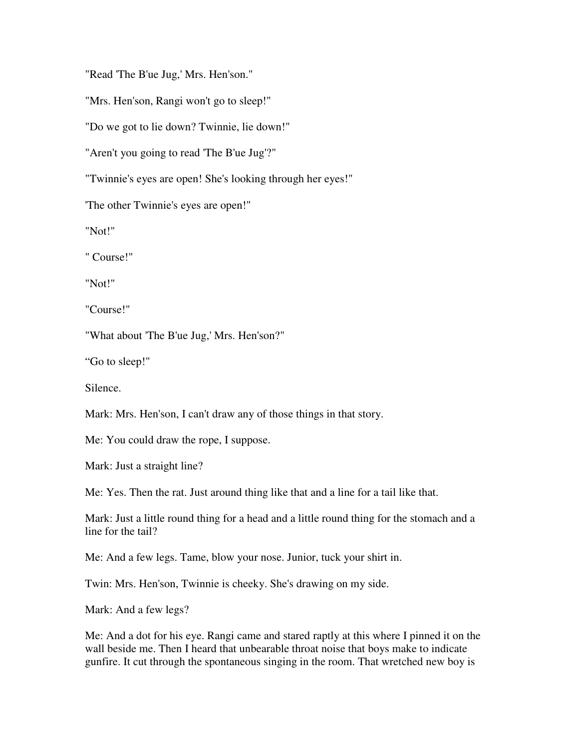"Read 'The B'ue Jug,' Mrs. Hen'son."

"Mrs. Hen'son, Rangi won't go to sleep!"

"Do we got to lie down? Twinnie, lie down!"

"Aren't you going to read 'The B'ue Jug'?"

"Twinnie's eyes are open! She's looking through her eyes!"

'The other Twinnie's eyes are open!"

"Not!"

" Course!"

"Not!"

"Course!"

"What about 'The B'ue Jug,' Mrs. Hen'son?"

"Go to sleep!"

Silence.

Mark: Mrs. Hen'son, I can't draw any of those things in that story.

Me: You could draw the rope, I suppose.

Mark: Just a straight line?

Me: Yes. Then the rat. Just around thing like that and a line for a tail like that.

Mark: Just a little round thing for a head and a little round thing for the stomach and a line for the tail?

Me: And a few legs. Tame, blow your nose. Junior, tuck your shirt in.

Twin: Mrs. Hen'son, Twinnie is cheeky. She's drawing on my side.

Mark: And a few legs?

Me: And a dot for his eye. Rangi came and stared raptly at this where I pinned it on the wall beside me. Then I heard that unbearable throat noise that boys make to indicate gunfire. It cut through the spontaneous singing in the room. That wretched new boy is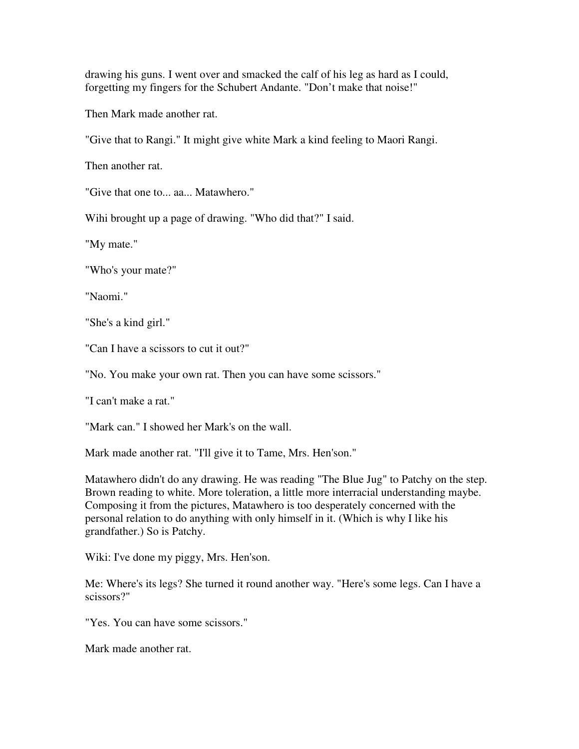drawing his guns. I went over and smacked the calf of his leg as hard as I could, forgetting my fingers for the Schubert Andante. "Don't make that noise!"

Then Mark made another rat.

"Give that to Rangi." It might give white Mark a kind feeling to Maori Rangi.

Then another rat.

"Give that one to... aa... Matawhero."

Wihi brought up a page of drawing. "Who did that?" I said.

"My mate."

"Who's your mate?"

"Naomi."

"She's a kind girl."

"Can I have a scissors to cut it out?"

"No. You make your own rat. Then you can have some scissors."

"I can't make a rat."

"Mark can." I showed her Mark's on the wall.

Mark made another rat. "I'll give it to Tame, Mrs. Hen'son."

Matawhero didn't do any drawing. He was reading "The Blue Jug" to Patchy on the step. Brown reading to white. More toleration, a little more interracial understanding maybe. Composing it from the pictures, Matawhero is too desperately concerned with the personal relation to do anything with only himself in it. (Which is why I like his grandfather.) So is Patchy.

Wiki: I've done my piggy, Mrs. Hen'son.

Me: Where's its legs? She turned it round another way. "Here's some legs. Can I have a scissors?"

"Yes. You can have some scissors."

Mark made another rat.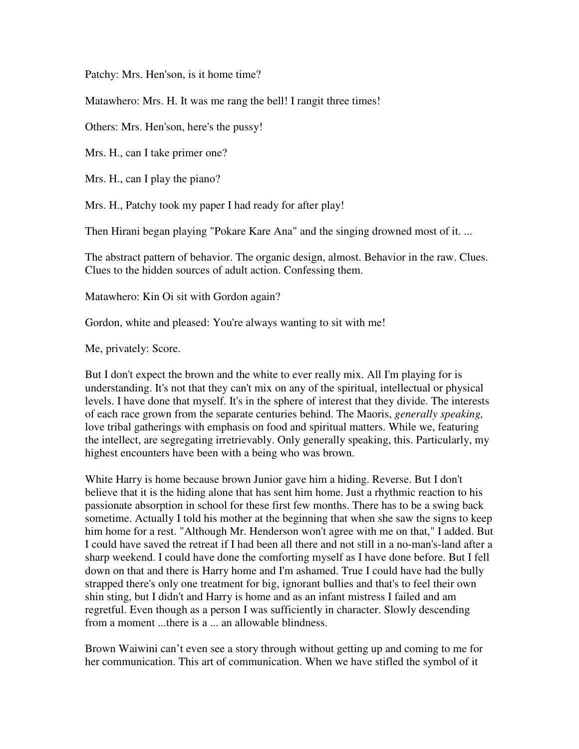Patchy: Mrs. Hen'son, is it home time?

Matawhero: Mrs. H. It was me rang the bell! I rangit three times!

Others: Mrs. Hen'son, here's the pussy!

Mrs. H., can I take primer one?

Mrs. H., can I play the piano?

Mrs. H., Patchy took my paper I had ready for after play!

Then Hirani began playing "Pokare Kare Ana" and the singing drowned most of it. ...

The abstract pattern of behavior. The organic design, almost. Behavior in the raw. Clues. Clues to the hidden sources of adult action. Confessing them.

Matawhero: Kin Oi sit with Gordon again?

Gordon, white and pleased: You're always wanting to sit with me!

Me, privately: Score.

But I don't expect the brown and the white to ever really mix. All I'm playing for is understanding. It's not that they can't mix on any of the spiritual, intellectual or physical levels. I have done that myself. It's in the sphere of interest that they divide. The interests of each race grown from the separate centuries behind. The Maoris, *generally speaking,* love tribal gatherings with emphasis on food and spiritual matters. While we, featuring the intellect, are segregating irretrievably. Only generally speaking, this. Particularly, my highest encounters have been with a being who was brown.

White Harry is home because brown Junior gave him a hiding. Reverse. But I don't believe that it is the hiding alone that has sent him home. Just a rhythmic reaction to his passionate absorption in school for these first few months. There has to be a swing back sometime. Actually I told his mother at the beginning that when she saw the signs to keep him home for a rest. "Although Mr. Henderson won't agree with me on that," I added. But I could have saved the retreat if I had been all there and not still in a no-man's-land after a sharp weekend. I could have done the comforting myself as I have done before. But I fell down on that and there is Harry home and I'm ashamed. True I could have had the bully strapped there's only one treatment for big, ignorant bullies and that's to feel their own shin sting, but I didn't and Harry is home and as an infant mistress I failed and am regretful. Even though as a person I was sufficiently in character. Slowly descending from a moment ...there is a ... an allowable blindness.

Brown Waiwini can't even see a story through without getting up and coming to me for her communication. This art of communication. When we have stifled the symbol of it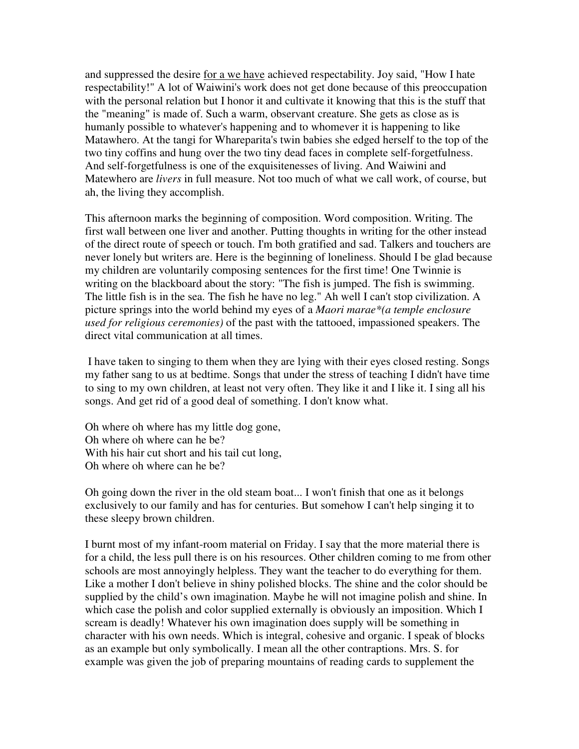and suppressed the desire for a we have achieved respectability. Joy said, "How I hate respectability!" A lot of Waiwini's work does not get done because of this preoccupation with the personal relation but I honor it and cultivate it knowing that this is the stuff that the "meaning" is made of. Such a warm, observant creature. She gets as close as is humanly possible to whatever's happening and to whomever it is happening to like Matawhero. At the tangi for Whareparita's twin babies she edged herself to the top of the two tiny coffins and hung over the two tiny dead faces in complete self-forgetfulness. And self-forgetfulness is one of the exquisitenesses of living. And Waiwini and Matewhero are *livers* in full measure. Not too much of what we call work, of course, but ah, the living they accomplish.

This afternoon marks the beginning of composition. Word composition. Writing. The first wall between one liver and another. Putting thoughts in writing for the other instead of the direct route of speech or touch. I'm both gratified and sad. Talkers and touchers are never lonely but writers are. Here is the beginning of loneliness. Should I be glad because my children are voluntarily composing sentences for the first time! One Twinnie is writing on the blackboard about the story: "The fish is jumped. The fish is swimming. The little fish is in the sea. The fish he have no leg." Ah well I can't stop civilization. A picture springs into the world behind my eyes of a *Maori marae\*(a temple enclosure used for religious ceremonies)* of the past with the tattooed, impassioned speakers. The direct vital communication at all times.

 I have taken to singing to them when they are lying with their eyes closed resting. Songs my father sang to us at bedtime. Songs that under the stress of teaching I didn't have time to sing to my own children, at least not very often. They like it and I like it. I sing all his songs. And get rid of a good deal of something. I don't know what.

Oh where oh where has my little dog gone, Oh where oh where can he be? With his hair cut short and his tail cut long, Oh where oh where can he be?

Oh going down the river in the old steam boat... I won't finish that one as it belongs exclusively to our family and has for centuries. But somehow I can't help singing it to these sleepy brown children.

I burnt most of my infant-room material on Friday. I say that the more material there is for a child, the less pull there is on his resources. Other children coming to me from other schools are most annoyingly helpless. They want the teacher to do everything for them. Like a mother I don't believe in shiny polished blocks. The shine and the color should be supplied by the child's own imagination. Maybe he will not imagine polish and shine. In which case the polish and color supplied externally is obviously an imposition. Which I scream is deadly! Whatever his own imagination does supply will be something in character with his own needs. Which is integral, cohesive and organic. I speak of blocks as an example but only symbolically. I mean all the other contraptions. Mrs. S. for example was given the job of preparing mountains of reading cards to supplement the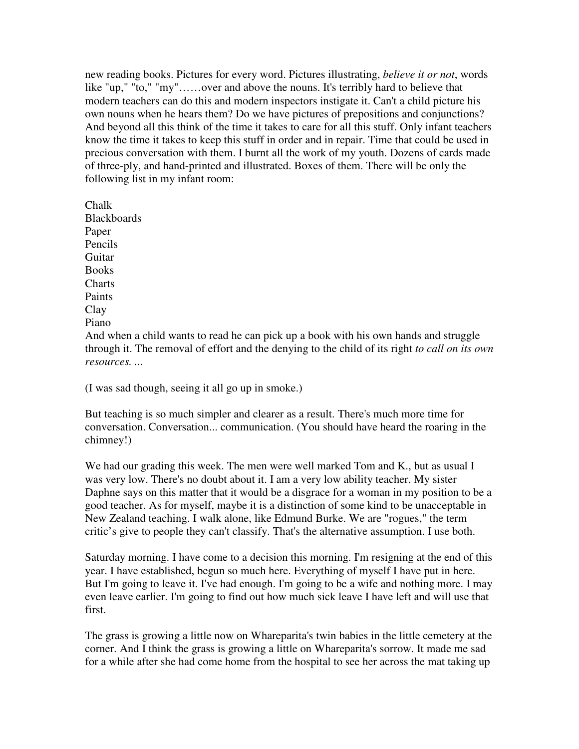new reading books. Pictures for every word. Pictures illustrating, *believe it or not*, words like "up," "to," "my"……over and above the nouns. It's terribly hard to believe that modern teachers can do this and modern inspectors instigate it. Can't a child picture his own nouns when he hears them? Do we have pictures of prepositions and conjunctions? And beyond all this think of the time it takes to care for all this stuff. Only infant teachers know the time it takes to keep this stuff in order and in repair. Time that could be used in precious conversation with them. I burnt all the work of my youth. Dozens of cards made of three-ply, and hand-printed and illustrated. Boxes of them. There will be only the following list in my infant room:

Chalk Blackboards Paper Pencils Guitar **Books Charts** Paints Clay Piano

And when a child wants to read he can pick up a book with his own hands and struggle through it. The removal of effort and the denying to the child of its right *to call on its own resources. ...*

(I was sad though, seeing it all go up in smoke.)

But teaching is so much simpler and clearer as a result. There's much more time for conversation. Conversation... communication. (You should have heard the roaring in the chimney!)

We had our grading this week. The men were well marked Tom and K., but as usual I was very low. There's no doubt about it. I am a very low ability teacher. My sister Daphne says on this matter that it would be a disgrace for a woman in my position to be a good teacher. As for myself, maybe it is a distinction of some kind to be unacceptable in New Zealand teaching. I walk alone, like Edmund Burke. We are "rogues," the term critic's give to people they can't classify. That's the alternative assumption. I use both.

Saturday morning. I have come to a decision this morning. I'm resigning at the end of this year. I have established, begun so much here. Everything of myself I have put in here. But I'm going to leave it. I've had enough. I'm going to be a wife and nothing more. I may even leave earlier. I'm going to find out how much sick leave I have left and will use that first.

The grass is growing a little now on Whareparita's twin babies in the little cemetery at the corner. And I think the grass is growing a little on Whareparita's sorrow. It made me sad for a while after she had come home from the hospital to see her across the mat taking up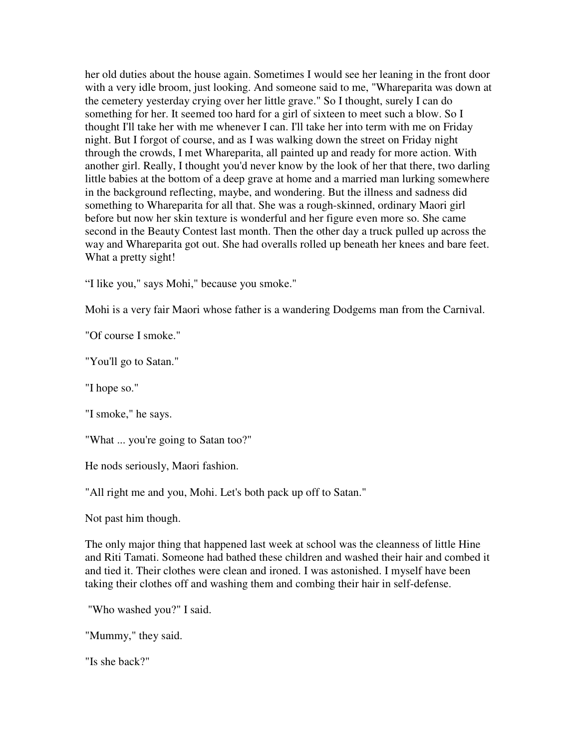her old duties about the house again. Sometimes I would see her leaning in the front door with a very idle broom, just looking. And someone said to me, "Whareparita was down at the cemetery yesterday crying over her little grave." So I thought, surely I can do something for her. It seemed too hard for a girl of sixteen to meet such a blow. So I thought I'll take her with me whenever I can. I'll take her into term with me on Friday night. But I forgot of course, and as I was walking down the street on Friday night through the crowds, I met Whareparita, all painted up and ready for more action. With another girl. Really, I thought you'd never know by the look of her that there, two darling little babies at the bottom of a deep grave at home and a married man lurking somewhere in the background reflecting, maybe, and wondering. But the illness and sadness did something to Whareparita for all that. She was a rough-skinned, ordinary Maori girl before but now her skin texture is wonderful and her figure even more so. She came second in the Beauty Contest last month. Then the other day a truck pulled up across the way and Whareparita got out. She had overalls rolled up beneath her knees and bare feet. What a pretty sight!

"I like you," says Mohi," because you smoke."

Mohi is a very fair Maori whose father is a wandering Dodgems man from the Carnival.

"Of course I smoke."

"You'll go to Satan."

"I hope so."

"I smoke," he says.

"What ... you're going to Satan too?"

He nods seriously, Maori fashion.

"All right me and you, Mohi. Let's both pack up off to Satan."

Not past him though.

The only major thing that happened last week at school was the cleanness of little Hine and Riti Tamati. Someone had bathed these children and washed their hair and combed it and tied it. Their clothes were clean and ironed. I was astonished. I myself have been taking their clothes off and washing them and combing their hair in self-defense.

"Who washed you?" I said.

"Mummy," they said.

"Is she back?"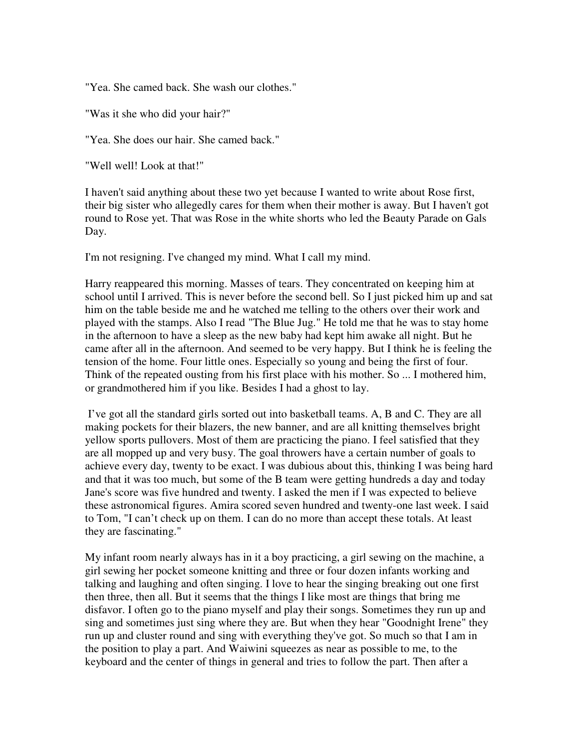"Yea. She camed back. She wash our clothes."

"Was it she who did your hair?"

"Yea. She does our hair. She camed back."

"Well well! Look at that!"

I haven't said anything about these two yet because I wanted to write about Rose first, their big sister who allegedly cares for them when their mother is away. But I haven't got round to Rose yet. That was Rose in the white shorts who led the Beauty Parade on Gals Day.

I'm not resigning. I've changed my mind. What I call my mind.

Harry reappeared this morning. Masses of tears. They concentrated on keeping him at school until I arrived. This is never before the second bell. So I just picked him up and sat him on the table beside me and he watched me telling to the others over their work and played with the stamps. Also I read "The Blue Jug." He told me that he was to stay home in the afternoon to have a sleep as the new baby had kept him awake all night. But he came after all in the afternoon. And seemed to be very happy. But I think he is feeling the tension of the home. Four little ones. Especially so young and being the first of four. Think of the repeated ousting from his first place with his mother. So ... I mothered him, or grandmothered him if you like. Besides I had a ghost to lay.

 I've got all the standard girls sorted out into basketball teams. A, B and C. They are all making pockets for their blazers, the new banner, and are all knitting themselves bright yellow sports pullovers. Most of them are practicing the piano. I feel satisfied that they are all mopped up and very busy. The goal throwers have a certain number of goals to achieve every day, twenty to be exact. I was dubious about this, thinking I was being hard and that it was too much, but some of the B team were getting hundreds a day and today Jane's score was five hundred and twenty. I asked the men if I was expected to believe these astronomical figures. Amira scored seven hundred and twenty-one last week. I said to Tom, "I can't check up on them. I can do no more than accept these totals. At least they are fascinating."

My infant room nearly always has in it a boy practicing, a girl sewing on the machine, a girl sewing her pocket someone knitting and three or four dozen infants working and talking and laughing and often singing. I love to hear the singing breaking out one first then three, then all. But it seems that the things I like most are things that bring me disfavor. I often go to the piano myself and play their songs. Sometimes they run up and sing and sometimes just sing where they are. But when they hear "Goodnight Irene" they run up and cluster round and sing with everything they've got. So much so that I am in the position to play a part. And Waiwini squeezes as near as possible to me, to the keyboard and the center of things in general and tries to follow the part. Then after a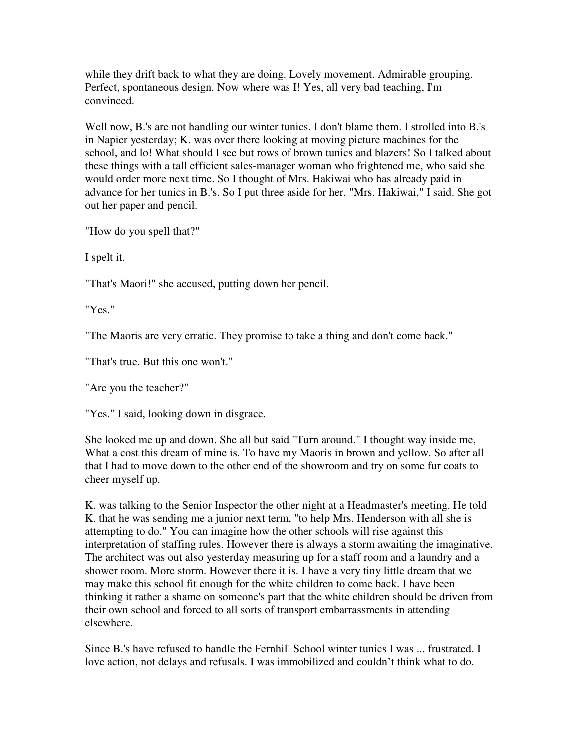while they drift back to what they are doing. Lovely movement. Admirable grouping. Perfect, spontaneous design. Now where was I! Yes, all very bad teaching, I'm convinced.

Well now, B.'s are not handling our winter tunics. I don't blame them. I strolled into B.'s in Napier yesterday; K. was over there looking at moving picture machines for the school, and lo! What should I see but rows of brown tunics and blazers! So I talked about these things with a tall efficient sales-manager woman who frightened me, who said she would order more next time. So I thought of Mrs. Hakiwai who has already paid in advance for her tunics in B.'s. So I put three aside for her. "Mrs. Hakiwai," I said. She got out her paper and pencil.

"How do you spell that?"

I spelt it.

"That's Maori!" she accused, putting down her pencil.

"Yes."

"The Maoris are very erratic. They promise to take a thing and don't come back."

"That's true. But this one won't."

"Are you the teacher?"

"Yes." I said, looking down in disgrace.

She looked me up and down. She all but said "Turn around." I thought way inside me, What a cost this dream of mine is. To have my Maoris in brown and yellow. So after all that I had to move down to the other end of the showroom and try on some fur coats to cheer myself up.

K. was talking to the Senior Inspector the other night at a Headmaster's meeting. He told K. that he was sending me a junior next term, "to help Mrs. Henderson with all she is attempting to do." You can imagine how the other schools will rise against this interpretation of staffing rules. However there is always a storm awaiting the imaginative. The architect was out also yesterday measuring up for a staff room and a laundry and a shower room. More storm. However there it is. I have a very tiny little dream that we may make this school fit enough for the white children to come back. I have been thinking it rather a shame on someone's part that the white children should be driven from their own school and forced to all sorts of transport embarrassments in attending elsewhere.

Since B.'s have refused to handle the Fernhill School winter tunics I was ... frustrated. I love action, not delays and refusals. I was immobilized and couldn't think what to do.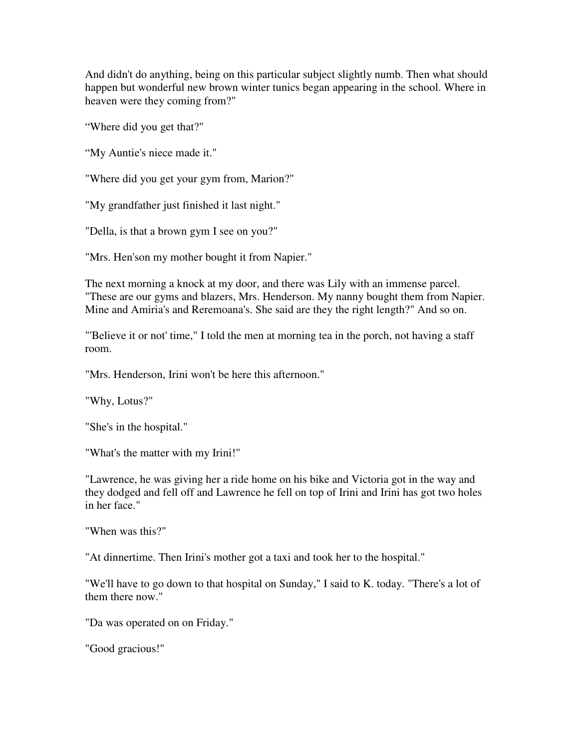And didn't do anything, being on this particular subject slightly numb. Then what should happen but wonderful new brown winter tunics began appearing in the school. Where in heaven were they coming from?"

"Where did you get that?"

"My Auntie's niece made it."

"Where did you get your gym from, Marion?"

"My grandfather just finished it last night."

"Della, is that a brown gym I see on you?"

"Mrs. Hen'son my mother bought it from Napier."

The next morning a knock at my door, and there was Lily with an immense parcel. "These are our gyms and blazers, Mrs. Henderson. My nanny bought them from Napier. Mine and Amiria's and Reremoana's. She said are they the right length?" And so on.

"'Believe it or not' time," I told the men at morning tea in the porch, not having a staff room.

"Mrs. Henderson, Irini won't be here this afternoon."

"Why, Lotus?"

"She's in the hospital."

"What's the matter with my Irini!"

"Lawrence, he was giving her a ride home on his bike and Victoria got in the way and they dodged and fell off and Lawrence he fell on top of Irini and Irini has got two holes in her face."

"When was this?"

"At dinnertime. Then Irini's mother got a taxi and took her to the hospital."

"We'll have to go down to that hospital on Sunday," I said to K. today. "There's a lot of them there now."

"Da was operated on on Friday."

"Good gracious!"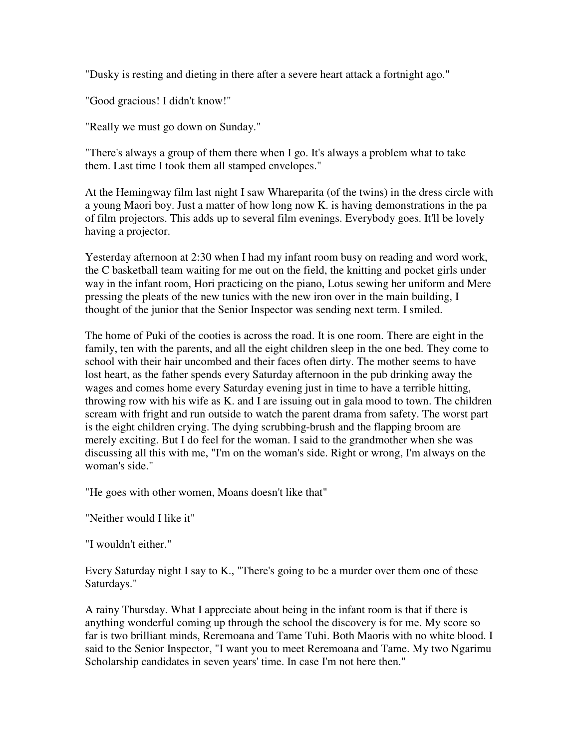"Dusky is resting and dieting in there after a severe heart attack a fortnight ago."

"Good gracious! I didn't know!"

"Really we must go down on Sunday."

"There's always a group of them there when I go. It's always a problem what to take them. Last time I took them all stamped envelopes."

At the Hemingway film last night I saw Whareparita (of the twins) in the dress circle with a young Maori boy. Just a matter of how long now K. is having demonstrations in the pa of film projectors. This adds up to several film evenings. Everybody goes. It'll be lovely having a projector.

Yesterday afternoon at 2:30 when I had my infant room busy on reading and word work, the C basketball team waiting for me out on the field, the knitting and pocket girls under way in the infant room, Hori practicing on the piano, Lotus sewing her uniform and Mere pressing the pleats of the new tunics with the new iron over in the main building, I thought of the junior that the Senior Inspector was sending next term. I smiled.

The home of Puki of the cooties is across the road. It is one room. There are eight in the family, ten with the parents, and all the eight children sleep in the one bed. They come to school with their hair uncombed and their faces often dirty. The mother seems to have lost heart, as the father spends every Saturday afternoon in the pub drinking away the wages and comes home every Saturday evening just in time to have a terrible hitting, throwing row with his wife as K. and I are issuing out in gala mood to town. The children scream with fright and run outside to watch the parent drama from safety. The worst part is the eight children crying. The dying scrubbing-brush and the flapping broom are merely exciting. But I do feel for the woman. I said to the grandmother when she was discussing all this with me, "I'm on the woman's side. Right or wrong, I'm always on the woman's side."

"He goes with other women, Moans doesn't like that"

"Neither would I like it"

"I wouldn't either."

Every Saturday night I say to K., "There's going to be a murder over them one of these Saturdays."

A rainy Thursday. What I appreciate about being in the infant room is that if there is anything wonderful coming up through the school the discovery is for me. My score so far is two brilliant minds, Reremoana and Tame Tuhi. Both Maoris with no white blood. I said to the Senior Inspector, "I want you to meet Reremoana and Tame. My two Ngarimu Scholarship candidates in seven years' time. In case I'm not here then."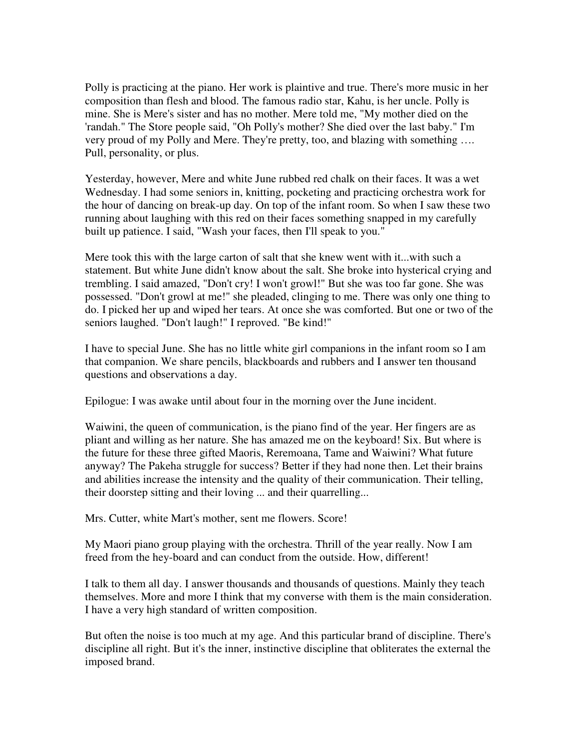Polly is practicing at the piano. Her work is plaintive and true. There's more music in her composition than flesh and blood. The famous radio star, Kahu, is her uncle. Polly is mine. She is Mere's sister and has no mother. Mere told me, "My mother died on the 'randah." The Store people said, "Oh Polly's mother? She died over the last baby." I'm very proud of my Polly and Mere. They're pretty, too, and blazing with something …. Pull, personality, or plus.

Yesterday, however, Mere and white June rubbed red chalk on their faces. It was a wet Wednesday. I had some seniors in, knitting, pocketing and practicing orchestra work for the hour of dancing on break-up day. On top of the infant room. So when I saw these two running about laughing with this red on their faces something snapped in my carefully built up patience. I said, "Wash your faces, then I'll speak to you."

Mere took this with the large carton of salt that she knew went with it...with such a statement. But white June didn't know about the salt. She broke into hysterical crying and trembling. I said amazed, "Don't cry! I won't growl!" But she was too far gone. She was possessed. "Don't growl at me!" she pleaded, clinging to me. There was only one thing to do. I picked her up and wiped her tears. At once she was comforted. But one or two of the seniors laughed. "Don't laugh!" I reproved. "Be kind!"

I have to special June. She has no little white girl companions in the infant room so I am that companion. We share pencils, blackboards and rubbers and I answer ten thousand questions and observations a day.

Epilogue: I was awake until about four in the morning over the June incident.

Waiwini, the queen of communication, is the piano find of the year. Her fingers are as pliant and willing as her nature. She has amazed me on the keyboard! Six. But where is the future for these three gifted Maoris, Reremoana, Tame and Waiwini? What future anyway? The Pakeha struggle for success? Better if they had none then. Let their brains and abilities increase the intensity and the quality of their communication. Their telling, their doorstep sitting and their loving ... and their quarrelling...

Mrs. Cutter, white Mart's mother, sent me flowers. Score!

My Maori piano group playing with the orchestra. Thrill of the year really. Now I am freed from the hey-board and can conduct from the outside. How, different!

I talk to them all day. I answer thousands and thousands of questions. Mainly they teach themselves. More and more I think that my converse with them is the main consideration. I have a very high standard of written composition.

But often the noise is too much at my age. And this particular brand of discipline. There's discipline all right. But it's the inner, instinctive discipline that obliterates the external the imposed brand.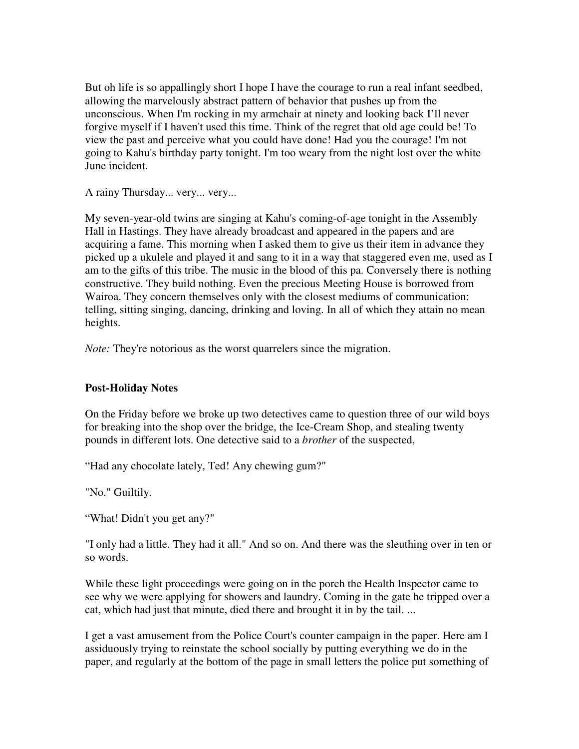But oh life is so appallingly short I hope I have the courage to run a real infant seedbed, allowing the marvelously abstract pattern of behavior that pushes up from the unconscious. When I'm rocking in my armchair at ninety and looking back I'll never forgive myself if I haven't used this time. Think of the regret that old age could be! To view the past and perceive what you could have done! Had you the courage! I'm not going to Kahu's birthday party tonight. I'm too weary from the night lost over the white June incident.

A rainy Thursday... very... very...

My seven-year-old twins are singing at Kahu's coming-of-age tonight in the Assembly Hall in Hastings. They have already broadcast and appeared in the papers and are acquiring a fame. This morning when I asked them to give us their item in advance they picked up a ukulele and played it and sang to it in a way that staggered even me, used as I am to the gifts of this tribe. The music in the blood of this pa. Conversely there is nothing constructive. They build nothing. Even the precious Meeting House is borrowed from Wairoa. They concern themselves only with the closest mediums of communication: telling, sitting singing, dancing, drinking and loving. In all of which they attain no mean heights.

*Note:* They're notorious as the worst quarrelers since the migration.

# **Post-Holiday Notes**

On the Friday before we broke up two detectives came to question three of our wild boys for breaking into the shop over the bridge, the Ice-Cream Shop, and stealing twenty pounds in different lots. One detective said to a *brother* of the suspected,

"Had any chocolate lately, Ted! Any chewing gum?"

"No." Guiltily.

"What! Didn't you get any?"

"I only had a little. They had it all." And so on. And there was the sleuthing over in ten or so words.

While these light proceedings were going on in the porch the Health Inspector came to see why we were applying for showers and laundry. Coming in the gate he tripped over a cat, which had just that minute, died there and brought it in by the tail. ...

I get a vast amusement from the Police Court's counter campaign in the paper. Here am I assiduously trying to reinstate the school socially by putting everything we do in the paper, and regularly at the bottom of the page in small letters the police put something of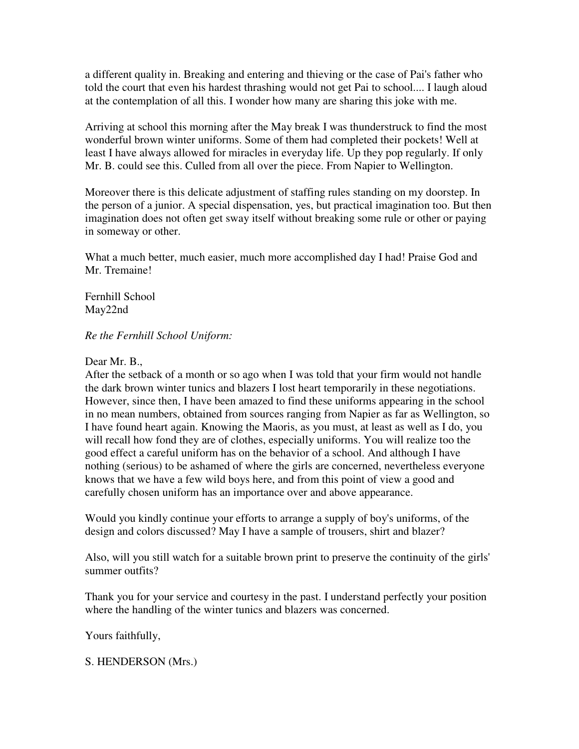a different quality in. Breaking and entering and thieving or the case of Pai's father who told the court that even his hardest thrashing would not get Pai to school.... I laugh aloud at the contemplation of all this. I wonder how many are sharing this joke with me.

Arriving at school this morning after the May break I was thunderstruck to find the most wonderful brown winter uniforms. Some of them had completed their pockets! Well at least I have always allowed for miracles in everyday life. Up they pop regularly. If only Mr. B. could see this. Culled from all over the piece. From Napier to Wellington.

Moreover there is this delicate adjustment of staffing rules standing on my doorstep. In the person of a junior. A special dispensation, yes, but practical imagination too. But then imagination does not often get sway itself without breaking some rule or other or paying in someway or other.

What a much better, much easier, much more accomplished day I had! Praise God and Mr. Tremaine!

Fernhill School May22nd

*Re the Fernhill School Uniform:* 

Dear Mr. B.,

After the setback of a month or so ago when I was told that your firm would not handle the dark brown winter tunics and blazers I lost heart temporarily in these negotiations. However, since then, I have been amazed to find these uniforms appearing in the school in no mean numbers, obtained from sources ranging from Napier as far as Wellington, so I have found heart again. Knowing the Maoris, as you must, at least as well as I do, you will recall how fond they are of clothes, especially uniforms. You will realize too the good effect a careful uniform has on the behavior of a school. And although I have nothing (serious) to be ashamed of where the girls are concerned, nevertheless everyone knows that we have a few wild boys here, and from this point of view a good and carefully chosen uniform has an importance over and above appearance.

Would you kindly continue your efforts to arrange a supply of boy's uniforms, of the design and colors discussed? May I have a sample of trousers, shirt and blazer?

Also, will you still watch for a suitable brown print to preserve the continuity of the girls' summer outfits?

Thank you for your service and courtesy in the past. I understand perfectly your position where the handling of the winter tunics and blazers was concerned.

Yours faithfully,

S. HENDERSON (Mrs.)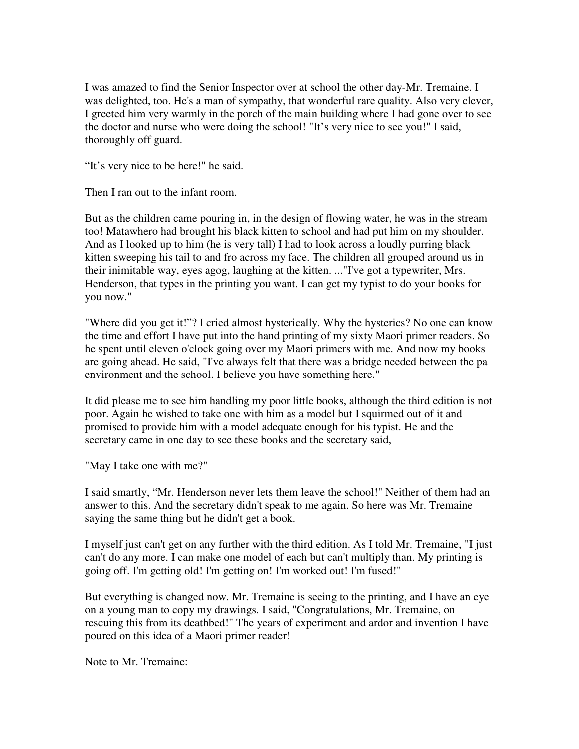I was amazed to find the Senior Inspector over at school the other day-Mr. Tremaine. I was delighted, too. He's a man of sympathy, that wonderful rare quality. Also very clever, I greeted him very warmly in the porch of the main building where I had gone over to see the doctor and nurse who were doing the school! "It's very nice to see you!" I said, thoroughly off guard.

"It's very nice to be here!" he said.

Then I ran out to the infant room.

But as the children came pouring in, in the design of flowing water, he was in the stream too! Matawhero had brought his black kitten to school and had put him on my shoulder. And as I looked up to him (he is very tall) I had to look across a loudly purring black kitten sweeping his tail to and fro across my face. The children all grouped around us in their inimitable way, eyes agog, laughing at the kitten. ..."I've got a typewriter, Mrs. Henderson, that types in the printing you want. I can get my typist to do your books for you now."

"Where did you get it!"? I cried almost hysterically. Why the hysterics? No one can know the time and effort I have put into the hand printing of my sixty Maori primer readers. So he spent until eleven o'clock going over my Maori primers with me. And now my books are going ahead. He said, "I've always felt that there was a bridge needed between the pa environment and the school. I believe you have something here."

It did please me to see him handling my poor little books, although the third edition is not poor. Again he wished to take one with him as a model but I squirmed out of it and promised to provide him with a model adequate enough for his typist. He and the secretary came in one day to see these books and the secretary said,

"May I take one with me?"

I said smartly, "Mr. Henderson never lets them leave the school!" Neither of them had an answer to this. And the secretary didn't speak to me again. So here was Mr. Tremaine saying the same thing but he didn't get a book.

I myself just can't get on any further with the third edition. As I told Mr. Tremaine, "I just can't do any more. I can make one model of each but can't multiply than. My printing is going off. I'm getting old! I'm getting on! I'm worked out! I'm fused!"

But everything is changed now. Mr. Tremaine is seeing to the printing, and I have an eye on a young man to copy my drawings. I said, "Congratulations, Mr. Tremaine, on rescuing this from its deathbed!" The years of experiment and ardor and invention I have poured on this idea of a Maori primer reader!

Note to Mr. Tremaine: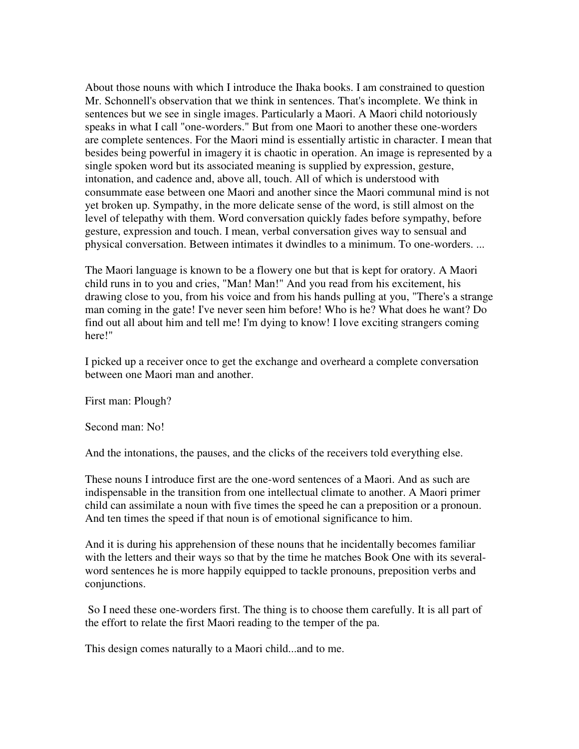About those nouns with which I introduce the Ihaka books. I am constrained to question Mr. Schonnell's observation that we think in sentences. That's incomplete. We think in sentences but we see in single images. Particularly a Maori. A Maori child notoriously speaks in what I call "one-worders." But from one Maori to another these one-worders are complete sentences. For the Maori mind is essentially artistic in character. I mean that besides being powerful in imagery it is chaotic in operation. An image is represented by a single spoken word but its associated meaning is supplied by expression, gesture, intonation, and cadence and, above all, touch. All of which is understood with consummate ease between one Maori and another since the Maori communal mind is not yet broken up. Sympathy, in the more delicate sense of the word, is still almost on the level of telepathy with them. Word conversation quickly fades before sympathy, before gesture, expression and touch. I mean, verbal conversation gives way to sensual and physical conversation. Between intimates it dwindles to a minimum. To one-worders. ...

The Maori language is known to be a flowery one but that is kept for oratory. A Maori child runs in to you and cries, "Man! Man!" And you read from his excitement, his drawing close to you, from his voice and from his hands pulling at you, "There's a strange man coming in the gate! I've never seen him before! Who is he? What does he want? Do find out all about him and tell me! I'm dying to know! I love exciting strangers coming here!"

I picked up a receiver once to get the exchange and overheard a complete conversation between one Maori man and another.

First man: Plough?

Second man: No!

And the intonations, the pauses, and the clicks of the receivers told everything else.

These nouns I introduce first are the one-word sentences of a Maori. And as such are indispensable in the transition from one intellectual climate to another. A Maori primer child can assimilate a noun with five times the speed he can a preposition or a pronoun. And ten times the speed if that noun is of emotional significance to him.

And it is during his apprehension of these nouns that he incidentally becomes familiar with the letters and their ways so that by the time he matches Book One with its severalword sentences he is more happily equipped to tackle pronouns, preposition verbs and conjunctions.

 So I need these one-worders first. The thing is to choose them carefully. It is all part of the effort to relate the first Maori reading to the temper of the pa.

This design comes naturally to a Maori child...and to me.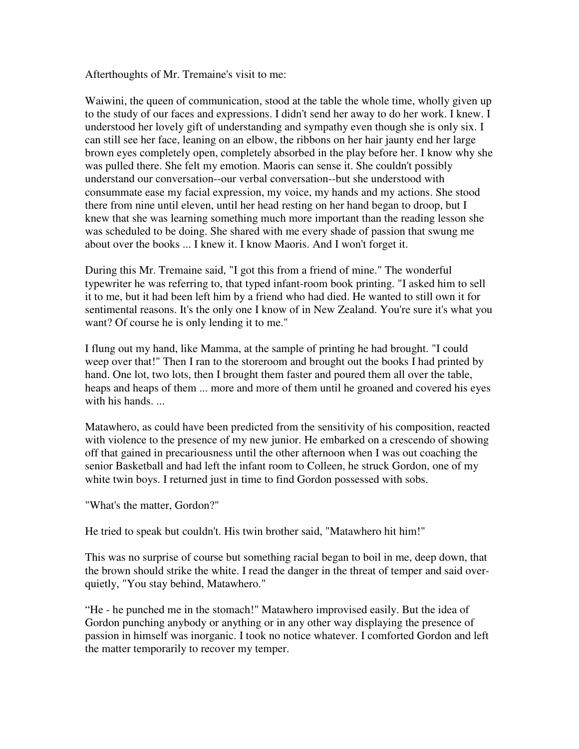Afterthoughts of Mr. Tremaine's visit to me:

Waiwini, the queen of communication, stood at the table the whole time, wholly given up to the study of our faces and expressions. I didn't send her away to do her work. I knew. I understood her lovely gift of understanding and sympathy even though she is only six. I can still see her face, leaning on an elbow, the ribbons on her hair jaunty end her large brown eyes completely open, completely absorbed in the play before her. I know why she was pulled there. She felt my emotion. Maoris can sense it. She couldn't possibly understand our conversation--our verbal conversation--but she understood with consummate ease my facial expression, my voice, my hands and my actions. She stood there from nine until eleven, until her head resting on her hand began to droop, but I knew that she was learning something much more important than the reading lesson she was scheduled to be doing. She shared with me every shade of passion that swung me about over the books ... I knew it. I know Maoris. And I won't forget it.

During this Mr. Tremaine said, "I got this from a friend of mine." The wonderful typewriter he was referring to, that typed infant-room book printing. "I asked him to sell it to me, but it had been left him by a friend who had died. He wanted to still own it for sentimental reasons. It's the only one I know of in New Zealand. You're sure it's what you want? Of course he is only lending it to me."

I flung out my hand, like Mamma, at the sample of printing he had brought. "I could weep over that!" Then I ran to the storeroom and brought out the books I had printed by hand. One lot, two lots, then I brought them faster and poured them all over the table, heaps and heaps of them ... more and more of them until he groaned and covered his eyes with his hands.

Matawhero, as could have been predicted from the sensitivity of his composition, reacted with violence to the presence of my new junior. He embarked on a crescendo of showing off that gained in precariousness until the other afternoon when I was out coaching the senior Basketball and had left the infant room to Colleen, he struck Gordon, one of my white twin boys. I returned just in time to find Gordon possessed with sobs.

"What's the matter, Gordon?"

He tried to speak but couldn't. His twin brother said, "Matawhero hit him!"

This was no surprise of course but something racial began to boil in me, deep down, that the brown should strike the white. I read the danger in the threat of temper and said overquietly, "You stay behind, Matawhero."

"He - he punched me in the stomach!" Matawhero improvised easily. But the idea of Gordon punching anybody or anything or in any other way displaying the presence of passion in himself was inorganic. I took no notice whatever. I comforted Gordon and left the matter temporarily to recover my temper.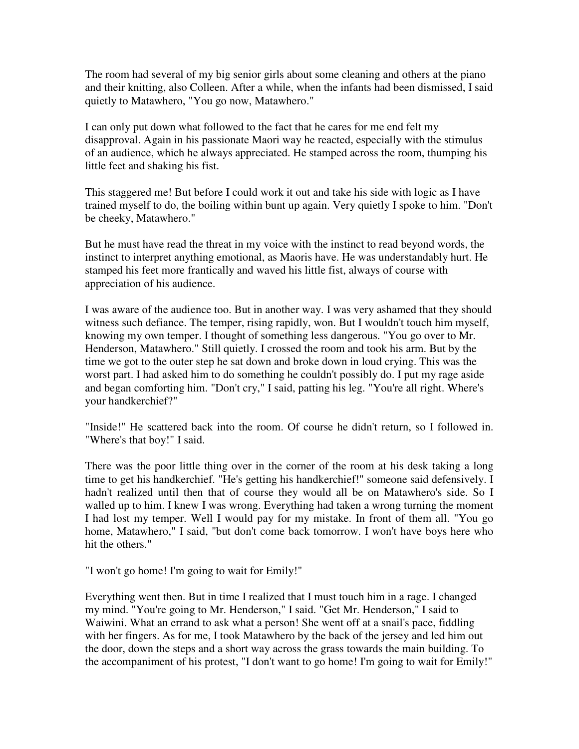The room had several of my big senior girls about some cleaning and others at the piano and their knitting, also Colleen. After a while, when the infants had been dismissed, I said quietly to Matawhero, "You go now, Matawhero."

I can only put down what followed to the fact that he cares for me end felt my disapproval. Again in his passionate Maori way he reacted, especially with the stimulus of an audience, which he always appreciated. He stamped across the room, thumping his little feet and shaking his fist.

This staggered me! But before I could work it out and take his side with logic as I have trained myself to do, the boiling within bunt up again. Very quietly I spoke to him. "Don't be cheeky, Matawhero."

But he must have read the threat in my voice with the instinct to read beyond words, the instinct to interpret anything emotional, as Maoris have. He was understandably hurt. He stamped his feet more frantically and waved his little fist, always of course with appreciation of his audience.

I was aware of the audience too. But in another way. I was very ashamed that they should witness such defiance. The temper, rising rapidly, won. But I wouldn't touch him myself, knowing my own temper. I thought of something less dangerous. "You go over to Mr. Henderson, Matawhero." Still quietly. I crossed the room and took his arm. But by the time we got to the outer step he sat down and broke down in loud crying. This was the worst part. I had asked him to do something he couldn't possibly do. I put my rage aside and began comforting him. "Don't cry," I said, patting his leg. "You're all right. Where's your handkerchief?"

"Inside!" He scattered back into the room. Of course he didn't return, so I followed in. "Where's that boy!" I said.

There was the poor little thing over in the corner of the room at his desk taking a long time to get his handkerchief. "He's getting his handkerchief!" someone said defensively. I hadn't realized until then that of course they would all be on Matawhero's side. So I walled up to him. I knew I was wrong. Everything had taken a wrong turning the moment I had lost my temper. Well I would pay for my mistake. In front of them all. "You go home, Matawhero," I said, "but don't come back tomorrow. I won't have boys here who hit the others."

"I won't go home! I'm going to wait for Emily!"

Everything went then. But in time I realized that I must touch him in a rage. I changed my mind. "You're going to Mr. Henderson," I said. "Get Mr. Henderson," I said to Waiwini. What an errand to ask what a person! She went off at a snail's pace, fiddling with her fingers. As for me, I took Matawhero by the back of the jersey and led him out the door, down the steps and a short way across the grass towards the main building. To the accompaniment of his protest, "I don't want to go home! I'm going to wait for Emily!"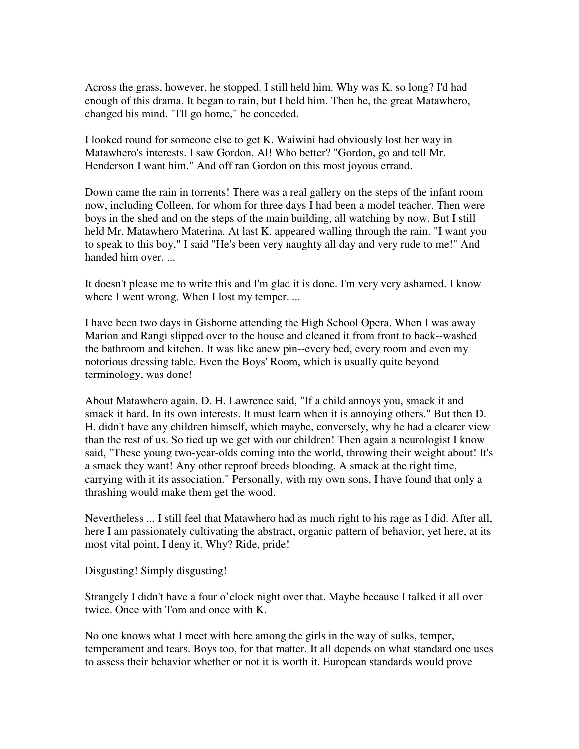Across the grass, however, he stopped. I still held him. Why was K. so long? I'd had enough of this drama. It began to rain, but I held him. Then he, the great Matawhero, changed his mind. "I'll go home," he conceded.

I looked round for someone else to get K. Waiwini had obviously lost her way in Matawhero's interests. I saw Gordon. Al! Who better? "Gordon, go and tell Mr. Henderson I want him." And off ran Gordon on this most joyous errand.

Down came the rain in torrents! There was a real gallery on the steps of the infant room now, including Colleen, for whom for three days I had been a model teacher. Then were boys in the shed and on the steps of the main building, all watching by now. But I still held Mr. Matawhero Materina. At last K. appeared walling through the rain. "I want you to speak to this boy," I said "He's been very naughty all day and very rude to me!" And handed him over. ...

It doesn't please me to write this and I'm glad it is done. I'm very very ashamed. I know where I went wrong. When I lost my temper. ...

I have been two days in Gisborne attending the High School Opera. When I was away Marion and Rangi slipped over to the house and cleaned it from front to back--washed the bathroom and kitchen. It was like anew pin--every bed, every room and even my notorious dressing table. Even the Boys' Room, which is usually quite beyond terminology, was done!

About Matawhero again. D. H. Lawrence said, "If a child annoys you, smack it and smack it hard. In its own interests. It must learn when it is annoying others." But then D. H. didn't have any children himself, which maybe, conversely, why he had a clearer view than the rest of us. So tied up we get with our children! Then again a neurologist I know said, "These young two-year-olds coming into the world, throwing their weight about! It's a smack they want! Any other reproof breeds blooding. A smack at the right time, carrying with it its association." Personally, with my own sons, I have found that only a thrashing would make them get the wood.

Nevertheless ... I still feel that Matawhero had as much right to his rage as I did. After all, here I am passionately cultivating the abstract, organic pattern of behavior, yet here, at its most vital point, I deny it. Why? Ride, pride!

Disgusting! Simply disgusting!

Strangely I didn't have a four o'clock night over that. Maybe because I talked it all over twice. Once with Tom and once with K.

No one knows what I meet with here among the girls in the way of sulks, temper, temperament and tears. Boys too, for that matter. It all depends on what standard one uses to assess their behavior whether or not it is worth it. European standards would prove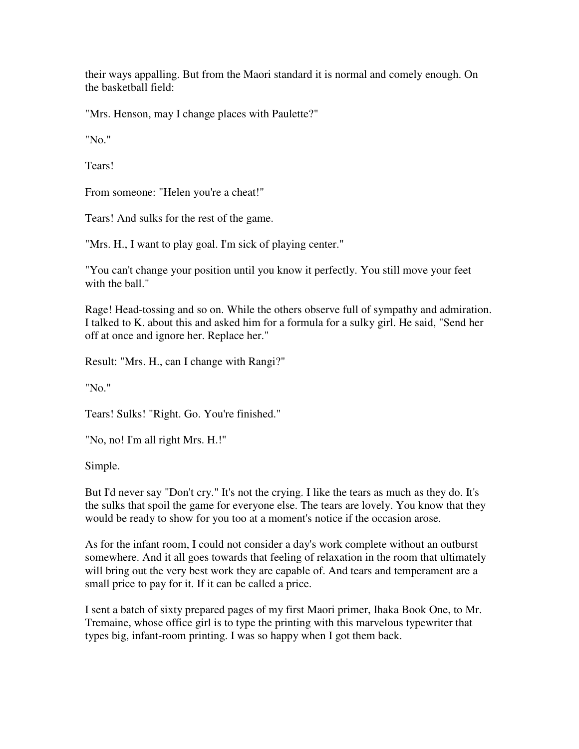their ways appalling. But from the Maori standard it is normal and comely enough. On the basketball field:

"Mrs. Henson, may I change places with Paulette?"

"No."

Tears!

From someone: "Helen you're a cheat!"

Tears! And sulks for the rest of the game.

"Mrs. H., I want to play goal. I'm sick of playing center."

"You can't change your position until you know it perfectly. You still move your feet with the ball."

Rage! Head-tossing and so on. While the others observe full of sympathy and admiration. I talked to K. about this and asked him for a formula for a sulky girl. He said, "Send her off at once and ignore her. Replace her."

Result: "Mrs. H., can I change with Rangi?"

"No."

Tears! Sulks! "Right. Go. You're finished."

"No, no! I'm all right Mrs. H.!"

Simple.

But I'd never say "Don't cry." It's not the crying. I like the tears as much as they do. It's the sulks that spoil the game for everyone else. The tears are lovely. You know that they would be ready to show for you too at a moment's notice if the occasion arose.

As for the infant room, I could not consider a day's work complete without an outburst somewhere. And it all goes towards that feeling of relaxation in the room that ultimately will bring out the very best work they are capable of. And tears and temperament are a small price to pay for it. If it can be called a price.

I sent a batch of sixty prepared pages of my first Maori primer, Ihaka Book One, to Mr. Tremaine, whose office girl is to type the printing with this marvelous typewriter that types big, infant-room printing. I was so happy when I got them back.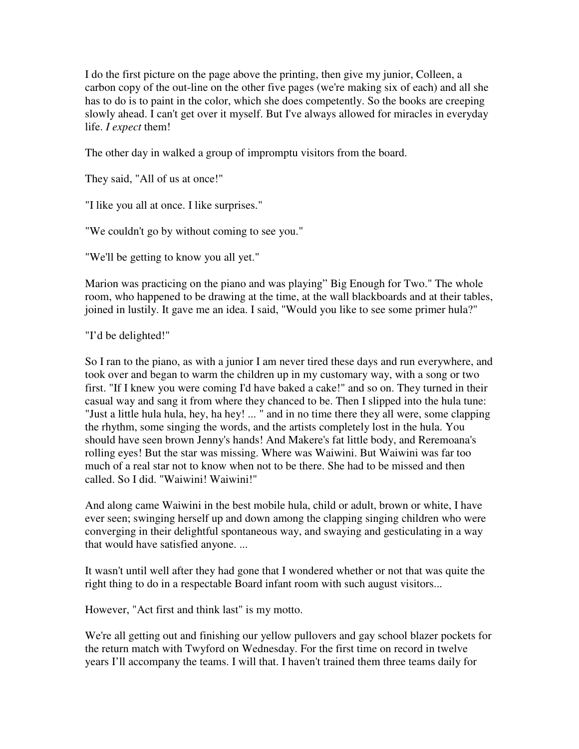I do the first picture on the page above the printing, then give my junior, Colleen, a carbon copy of the out-line on the other five pages (we're making six of each) and all she has to do is to paint in the color, which she does competently. So the books are creeping slowly ahead. I can't get over it myself. But I've always allowed for miracles in everyday life. *I expect* them!

The other day in walked a group of impromptu visitors from the board.

They said, "All of us at once!"

"I like you all at once. I like surprises."

"We couldn't go by without coming to see you."

"We'll be getting to know you all yet."

Marion was practicing on the piano and was playing" Big Enough for Two." The whole room, who happened to be drawing at the time, at the wall blackboards and at their tables, joined in lustily. It gave me an idea. I said, "Would you like to see some primer hula?"

"I'd be delighted!"

So I ran to the piano, as with a junior I am never tired these days and run everywhere, and took over and began to warm the children up in my customary way, with a song or two first. "If I knew you were coming I'd have baked a cake!" and so on. They turned in their casual way and sang it from where they chanced to be. Then I slipped into the hula tune: "Just a little hula hula, hey, ha hey! ... " and in no time there they all were, some clapping the rhythm, some singing the words, and the artists completely lost in the hula. You should have seen brown Jenny's hands! And Makere's fat little body, and Reremoana's rolling eyes! But the star was missing. Where was Waiwini. But Waiwini was far too much of a real star not to know when not to be there. She had to be missed and then called. So I did. "Waiwini! Waiwini!"

And along came Waiwini in the best mobile hula, child or adult, brown or white, I have ever seen; swinging herself up and down among the clapping singing children who were converging in their delightful spontaneous way, and swaying and gesticulating in a way that would have satisfied anyone. ...

It wasn't until well after they had gone that I wondered whether or not that was quite the right thing to do in a respectable Board infant room with such august visitors...

However, "Act first and think last" is my motto.

We're all getting out and finishing our yellow pullovers and gay school blazer pockets for the return match with Twyford on Wednesday. For the first time on record in twelve years I'll accompany the teams. I will that. I haven't trained them three teams daily for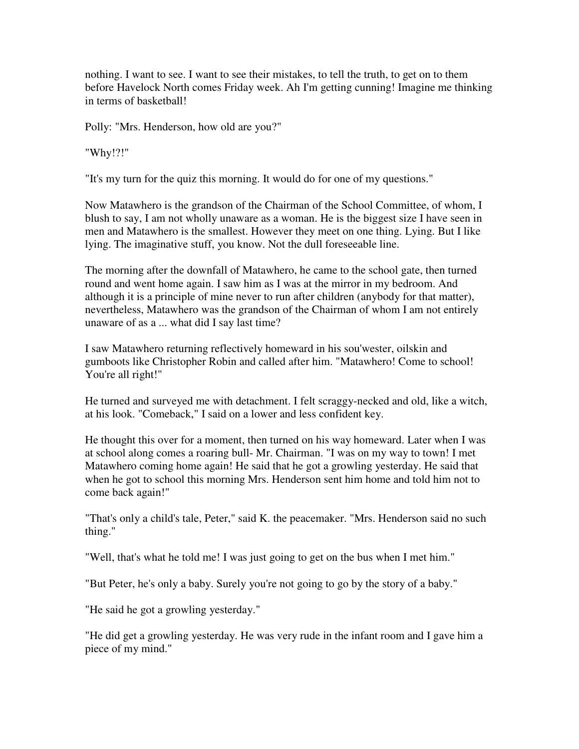nothing. I want to see. I want to see their mistakes, to tell the truth, to get on to them before Havelock North comes Friday week. Ah I'm getting cunning! Imagine me thinking in terms of basketball!

Polly: "Mrs. Henderson, how old are you?"

"Why!?!"

"It's my turn for the quiz this morning. It would do for one of my questions."

Now Matawhero is the grandson of the Chairman of the School Committee, of whom, I blush to say, I am not wholly unaware as a woman. He is the biggest size I have seen in men and Matawhero is the smallest. However they meet on one thing. Lying. But I like lying. The imaginative stuff, you know. Not the dull foreseeable line.

The morning after the downfall of Matawhero, he came to the school gate, then turned round and went home again. I saw him as I was at the mirror in my bedroom. And although it is a principle of mine never to run after children (anybody for that matter), nevertheless, Matawhero was the grandson of the Chairman of whom I am not entirely unaware of as a ... what did I say last time?

I saw Matawhero returning reflectively homeward in his sou'wester, oilskin and gumboots like Christopher Robin and called after him. "Matawhero! Come to school! You're all right!"

He turned and surveyed me with detachment. I felt scraggy-necked and old, like a witch, at his look. "Comeback," I said on a lower and less confident key.

He thought this over for a moment, then turned on his way homeward. Later when I was at school along comes a roaring bull- Mr. Chairman. "I was on my way to town! I met Matawhero coming home again! He said that he got a growling yesterday. He said that when he got to school this morning Mrs. Henderson sent him home and told him not to come back again!"

"That's only a child's tale, Peter," said K. the peacemaker. "Mrs. Henderson said no such thing."

"Well, that's what he told me! I was just going to get on the bus when I met him."

"But Peter, he's only a baby. Surely you're not going to go by the story of a baby."

"He said he got a growling yesterday."

"He did get a growling yesterday. He was very rude in the infant room and I gave him a piece of my mind."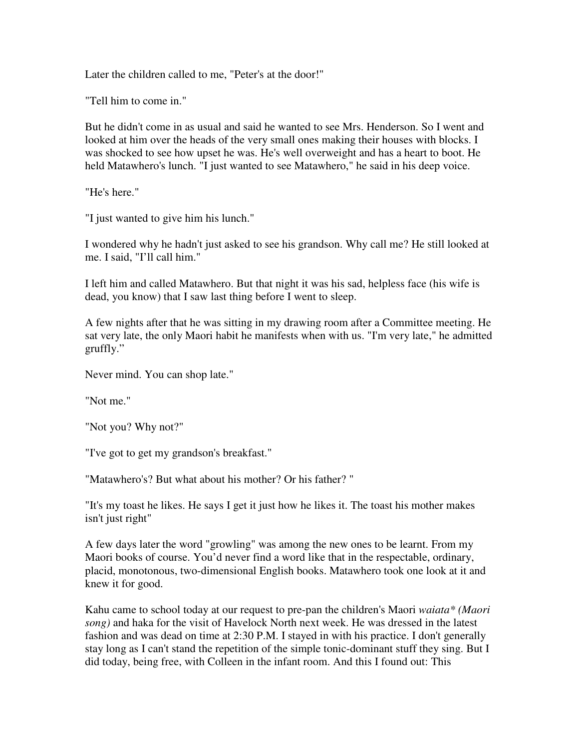Later the children called to me, "Peter's at the door!"

"Tell him to come in."

But he didn't come in as usual and said he wanted to see Mrs. Henderson. So I went and looked at him over the heads of the very small ones making their houses with blocks. I was shocked to see how upset he was. He's well overweight and has a heart to boot. He held Matawhero's lunch. "I just wanted to see Matawhero," he said in his deep voice.

"He's here."

"I just wanted to give him his lunch."

I wondered why he hadn't just asked to see his grandson. Why call me? He still looked at me. I said, "I'll call him."

I left him and called Matawhero. But that night it was his sad, helpless face (his wife is dead, you know) that I saw last thing before I went to sleep.

A few nights after that he was sitting in my drawing room after a Committee meeting. He sat very late, the only Maori habit he manifests when with us. "I'm very late," he admitted gruffly."

Never mind. You can shop late."

"Not me."

"Not you? Why not?"

"I've got to get my grandson's breakfast."

"Matawhero's? But what about his mother? Or his father? "

"It's my toast he likes. He says I get it just how he likes it. The toast his mother makes isn't just right"

A few days later the word "growling" was among the new ones to be learnt. From my Maori books of course. You'd never find a word like that in the respectable, ordinary, placid, monotonous, two-dimensional English books. Matawhero took one look at it and knew it for good.

Kahu came to school today at our request to pre-pan the children's Maori *waiata\* (Maori song)* and haka for the visit of Havelock North next week. He was dressed in the latest fashion and was dead on time at 2:30 P.M. I stayed in with his practice. I don't generally stay long as I can't stand the repetition of the simple tonic-dominant stuff they sing. But I did today, being free, with Colleen in the infant room. And this I found out: This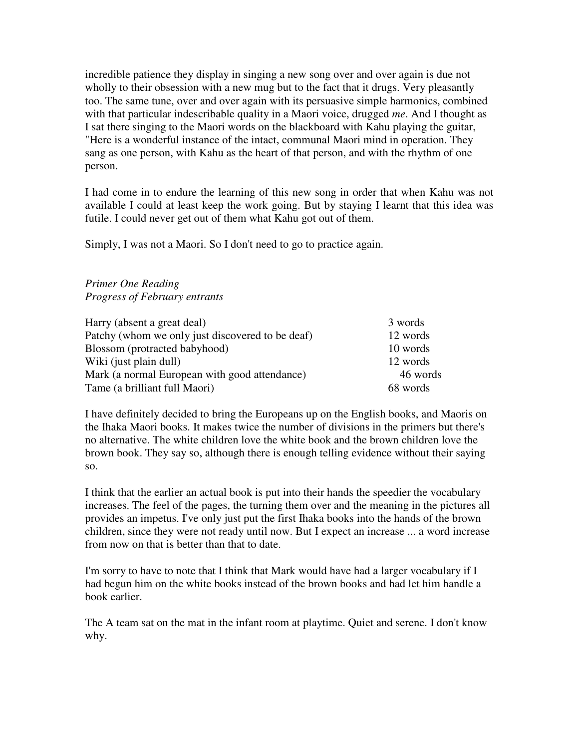incredible patience they display in singing a new song over and over again is due not wholly to their obsession with a new mug but to the fact that it drugs. Very pleasantly too. The same tune, over and over again with its persuasive simple harmonics, combined with that particular indescribable quality in a Maori voice, drugged *me*. And I thought as I sat there singing to the Maori words on the blackboard with Kahu playing the guitar, "Here is a wonderful instance of the intact, communal Maori mind in operation. They sang as one person, with Kahu as the heart of that person, and with the rhythm of one person.

I had come in to endure the learning of this new song in order that when Kahu was not available I could at least keep the work going. But by staying I learnt that this idea was futile. I could never get out of them what Kahu got out of them.

Simply, I was not a Maori. So I don't need to go to practice again.

# *Primer One Reading Progress of February entrants*

| Harry (absent a great deal)                      | 3 words  |
|--------------------------------------------------|----------|
| Patchy (whom we only just discovered to be deaf) | 12 words |
| Blossom (protracted babyhood)                    | 10 words |
| Wiki (just plain dull)                           | 12 words |
| Mark (a normal European with good attendance)    | 46 words |
| Tame (a brilliant full Maori)                    | 68 words |

I have definitely decided to bring the Europeans up on the English books, and Maoris on the Ihaka Maori books. It makes twice the number of divisions in the primers but there's no alternative. The white children love the white book and the brown children love the brown book. They say so, although there is enough telling evidence without their saying so.

I think that the earlier an actual book is put into their hands the speedier the vocabulary increases. The feel of the pages, the turning them over and the meaning in the pictures all provides an impetus. I've only just put the first Ihaka books into the hands of the brown children, since they were not ready until now. But I expect an increase ... a word increase from now on that is better than that to date.

I'm sorry to have to note that I think that Mark would have had a larger vocabulary if I had begun him on the white books instead of the brown books and had let him handle a book earlier.

The A team sat on the mat in the infant room at playtime. Quiet and serene. I don't know why.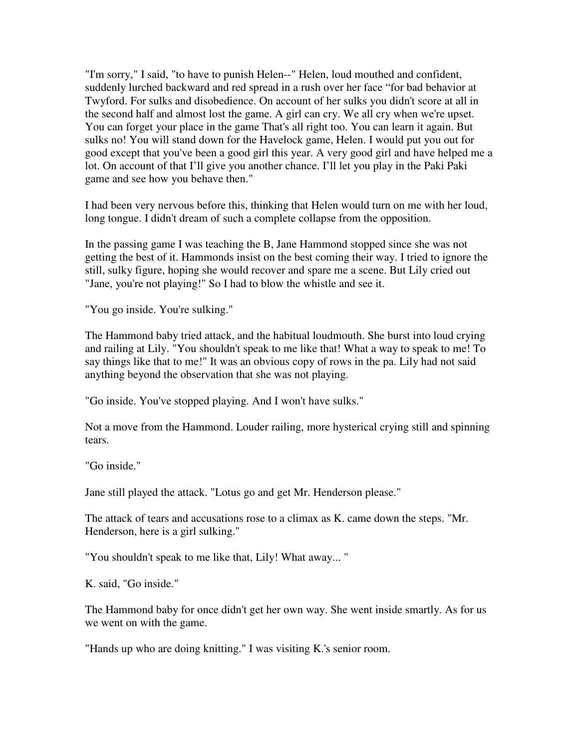"I'm sorry," I said, "to have to punish Helen--" Helen, loud mouthed and confident, suddenly lurched backward and red spread in a rush over her face "for bad behavior at Twyford. For sulks and disobedience. On account of her sulks you didn't score at all in the second half and almost lost the game. A girl can cry. We all cry when we're upset. You can forget your place in the game That's all right too. You can learn it again. But sulks no! You will stand down for the Havelock game, Helen. I would put you out for good except that you've been a good girl this year. A very good girl and have helped me a lot. On account of that I'll give you another chance. I'll let you play in the Paki Paki game and see how you behave then."

I had been very nervous before this, thinking that Helen would turn on me with her loud, long tongue. I didn't dream of such a complete collapse from the opposition.

In the passing game I was teaching the B, Jane Hammond stopped since she was not getting the best of it. Hammonds insist on the best coming their way. I tried to ignore the still, sulky figure, hoping she would recover and spare me a scene. But Lily cried out "Jane, you're not playing!" So I had to blow the whistle and see it.

"You go inside. You're sulking."

The Hammond baby tried attack, and the habitual loudmouth. She burst into loud crying and railing at Lily. "You shouldn't speak to me like that! What a way to speak to me! To say things like that to me!" It was an obvious copy of rows in the pa. Lily had not said anything beyond the observation that she was not playing.

"Go inside. You've stopped playing. And I won't have sulks."

Not a move from the Hammond. Louder railing, more hysterical crying still and spinning tears.

"Go inside."

Jane still played the attack. "Lotus go and get Mr. Henderson please."

The attack of tears and accusations rose to a climax as K. came down the steps. "Mr. Henderson, here is a girl sulking."

"You shouldn't speak to me like that, Lily! What away... "

K. said, "Go inside."

The Hammond baby for once didn't get her own way. She went inside smartly. As for us we went on with the game.

"Hands up who are doing knitting." I was visiting K.'s senior room.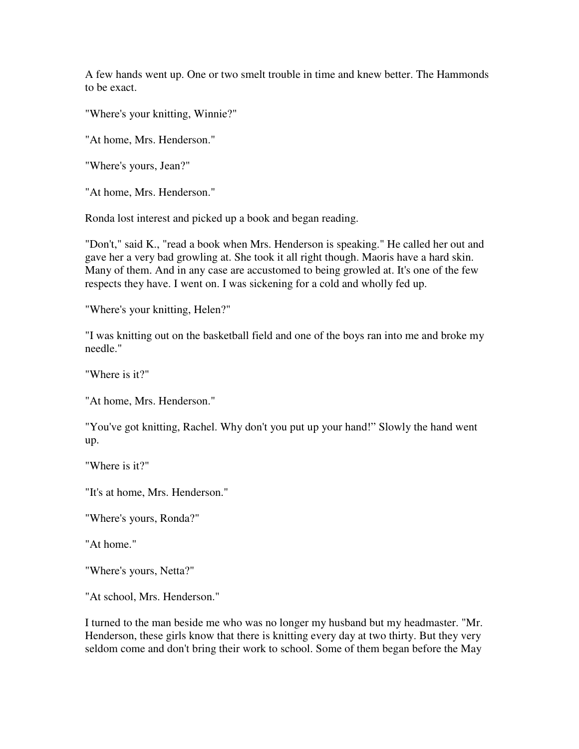A few hands went up. One or two smelt trouble in time and knew better. The Hammonds to be exact.

"Where's your knitting, Winnie?"

"At home, Mrs. Henderson."

"Where's yours, Jean?"

"At home, Mrs. Henderson."

Ronda lost interest and picked up a book and began reading.

"Don't," said K., "read a book when Mrs. Henderson is speaking." He called her out and gave her a very bad growling at. She took it all right though. Maoris have a hard skin. Many of them. And in any case are accustomed to being growled at. It's one of the few respects they have. I went on. I was sickening for a cold and wholly fed up.

"Where's your knitting, Helen?"

"I was knitting out on the basketball field and one of the boys ran into me and broke my needle."

"Where is it?"

"At home, Mrs. Henderson."

"You've got knitting, Rachel. Why don't you put up your hand!" Slowly the hand went up.

"Where is it?"

"It's at home, Mrs. Henderson."

"Where's yours, Ronda?"

"At home."

"Where's yours, Netta?"

"At school, Mrs. Henderson."

I turned to the man beside me who was no longer my husband but my headmaster. "Mr. Henderson, these girls know that there is knitting every day at two thirty. But they very seldom come and don't bring their work to school. Some of them began before the May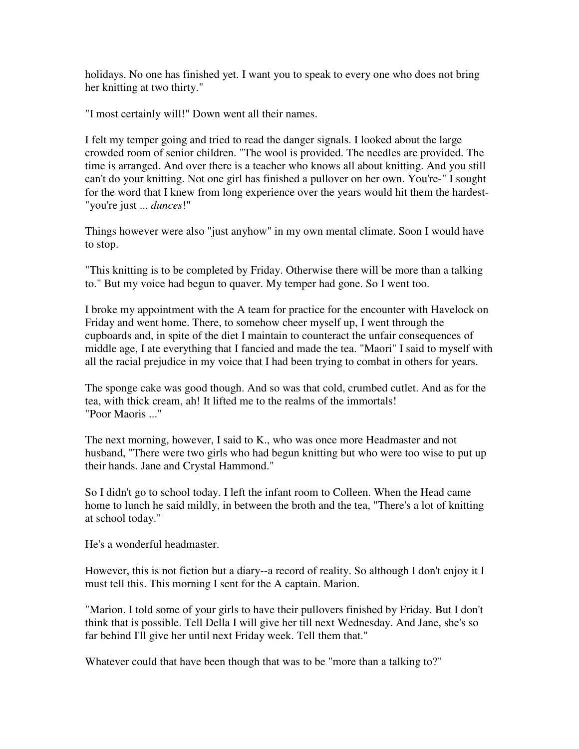holidays. No one has finished yet. I want you to speak to every one who does not bring her knitting at two thirty."

"I most certainly will!" Down went all their names.

I felt my temper going and tried to read the danger signals. I looked about the large crowded room of senior children. "The wool is provided. The needles are provided. The time is arranged. And over there is a teacher who knows all about knitting. And you still can't do your knitting. Not one girl has finished a pullover on her own. You're-" I sought for the word that I knew from long experience over the years would hit them the hardest- "you're just ... *dunces*!"

Things however were also "just anyhow" in my own mental climate. Soon I would have to stop.

"This knitting is to be completed by Friday. Otherwise there will be more than a talking to." But my voice had begun to quaver. My temper had gone. So I went too.

I broke my appointment with the A team for practice for the encounter with Havelock on Friday and went home. There, to somehow cheer myself up, I went through the cupboards and, in spite of the diet I maintain to counteract the unfair consequences of middle age, I ate everything that I fancied and made the tea. "Maori" I said to myself with all the racial prejudice in my voice that I had been trying to combat in others for years.

The sponge cake was good though. And so was that cold, crumbed cutlet. And as for the tea, with thick cream, ah! It lifted me to the realms of the immortals! "Poor Maoris ..."

The next morning, however, I said to K., who was once more Headmaster and not husband, "There were two girls who had begun knitting but who were too wise to put up their hands. Jane and Crystal Hammond."

So I didn't go to school today. I left the infant room to Colleen. When the Head came home to lunch he said mildly, in between the broth and the tea, "There's a lot of knitting at school today."

He's a wonderful headmaster.

However, this is not fiction but a diary--a record of reality. So although I don't enjoy it I must tell this. This morning I sent for the A captain. Marion.

"Marion. I told some of your girls to have their pullovers finished by Friday. But I don't think that is possible. Tell Della I will give her till next Wednesday. And Jane, she's so far behind I'll give her until next Friday week. Tell them that."

Whatever could that have been though that was to be "more than a talking to?"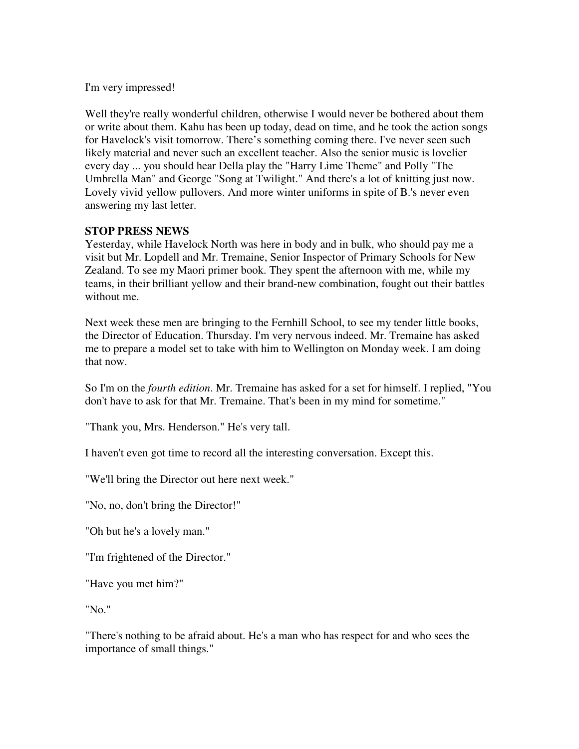I'm very impressed!

Well they're really wonderful children, otherwise I would never be bothered about them or write about them. Kahu has been up today, dead on time, and he took the action songs for Havelock's visit tomorrow. There's something coming there. I've never seen such likely material and never such an excellent teacher. Also the senior music is lovelier every day ... you should hear Della play the "Harry Lime Theme" and Polly "The Umbrella Man" and George "Song at Twilight." And there's a lot of knitting just now. Lovely vivid yellow pullovers. And more winter uniforms in spite of B.'s never even answering my last letter.

# **STOP PRESS NEWS**

Yesterday, while Havelock North was here in body and in bulk, who should pay me a visit but Mr. Lopdell and Mr. Tremaine, Senior Inspector of Primary Schools for New Zealand. To see my Maori primer book. They spent the afternoon with me, while my teams, in their brilliant yellow and their brand-new combination, fought out their battles without me.

Next week these men are bringing to the Fernhill School, to see my tender little books, the Director of Education. Thursday. I'm very nervous indeed. Mr. Tremaine has asked me to prepare a model set to take with him to Wellington on Monday week. I am doing that now.

So I'm on the *fourth edition*. Mr. Tremaine has asked for a set for himself. I replied, "You don't have to ask for that Mr. Tremaine. That's been in my mind for sometime."

"Thank you, Mrs. Henderson." He's very tall.

I haven't even got time to record all the interesting conversation. Except this.

"We'll bring the Director out here next week."

"No, no, don't bring the Director!"

"Oh but he's a lovely man."

"I'm frightened of the Director."

"Have you met him?"

"No."

"There's nothing to be afraid about. He's a man who has respect for and who sees the importance of small things."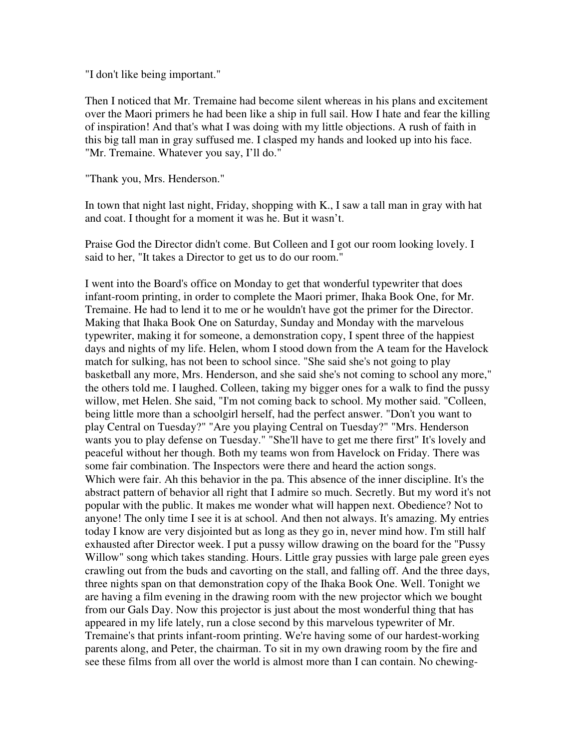"I don't like being important."

Then I noticed that Mr. Tremaine had become silent whereas in his plans and excitement over the Maori primers he had been like a ship in full sail. How I hate and fear the killing of inspiration! And that's what I was doing with my little objections. A rush of faith in this big tall man in gray suffused me. I clasped my hands and looked up into his face. "Mr. Tremaine. Whatever you say, I'll do."

"Thank you, Mrs. Henderson."

In town that night last night, Friday, shopping with K., I saw a tall man in gray with hat and coat. I thought for a moment it was he. But it wasn't.

Praise God the Director didn't come. But Colleen and I got our room looking lovely. I said to her, "It takes a Director to get us to do our room."

I went into the Board's office on Monday to get that wonderful typewriter that does infant-room printing, in order to complete the Maori primer, Ihaka Book One, for Mr. Tremaine. He had to lend it to me or he wouldn't have got the primer for the Director. Making that Ihaka Book One on Saturday, Sunday and Monday with the marvelous typewriter, making it for someone, a demonstration copy, I spent three of the happiest days and nights of my life. Helen, whom I stood down from the A team for the Havelock match for sulking, has not been to school since. "She said she's not going to play basketball any more, Mrs. Henderson, and she said she's not coming to school any more," the others told me. I laughed. Colleen, taking my bigger ones for a walk to find the pussy willow, met Helen. She said, "I'm not coming back to school. My mother said. "Colleen, being little more than a schoolgirl herself, had the perfect answer. "Don't you want to play Central on Tuesday?" "Are you playing Central on Tuesday?" "Mrs. Henderson wants you to play defense on Tuesday." "She'll have to get me there first" It's lovely and peaceful without her though. Both my teams won from Havelock on Friday. There was some fair combination. The Inspectors were there and heard the action songs. Which were fair. Ah this behavior in the pa. This absence of the inner discipline. It's the abstract pattern of behavior all right that I admire so much. Secretly. But my word it's not popular with the public. It makes me wonder what will happen next. Obedience? Not to anyone! The only time I see it is at school. And then not always. It's amazing. My entries today I know are very disjointed but as long as they go in, never mind how. I'm still half exhausted after Director week. I put a pussy willow drawing on the board for the "Pussy Willow" song which takes standing. Hours. Little gray pussies with large pale green eyes crawling out from the buds and cavorting on the stall, and falling off. And the three days, three nights span on that demonstration copy of the Ihaka Book One. Well. Tonight we are having a film evening in the drawing room with the new projector which we bought from our Gals Day. Now this projector is just about the most wonderful thing that has appeared in my life lately, run a close second by this marvelous typewriter of Mr. Tremaine's that prints infant-room printing. We're having some of our hardest-working parents along, and Peter, the chairman. To sit in my own drawing room by the fire and see these films from all over the world is almost more than I can contain. No chewing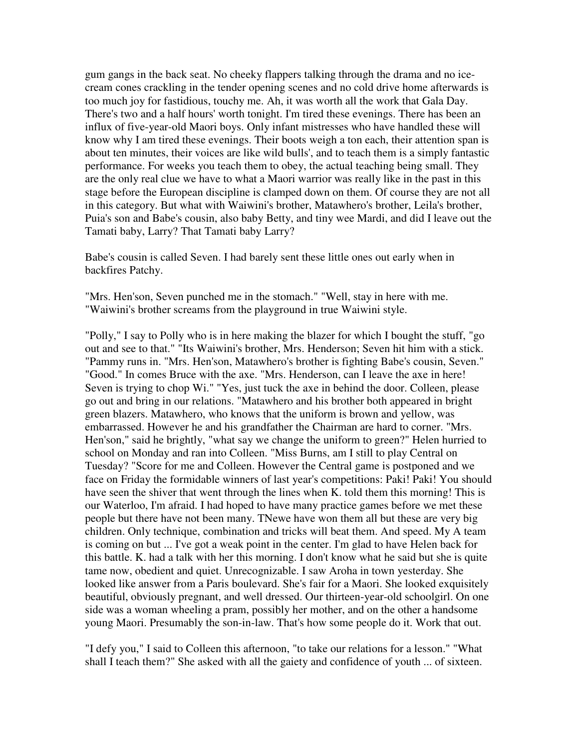gum gangs in the back seat. No cheeky flappers talking through the drama and no icecream cones crackling in the tender opening scenes and no cold drive home afterwards is too much joy for fastidious, touchy me. Ah, it was worth all the work that Gala Day. There's two and a half hours' worth tonight. I'm tired these evenings. There has been an influx of five-year-old Maori boys. Only infant mistresses who have handled these will know why I am tired these evenings. Their boots weigh a ton each, their attention span is about ten minutes, their voices are like wild bulls', and to teach them is a simply fantastic performance. For weeks you teach them to obey, the actual teaching being small. They are the only real clue we have to what a Maori warrior was really like in the past in this stage before the European discipline is clamped down on them. Of course they are not all in this category. But what with Waiwini's brother, Matawhero's brother, Leila's brother, Puia's son and Babe's cousin, also baby Betty, and tiny wee Mardi, and did I leave out the Tamati baby, Larry? That Tamati baby Larry?

Babe's cousin is called Seven. I had barely sent these little ones out early when in backfires Patchy.

"Mrs. Hen'son, Seven punched me in the stomach." "Well, stay in here with me. "Waiwini's brother screams from the playground in true Waiwini style.

"Polly," I say to Polly who is in here making the blazer for which I bought the stuff, "go out and see to that." "Its Waiwini's brother, Mrs. Henderson; Seven hit him with a stick. "Pammy runs in. "Mrs. Hen'son, Matawhero's brother is fighting Babe's cousin, Seven." "Good." In comes Bruce with the axe. "Mrs. Henderson, can I leave the axe in here! Seven is trying to chop Wi." "Yes, just tuck the axe in behind the door. Colleen, please go out and bring in our relations. "Matawhero and his brother both appeared in bright green blazers. Matawhero, who knows that the uniform is brown and yellow, was embarrassed. However he and his grandfather the Chairman are hard to corner. "Mrs. Hen'son," said he brightly, "what say we change the uniform to green?" Helen hurried to school on Monday and ran into Colleen. "Miss Burns, am I still to play Central on Tuesday? "Score for me and Colleen. However the Central game is postponed and we face on Friday the formidable winners of last year's competitions: Paki! Paki! You should have seen the shiver that went through the lines when K. told them this morning! This is our Waterloo, I'm afraid. I had hoped to have many practice games before we met these people but there have not been many. TNewe have won them all but these are very big children. Only technique, combination and tricks will beat them. And speed. My A team is coming on but ... I've got a weak point in the center. I'm glad to have Helen back for this battle. K. had a talk with her this morning. I don't know what he said but she is quite tame now, obedient and quiet. Unrecognizable. I saw Aroha in town yesterday. She looked like answer from a Paris boulevard. She's fair for a Maori. She looked exquisitely beautiful, obviously pregnant, and well dressed. Our thirteen-year-old schoolgirl. On one side was a woman wheeling a pram, possibly her mother, and on the other a handsome young Maori. Presumably the son-in-law. That's how some people do it. Work that out.

"I defy you," I said to Colleen this afternoon, "to take our relations for a lesson." "What shall I teach them?" She asked with all the gaiety and confidence of youth ... of sixteen.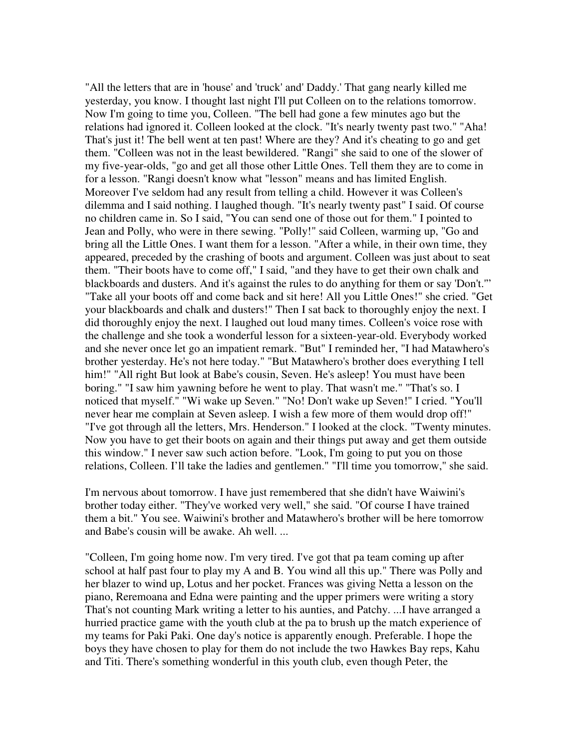"All the letters that are in 'house' and 'truck' and' Daddy.' That gang nearly killed me yesterday, you know. I thought last night I'll put Colleen on to the relations tomorrow. Now I'm going to time you, Colleen. "The bell had gone a few minutes ago but the relations had ignored it. Colleen looked at the clock. "It's nearly twenty past two." "Aha! That's just it! The bell went at ten past! Where are they? And it's cheating to go and get them. "Colleen was not in the least bewildered. "Rangi" she said to one of the slower of my five-year-olds, "go and get all those other Little Ones. Tell them they are to come in for a lesson. "Rangi doesn't know what "lesson" means and has limited English. Moreover I've seldom had any result from telling a child. However it was Colleen's dilemma and I said nothing. I laughed though. "It's nearly twenty past" I said. Of course no children came in. So I said, "You can send one of those out for them." I pointed to Jean and Polly, who were in there sewing. "Polly!" said Colleen, warming up, "Go and bring all the Little Ones. I want them for a lesson. "After a while, in their own time, they appeared, preceded by the crashing of boots and argument. Colleen was just about to seat them. "Their boots have to come off," I said, "and they have to get their own chalk and blackboards and dusters. And it's against the rules to do anything for them or say 'Don't.'" "Take all your boots off and come back and sit here! All you Little Ones!" she cried. "Get your blackboards and chalk and dusters!" Then I sat back to thoroughly enjoy the next. I did thoroughly enjoy the next. I laughed out loud many times. Colleen's voice rose with the challenge and she took a wonderful lesson for a sixteen-year-old. Everybody worked and she never once let go an impatient remark. "But" I reminded her, "I had Matawhero's brother yesterday. He's not here today." "But Matawhero's brother does everything I tell him!" "All right But look at Babe's cousin, Seven. He's asleep! You must have been boring." "I saw him yawning before he went to play. That wasn't me." "That's so. I noticed that myself." "Wi wake up Seven." "No! Don't wake up Seven!" I cried. "You'll never hear me complain at Seven asleep. I wish a few more of them would drop off!" "I've got through all the letters, Mrs. Henderson." I looked at the clock. "Twenty minutes. Now you have to get their boots on again and their things put away and get them outside this window." I never saw such action before. "Look, I'm going to put you on those relations, Colleen. I'll take the ladies and gentlemen." "I'll time you tomorrow," she said.

I'm nervous about tomorrow. I have just remembered that she didn't have Waiwini's brother today either. "They've worked very well," she said. "Of course I have trained them a bit." You see. Waiwini's brother and Matawhero's brother will be here tomorrow and Babe's cousin will be awake. Ah well. ...

"Colleen, I'm going home now. I'm very tired. I've got that pa team coming up after school at half past four to play my A and B. You wind all this up." There was Polly and her blazer to wind up, Lotus and her pocket. Frances was giving Netta a lesson on the piano, Reremoana and Edna were painting and the upper primers were writing a story That's not counting Mark writing a letter to his aunties, and Patchy. ...I have arranged a hurried practice game with the youth club at the pa to brush up the match experience of my teams for Paki Paki. One day's notice is apparently enough. Preferable. I hope the boys they have chosen to play for them do not include the two Hawkes Bay reps, Kahu and Titi. There's something wonderful in this youth club, even though Peter, the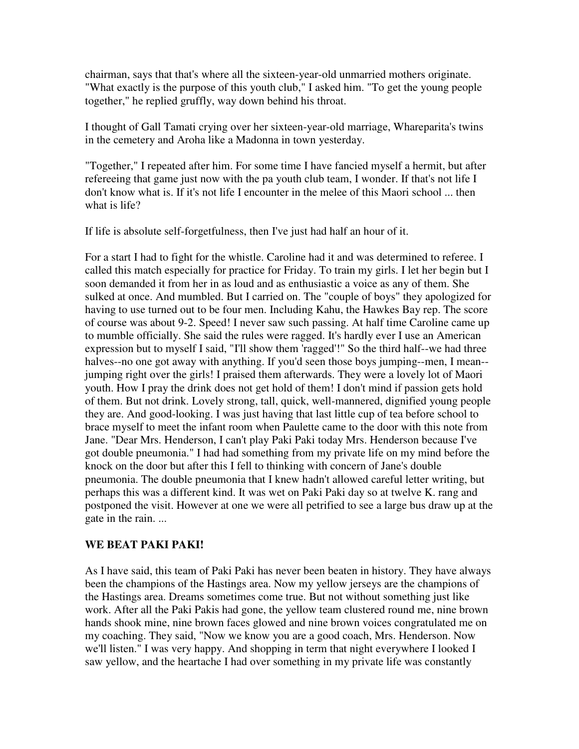chairman, says that that's where all the sixteen-year-old unmarried mothers originate. "What exactly is the purpose of this youth club," I asked him. "To get the young people together," he replied gruffly, way down behind his throat.

I thought of Gall Tamati crying over her sixteen-year-old marriage, Whareparita's twins in the cemetery and Aroha like a Madonna in town yesterday.

"Together," I repeated after him. For some time I have fancied myself a hermit, but after refereeing that game just now with the pa youth club team, I wonder. If that's not life I don't know what is. If it's not life I encounter in the melee of this Maori school ... then what is life?

If life is absolute self-forgetfulness, then I've just had half an hour of it.

For a start I had to fight for the whistle. Caroline had it and was determined to referee. I called this match especially for practice for Friday. To train my girls. I let her begin but I soon demanded it from her in as loud and as enthusiastic a voice as any of them. She sulked at once. And mumbled. But I carried on. The "couple of boys" they apologized for having to use turned out to be four men. Including Kahu, the Hawkes Bay rep. The score of course was about 9-2. Speed! I never saw such passing. At half time Caroline came up to mumble officially. She said the rules were ragged. It's hardly ever I use an American expression but to myself I said, "I'll show them 'ragged'!" So the third half--we had three halves--no one got away with anything. If you'd seen those boys jumping--men, I mean- jumping right over the girls! I praised them afterwards. They were a lovely lot of Maori youth. How I pray the drink does not get hold of them! I don't mind if passion gets hold of them. But not drink. Lovely strong, tall, quick, well-mannered, dignified young people they are. And good-looking. I was just having that last little cup of tea before school to brace myself to meet the infant room when Paulette came to the door with this note from Jane. "Dear Mrs. Henderson, I can't play Paki Paki today Mrs. Henderson because I've got double pneumonia." I had had something from my private life on my mind before the knock on the door but after this I fell to thinking with concern of Jane's double pneumonia. The double pneumonia that I knew hadn't allowed careful letter writing, but perhaps this was a different kind. It was wet on Paki Paki day so at twelve K. rang and postponed the visit. However at one we were all petrified to see a large bus draw up at the gate in the rain. ...

## **WE BEAT PAKI PAKI!**

As I have said, this team of Paki Paki has never been beaten in history. They have always been the champions of the Hastings area. Now my yellow jerseys are the champions of the Hastings area. Dreams sometimes come true. But not without something just like work. After all the Paki Pakis had gone, the yellow team clustered round me, nine brown hands shook mine, nine brown faces glowed and nine brown voices congratulated me on my coaching. They said, "Now we know you are a good coach, Mrs. Henderson. Now we'll listen." I was very happy. And shopping in term that night everywhere I looked I saw yellow, and the heartache I had over something in my private life was constantly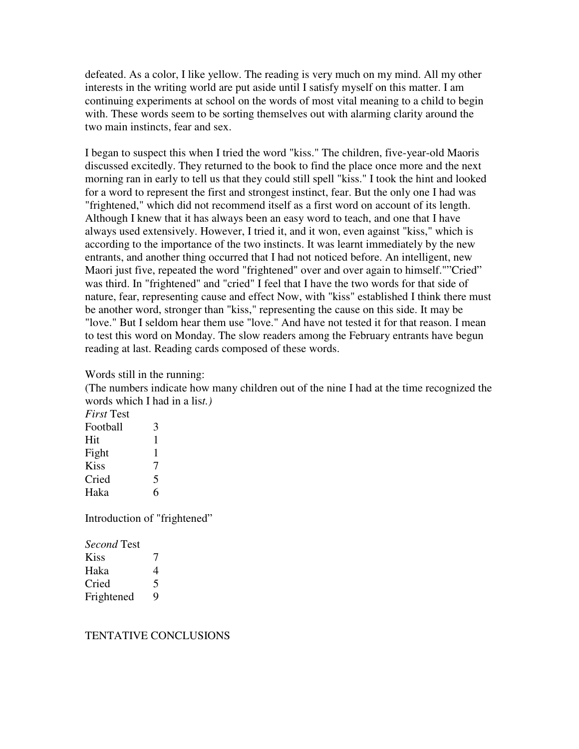defeated. As a color, I like yellow. The reading is very much on my mind. All my other interests in the writing world are put aside until I satisfy myself on this matter. I am continuing experiments at school on the words of most vital meaning to a child to begin with. These words seem to be sorting themselves out with alarming clarity around the two main instincts, fear and sex.

I began to suspect this when I tried the word "kiss." The children, five-year-old Maoris discussed excitedly. They returned to the book to find the place once more and the next morning ran in early to tell us that they could still spell "kiss." I took the hint and looked for a word to represent the first and strongest instinct, fear. But the only one I had was "frightened," which did not recommend itself as a first word on account of its length. Although I knew that it has always been an easy word to teach, and one that I have always used extensively. However, I tried it, and it won, even against "kiss," which is according to the importance of the two instincts. It was learnt immediately by the new entrants, and another thing occurred that I had not noticed before. An intelligent, new Maori just five, repeated the word "frightened" over and over again to himself.""Cried" was third. In "frightened" and "cried" I feel that I have the two words for that side of nature, fear, representing cause and effect Now, with "kiss" established I think there must be another word, stronger than "kiss," representing the cause on this side. It may be "love." But I seldom hear them use "love." And have not tested it for that reason. I mean to test this word on Monday. The slow readers among the February entrants have begun reading at last. Reading cards composed of these words.

Words still in the running:

(The numbers indicate how many children out of the nine I had at the time recognized the words which I had in a lis*t.)* 

| <i>First</i> Test |   |
|-------------------|---|
| Football          | 3 |
| Hit               | 1 |
| Fight             | 1 |
| <b>Kiss</b>       | 7 |
| Cried             | 5 |
| Haka              |   |

Introduction of "frightened"

| <i>Second</i> Test |   |
|--------------------|---|
| <b>Kiss</b>        | 7 |
| Haka               | 4 |
| Cried              | 5 |
| Frightened         | Q |

## TENTATIVE CONCLUSIONS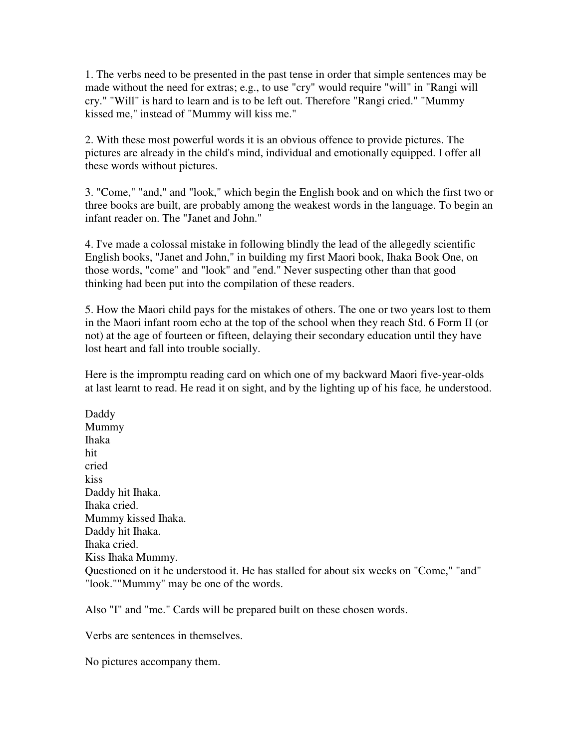1. The verbs need to be presented in the past tense in order that simple sentences may be made without the need for extras; e.g., to use "cry" would require "will" in "Rangi will cry." "Will" is hard to learn and is to be left out. Therefore "Rangi cried." "Mummy kissed me," instead of "Mummy will kiss me."

2. With these most powerful words it is an obvious offence to provide pictures. The pictures are already in the child's mind, individual and emotionally equipped. I offer all these words without pictures.

3. "Come," "and," and "look," which begin the English book and on which the first two or three books are built, are probably among the weakest words in the language. To begin an infant reader on. The "Janet and John."

4. I've made a colossal mistake in following blindly the lead of the allegedly scientific English books, "Janet and John," in building my first Maori book, Ihaka Book One, on those words, "come" and "look" and "end." Never suspecting other than that good thinking had been put into the compilation of these readers.

5. How the Maori child pays for the mistakes of others. The one or two years lost to them in the Maori infant room echo at the top of the school when they reach Std. 6 Form II (or not) at the age of fourteen or fifteen, delaying their secondary education until they have lost heart and fall into trouble socially.

Here is the impromptu reading card on which one of my backward Maori five-year-olds at last learnt to read. He read it on sight, and by the lighting up of his face*,* he understood.

Daddy Mummy Ihaka hit cried kiss Daddy hit Ihaka. Ihaka cried. Mummy kissed Ihaka. Daddy hit Ihaka. Ihaka cried. Kiss Ihaka Mummy. Questioned on it he understood it. He has stalled for about six weeks on "Come," "and" "look.""Mummy" may be one of the words.

Also "I" and "me." Cards will be prepared built on these chosen words.

Verbs are sentences in themselves.

No pictures accompany them.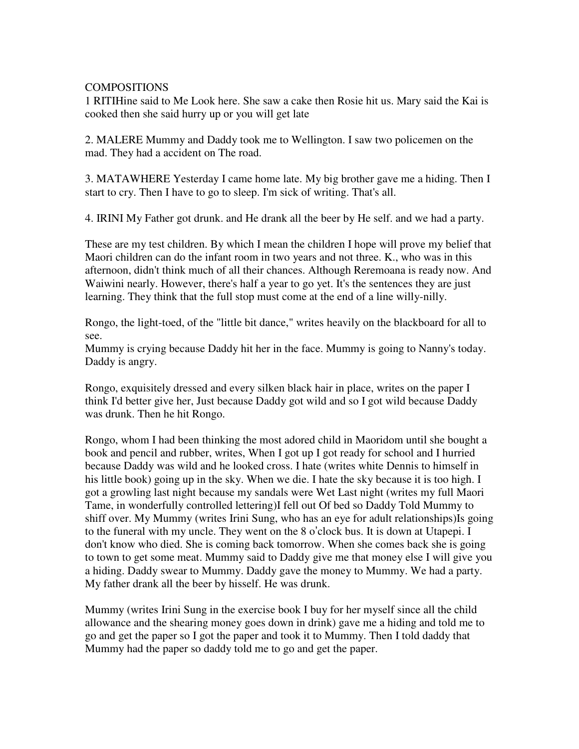# COMPOSITIONS

1 RITIHine said to Me Look here. She saw a cake then Rosie hit us. Mary said the Kai is cooked then she said hurry up or you will get late

2. MALERE Mummy and Daddy took me to Wellington. I saw two policemen on the mad. They had a accident on The road.

3. MATAWHERE Yesterday I came home late. My big brother gave me a hiding. Then I start to cry. Then I have to go to sleep. I'm sick of writing. That's all.

4. IRINI My Father got drunk. and He drank all the beer by He self. and we had a party.

These are my test children. By which I mean the children I hope will prove my belief that Maori children can do the infant room in two years and not three. K., who was in this afternoon, didn't think much of all their chances. Although Reremoana is ready now. And Waiwini nearly. However, there's half a year to go yet. It's the sentences they are just learning. They think that the full stop must come at the end of a line willy-nilly.

Rongo, the light-toed, of the "little bit dance," writes heavily on the blackboard for all to see.

Mummy is crying because Daddy hit her in the face. Mummy is going to Nanny's today. Daddy is angry.

Rongo, exquisitely dressed and every silken black hair in place, writes on the paper I think I'd better give her, Just because Daddy got wild and so I got wild because Daddy was drunk. Then he hit Rongo.

Rongo, whom I had been thinking the most adored child in Maoridom until she bought a book and pencil and rubber, writes, When I got up I got ready for school and I hurried because Daddy was wild and he looked cross. I hate (writes white Dennis to himself in his little book) going up in the sky. When we die. I hate the sky because it is too high. I got a growling last night because my sandals were Wet Last night (writes my full Maori Tame, in wonderfully controlled lettering)I fell out Of bed so Daddy Told Mummy to shiff over. My Mummy (writes Irini Sung, who has an eye for adult relationships)Is going to the funeral with my uncle. They went on the 8 o'clock bus. It is down at Utapepi. I don't know who died. She is coming back tomorrow. When she comes back she is going to town to get some meat. Mummy said to Daddy give me that money else I will give you a hiding. Daddy swear to Mummy. Daddy gave the money to Mummy. We had a party. My father drank all the beer by hisself. He was drunk.

Mummy (writes Irini Sung in the exercise book I buy for her myself since all the child allowance and the shearing money goes down in drink) gave me a hiding and told me to go and get the paper so I got the paper and took it to Mummy. Then I told daddy that Mummy had the paper so daddy told me to go and get the paper.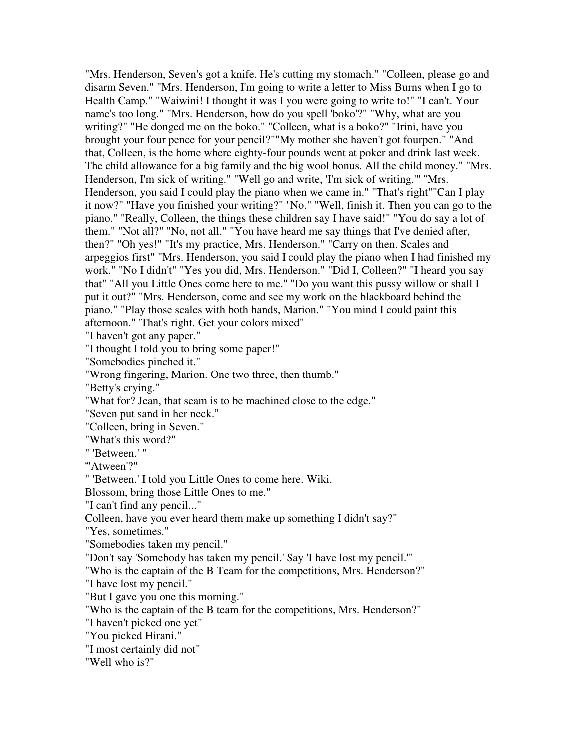"Mrs. Henderson, Seven's got a knife. He's cutting my stomach." "Colleen, please go and disarm Seven." "Mrs. Henderson, I'm going to write a letter to Miss Burns when I go to Health Camp." "Waiwini! I thought it was I you were going to write to!" "I can't. Your name's too long." "Mrs. Henderson, how do you spell 'boko'?" "Why, what are you writing?" "He donged me on the boko." "Colleen, what is a boko?" "Irini, have you brought your four pence for your pencil?""My mother she haven't got fourpen." "And that, Colleen, is the home where eighty-four pounds went at poker and drink last week. The child allowance for a big family and the big wool bonus. All the child money." "Mrs. Henderson, I'm sick of writing." "Well go and write, 'I'm sick of writing.'" "Mrs. Henderson, you said I could play the piano when we came in." "That's right""Can I play it now?" "Have you finished your writing?" "No." "Well, finish it. Then you can go to the piano." "Really, Colleen, the things these children say I have said!" "You do say a lot of them." "Not all?" "No, not all." "You have heard me say things that I've denied after, then?" "Oh yes!" "It's my practice, Mrs. Henderson." "Carry on then. Scales and arpeggios first" "Mrs. Henderson, you said I could play the piano when I had finished my work." "No I didn't" "Yes you did, Mrs. Henderson." "Did I, Colleen?" "I heard you say that" "All you Little Ones come here to me." "Do you want this pussy willow or shall I put it out?" "Mrs. Henderson, come and see my work on the blackboard behind the piano." "Play those scales with both hands, Marion." "You mind I could paint this afternoon." 'That's right. Get your colors mixed"

"I haven't got any paper."

"I thought I told you to bring some paper!"

"Somebodies pinched it."

"Wrong fingering, Marion. One two three, then thumb."

"Betty's crying."

"What for? Jean, that seam is to be machined close to the edge."

"Seven put sand in her neck."

"Colleen, bring in Seven."

"What's this word?"

" 'Between.' "

"'Atween'?"

" 'Between.' I told you Little Ones to come here. Wiki.

Blossom, bring those Little Ones to me."

"I can't find any pencil..."

Colleen, have you ever heard them make up something I didn't say?"

"Yes, sometimes."

"Somebodies taken my pencil."

"Don't say 'Somebody has taken my pencil.' Say 'I have lost my pencil.'"

"Who is the captain of the B Team for the competitions, Mrs. Henderson?"

"I have lost my pencil."

"But I gave you one this morning."

"Who is the captain of the B team for the competitions, Mrs. Henderson?"

"I haven't picked one yet"

"You picked Hirani."

"I most certainly did not"

"Well who is?"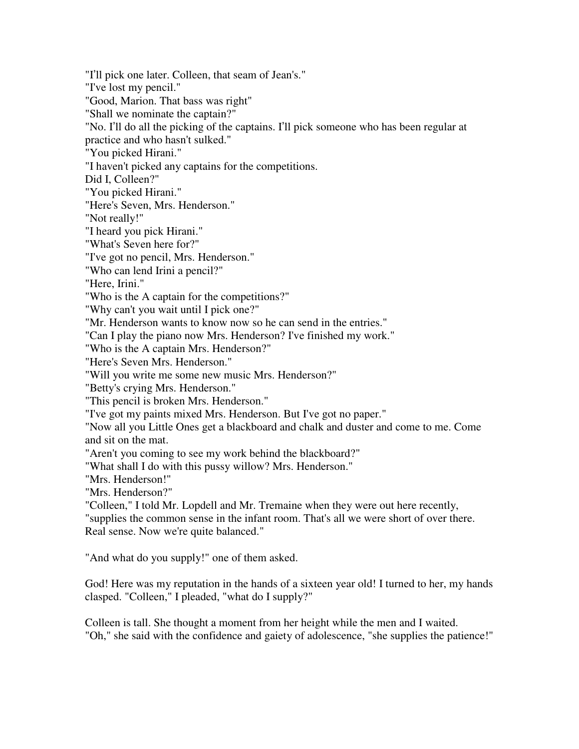"I'll pick one later. Colleen, that seam of Jean's." "I've lost my pencil." "Good, Marion. That bass was right" "Shall we nominate the captain?" "No. I'll do all the picking of the captains. I'll pick someone who has been regular at practice and who hasn't sulked." "You picked Hirani." "I haven't picked any captains for the competitions. Did I, Colleen?" "You picked Hirani." "Here's Seven, Mrs. Henderson." "Not really!" "I heard you pick Hirani." "What's Seven here for?" "I've got no pencil, Mrs. Henderson." "Who can lend Irini a pencil?" "Here, Irini." "Who is the A captain for the competitions?" "Why can't you wait until I pick one?" "Mr. Henderson wants to know now so he can send in the entries." "Can I play the piano now Mrs. Henderson? I've finished my work." "Who is the A captain Mrs. Henderson?" "Here's Seven Mrs. Henderson." "Will you write me some new music Mrs. Henderson?" "Betty's crying Mrs. Henderson." "This pencil is broken Mrs. Henderson." "I've got my paints mixed Mrs. Henderson. But I've got no paper." "Now all you Little Ones get a blackboard and chalk and duster and come to me. Come and sit on the mat. "Aren't you coming to see my work behind the blackboard?" "What shall I do with this pussy willow? Mrs. Henderson." "Mrs. Henderson!" "Mrs. Henderson?" "Colleen," I told Mr. Lopdell and Mr. Tremaine when they were out here recently, "supplies the common sense in the infant room. That's all we were short of over there.

Real sense. Now we're quite balanced."

"And what do you supply!" one of them asked.

God! Here was my reputation in the hands of a sixteen year old! I turned to her, my hands clasped. "Colleen," I pleaded, "what do I supply?"

Colleen is tall. She thought a moment from her height while the men and I waited. "Oh," she said with the confidence and gaiety of adolescence, "she supplies the patience!"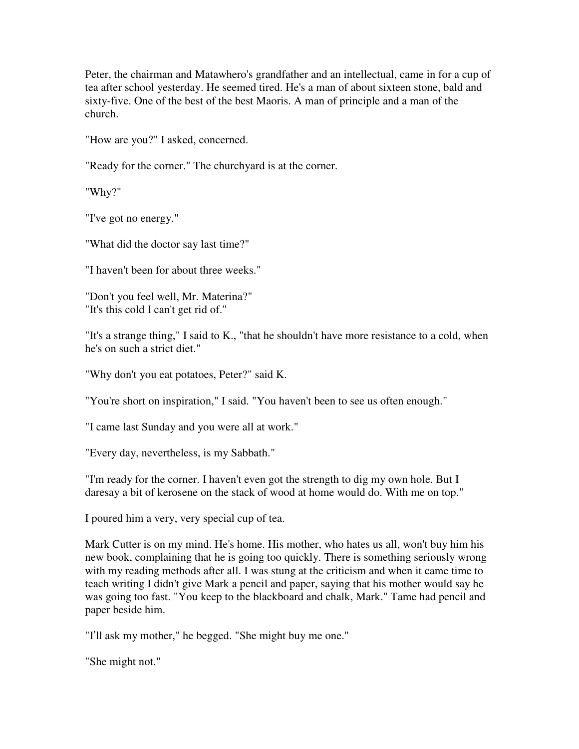Peter, the chairman and Matawhero's grandfather and an intellectual, came in for a cup of tea after school yesterday. He seemed tired. He's a man of about sixteen stone, bald and sixty-five. One of the best of the best Maoris. A man of principle and a man of the church.

"How are you?" I asked, concerned.

"Ready for the corner." The churchyard is at the corner.

"Why?"

"I've got no energy."

"What did the doctor say last time?"

"I haven't been for about three weeks."

"Don't you feel well, Mr. Materina?" "It's this cold I can't get rid of."

"It's a strange thing," I said to K., "that he shouldn't have more resistance to a cold, when he's on such a strict diet."

"Why don't you eat potatoes, Peter?" said K.

"You're short on inspiration," I said. "You haven't been to see us often enough."

"I came last Sunday and you were all at work."

"Every day, nevertheless, is my Sabbath."

"I'm ready for the corner. I haven't even got the strength to dig my own hole. But I daresay a bit of kerosene on the stack of wood at home would do. With me on top."

I poured him a very, very special cup of tea.

Mark Cutter is on my mind. He's home. His mother, who hates us all, won't buy him his new book, complaining that he is going too quickly. There is something seriously wrong with my reading methods after all. I was stung at the criticism and when it came time to teach writing I didn't give Mark a pencil and paper, saying that his mother would say he was going too fast. "You keep to the blackboard and chalk, Mark." Tame had pencil and paper beside him.

"I'll ask my mother," he begged. "She might buy me one."

"She might not."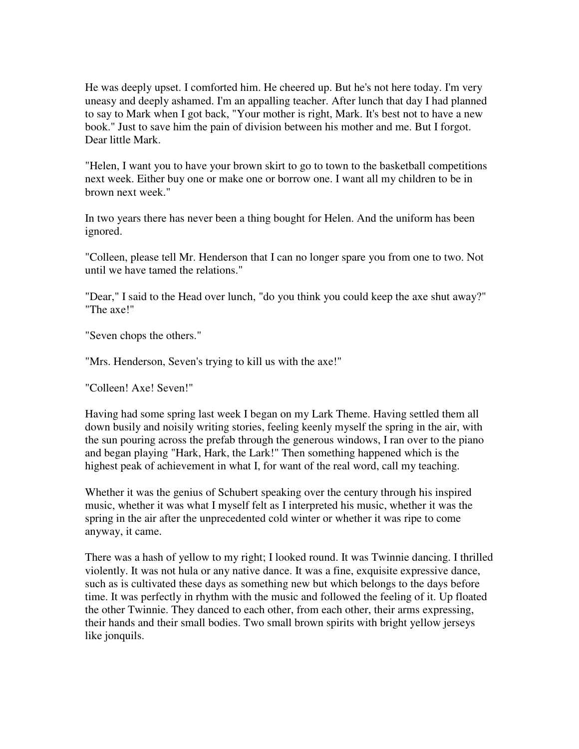He was deeply upset. I comforted him. He cheered up. But he's not here today. I'm very uneasy and deeply ashamed. I'm an appalling teacher. After lunch that day I had planned to say to Mark when I got back, "Your mother is right, Mark. It's best not to have a new book." Just to save him the pain of division between his mother and me. But I forgot. Dear little Mark.

"Helen, I want you to have your brown skirt to go to town to the basketball competitions next week. Either buy one or make one or borrow one. I want all my children to be in brown next week."

In two years there has never been a thing bought for Helen. And the uniform has been ignored.

"Colleen, please tell Mr. Henderson that I can no longer spare you from one to two. Not until we have tamed the relations."

"Dear," I said to the Head over lunch, "do you think you could keep the axe shut away?" "The axe!"

"Seven chops the others."

"Mrs. Henderson, Seven's trying to kill us with the axe!"

"Colleen! Axe! Seven!"

Having had some spring last week I began on my Lark Theme. Having settled them all down busily and noisily writing stories, feeling keenly myself the spring in the air, with the sun pouring across the prefab through the generous windows, I ran over to the piano and began playing "Hark, Hark, the Lark!" Then something happened which is the highest peak of achievement in what I, for want of the real word, call my teaching.

Whether it was the genius of Schubert speaking over the century through his inspired music, whether it was what I myself felt as I interpreted his music, whether it was the spring in the air after the unprecedented cold winter or whether it was ripe to come anyway, it came.

There was a hash of yellow to my right; I looked round. It was Twinnie dancing. I thrilled violently. It was not hula or any native dance. It was a fine, exquisite expressive dance, such as is cultivated these days as something new but which belongs to the days before time. It was perfectly in rhythm with the music and followed the feeling of it. Up floated the other Twinnie. They danced to each other, from each other, their arms expressing, their hands and their small bodies. Two small brown spirits with bright yellow jerseys like jonquils.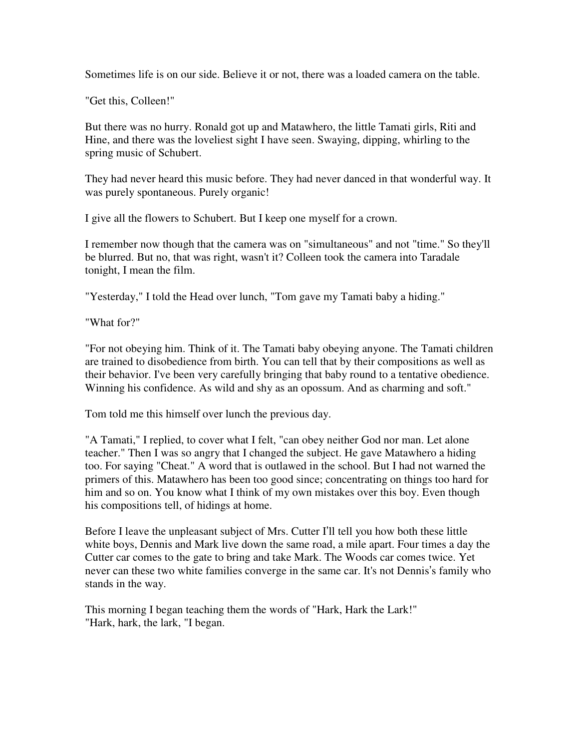Sometimes life is on our side. Believe it or not, there was a loaded camera on the table.

"Get this, Colleen!"

But there was no hurry. Ronald got up and Matawhero, the little Tamati girls, Riti and Hine, and there was the loveliest sight I have seen. Swaying, dipping, whirling to the spring music of Schubert.

They had never heard this music before. They had never danced in that wonderful way. It was purely spontaneous. Purely organic!

I give all the flowers to Schubert. But I keep one myself for a crown.

I remember now though that the camera was on "simultaneous" and not "time." So they'll be blurred. But no, that was right, wasn't it? Colleen took the camera into Taradale tonight, I mean the film.

"Yesterday," I told the Head over lunch, "Tom gave my Tamati baby a hiding."

"What for?"

"For not obeying him. Think of it. The Tamati baby obeying anyone. The Tamati children are trained to disobedience from birth. You can tell that by their compositions as well as their behavior. I've been very carefully bringing that baby round to a tentative obedience. Winning his confidence. As wild and shy as an opossum. And as charming and soft."

Tom told me this himself over lunch the previous day.

"A Tamati," I replied, to cover what I felt, "can obey neither God nor man. Let alone teacher." Then I was so angry that I changed the subject. He gave Matawhero a hiding too. For saying "Cheat." A word that is outlawed in the school. But I had not warned the primers of this. Matawhero has been too good since; concentrating on things too hard for him and so on. You know what I think of my own mistakes over this boy. Even though his compositions tell, of hidings at home.

Before I leave the unpleasant subject of Mrs. Cutter I'll tell you how both these little white boys, Dennis and Mark live down the same road, a mile apart. Four times a day the Cutter car comes to the gate to bring and take Mark. The Woods car comes twice. Yet never can these two white families converge in the same car. It's not Dennis's family who stands in the way.

This morning I began teaching them the words of "Hark, Hark the Lark!" "Hark, hark, the lark, "I began.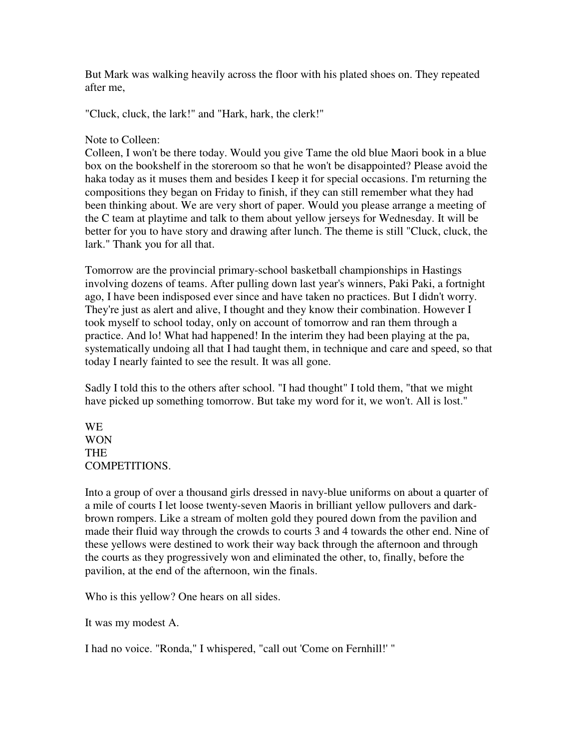But Mark was walking heavily across the floor with his plated shoes on. They repeated after me,

"Cluck, cluck, the lark!" and "Hark, hark, the clerk!"

#### Note to Colleen:

Colleen, I won't be there today. Would you give Tame the old blue Maori book in a blue box on the bookshelf in the storeroom so that he won't be disappointed? Please avoid the haka today as it muses them and besides I keep it for special occasions. I'm returning the compositions they began on Friday to finish, if they can still remember what they had been thinking about. We are very short of paper. Would you please arrange a meeting of the C team at playtime and talk to them about yellow jerseys for Wednesday. It will be better for you to have story and drawing after lunch. The theme is still "Cluck, cluck, the lark." Thank you for all that.

Tomorrow are the provincial primary-school basketball championships in Hastings involving dozens of teams. After pulling down last year's winners, Paki Paki, a fortnight ago, I have been indisposed ever since and have taken no practices. But I didn't worry. They're just as alert and alive, I thought and they know their combination. However I took myself to school today, only on account of tomorrow and ran them through a practice. And lo! What had happened! In the interim they had been playing at the pa, systematically undoing all that I had taught them, in technique and care and speed, so that today I nearly fainted to see the result. It was all gone.

Sadly I told this to the others after school. "I had thought" I told them, "that we might have picked up something tomorrow. But take my word for it, we won't. All is lost."

WE WON **THE** COMPETITIONS.

Into a group of over a thousand girls dressed in navy-blue uniforms on about a quarter of a mile of courts I let loose twenty-seven Maoris in brilliant yellow pullovers and darkbrown rompers. Like a stream of molten gold they poured down from the pavilion and made their fluid way through the crowds to courts 3 and 4 towards the other end. Nine of these yellows were destined to work their way back through the afternoon and through the courts as they progressively won and eliminated the other, to, finally, before the pavilion, at the end of the afternoon, win the finals.

Who is this yellow? One hears on all sides.

It was my modest A.

I had no voice. "Ronda," I whispered, "call out 'Come on Fernhill!' "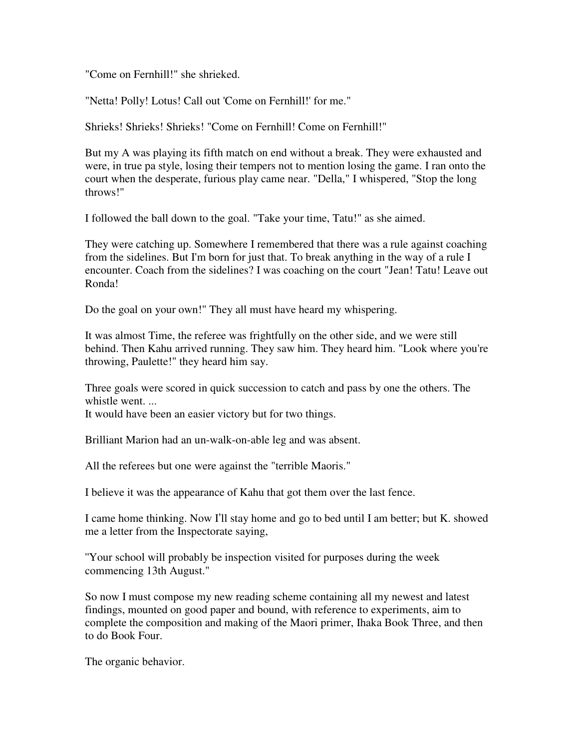"Come on Fernhill!" she shrieked.

"Netta! Polly! Lotus! Call out 'Come on Fernhill!' for me."

Shrieks! Shrieks! Shrieks! "Come on Fernhill! Come on Fernhill!"

But my A was playing its fifth match on end without a break. They were exhausted and were, in true pa style, losing their tempers not to mention losing the game. I ran onto the court when the desperate, furious play came near. "Della," I whispered, "Stop the long throws!"

I followed the ball down to the goal. "Take your time, Tatu!" as she aimed.

They were catching up. Somewhere I remembered that there was a rule against coaching from the sidelines. But I'm born for just that. To break anything in the way of a rule I encounter. Coach from the sidelines? I was coaching on the court "Jean! Tatu! Leave out Ronda!

Do the goal on your own!" They all must have heard my whispering.

It was almost Time, the referee was frightfully on the other side, and we were still behind. Then Kahu arrived running. They saw him. They heard him. "Look where you're throwing, Paulette!" they heard him say.

Three goals were scored in quick succession to catch and pass by one the others. The whistle went.

It would have been an easier victory but for two things.

Brilliant Marion had an un-walk-on-able leg and was absent.

All the referees but one were against the "terrible Maoris."

I believe it was the appearance of Kahu that got them over the last fence.

I came home thinking. Now I'll stay home and go to bed until I am better; but K. showed me a letter from the Inspectorate saying,

''Your school will probably be inspection visited for purposes during the week commencing 13th August."

So now I must compose my new reading scheme containing all my newest and latest findings, mounted on good paper and bound, with reference to experiments, aim to complete the composition and making of the Maori primer, Ihaka Book Three, and then to do Book Four.

The organic behavior.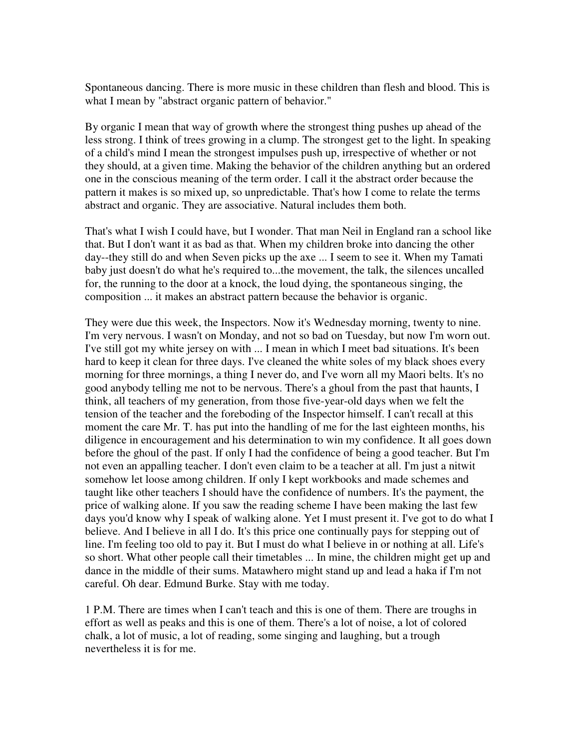Spontaneous dancing. There is more music in these children than flesh and blood. This is what I mean by "abstract organic pattern of behavior."

By organic I mean that way of growth where the strongest thing pushes up ahead of the less strong. I think of trees growing in a clump. The strongest get to the light. In speaking of a child's mind I mean the strongest impulses push up, irrespective of whether or not they should, at a given time. Making the behavior of the children anything but an ordered one in the conscious meaning of the term order. I call it the abstract order because the pattern it makes is so mixed up, so unpredictable. That's how I come to relate the terms abstract and organic. They are associative. Natural includes them both.

That's what I wish I could have, but I wonder. That man Neil in England ran a school like that. But I don't want it as bad as that. When my children broke into dancing the other day--they still do and when Seven picks up the axe ... I seem to see it. When my Tamati baby just doesn't do what he's required to...the movement, the talk, the silences uncalled for, the running to the door at a knock, the loud dying, the spontaneous singing, the composition ... it makes an abstract pattern because the behavior is organic.

They were due this week, the Inspectors. Now it's Wednesday morning, twenty to nine. I'm very nervous. I wasn't on Monday, and not so bad on Tuesday, but now I'm worn out. I've still got my white jersey on with ... I mean in which I meet bad situations. It's been hard to keep it clean for three days. I've cleaned the white soles of my black shoes every morning for three mornings, a thing I never do, and I've worn all my Maori belts. It's no good anybody telling me not to be nervous. There's a ghoul from the past that haunts, I think, all teachers of my generation, from those five-year-old days when we felt the tension of the teacher and the foreboding of the Inspector himself. I can't recall at this moment the care Mr. T. has put into the handling of me for the last eighteen months, his diligence in encouragement and his determination to win my confidence. It all goes down before the ghoul of the past. If only I had the confidence of being a good teacher. But I'm not even an appalling teacher. I don't even claim to be a teacher at all. I'm just a nitwit somehow let loose among children. If only I kept workbooks and made schemes and taught like other teachers I should have the confidence of numbers. It's the payment, the price of walking alone. If you saw the reading scheme I have been making the last few days you'd know why I speak of walking alone. Yet I must present it. I've got to do what I believe. And I believe in all I do. It's this price one continually pays for stepping out of line. I'm feeling too old to pay it. But I must do what I believe in or nothing at all. Life's so short. What other people call their timetables ... In mine, the children might get up and dance in the middle of their sums. Matawhero might stand up and lead a haka if I'm not careful. Oh dear. Edmund Burke. Stay with me today.

1 P.M. There are times when I can't teach and this is one of them. There are troughs in effort as well as peaks and this is one of them. There's a lot of noise, a lot of colored chalk, a lot of music, a lot of reading, some singing and laughing, but a trough nevertheless it is for me.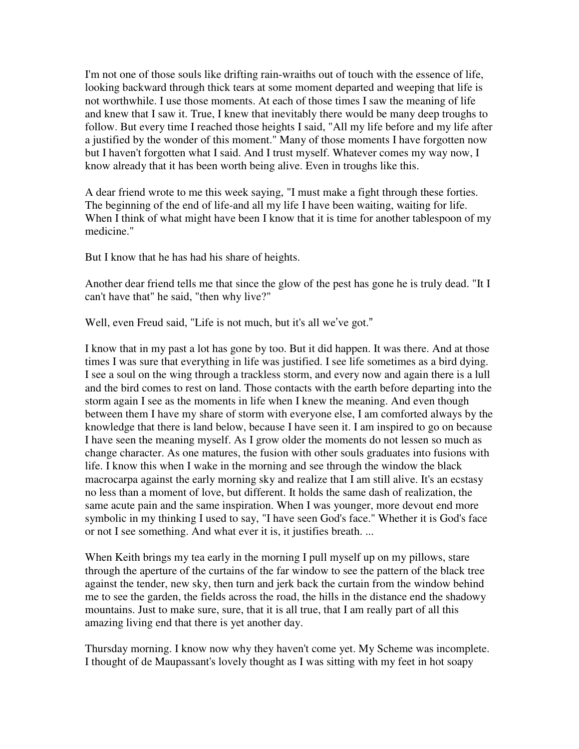I'm not one of those souls like drifting rain-wraiths out of touch with the essence of life, looking backward through thick tears at some moment departed and weeping that life is not worthwhile. I use those moments. At each of those times I saw the meaning of life and knew that I saw it. True, I knew that inevitably there would be many deep troughs to follow. But every time I reached those heights I said, "All my life before and my life after a justified by the wonder of this moment." Many of those moments I have forgotten now but I haven't forgotten what I said. And I trust myself. Whatever comes my way now, I know already that it has been worth being alive. Even in troughs like this.

A dear friend wrote to me this week saying, "I must make a fight through these forties. The beginning of the end of life-and all my life I have been waiting, waiting for life. When I think of what might have been I know that it is time for another tablespoon of my medicine."

But I know that he has had his share of heights.

Another dear friend tells me that since the glow of the pest has gone he is truly dead. "It I can't have that" he said, "then why live?"

Well, even Freud said, "Life is not much, but it's all we've got."

I know that in my past a lot has gone by too. But it did happen. It was there. And at those times I was sure that everything in life was justified. I see life sometimes as a bird dying. I see a soul on the wing through a trackless storm, and every now and again there is a lull and the bird comes to rest on land. Those contacts with the earth before departing into the storm again I see as the moments in life when I knew the meaning. And even though between them I have my share of storm with everyone else, I am comforted always by the knowledge that there is land below, because I have seen it. I am inspired to go on because I have seen the meaning myself. As I grow older the moments do not lessen so much as change character. As one matures, the fusion with other souls graduates into fusions with life. I know this when I wake in the morning and see through the window the black macrocarpa against the early morning sky and realize that I am still alive. It's an ecstasy no less than a moment of love, but different. It holds the same dash of realization, the same acute pain and the same inspiration. When I was younger, more devout end more symbolic in my thinking I used to say, "I have seen God's face." Whether it is God's face or not I see something. And what ever it is, it justifies breath. ...

When Keith brings my tea early in the morning I pull myself up on my pillows, stare through the aperture of the curtains of the far window to see the pattern of the black tree against the tender, new sky, then turn and jerk back the curtain from the window behind me to see the garden, the fields across the road, the hills in the distance end the shadowy mountains. Just to make sure, sure, that it is all true, that I am really part of all this amazing living end that there is yet another day.

Thursday morning. I know now why they haven't come yet. My Scheme was incomplete. I thought of de Maupassant's lovely thought as I was sitting with my feet in hot soapy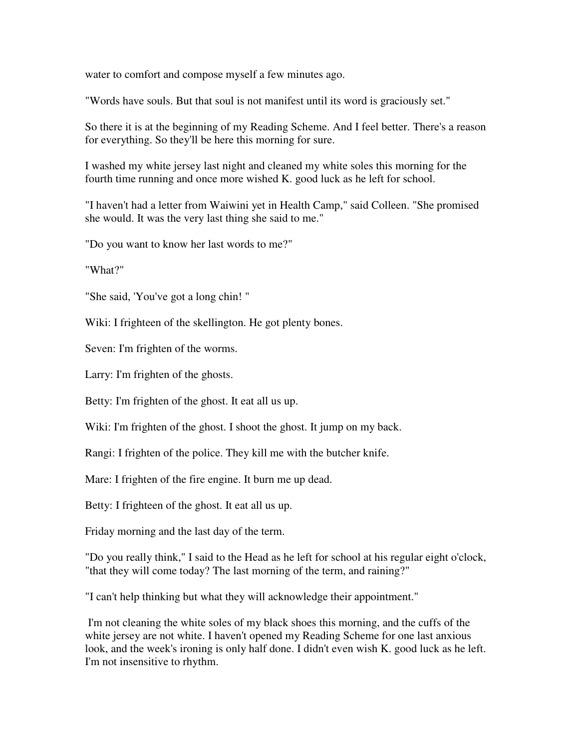water to comfort and compose myself a few minutes ago.

"Words have souls. But that soul is not manifest until its word is graciously set."

So there it is at the beginning of my Reading Scheme. And I feel better. There's a reason for everything. So they'll be here this morning for sure.

I washed my white jersey last night and cleaned my white soles this morning for the fourth time running and once more wished K. good luck as he left for school.

"I haven't had a letter from Waiwini yet in Health Camp," said Colleen. "She promised she would. It was the very last thing she said to me."

"Do you want to know her last words to me?"

"What?"

"She said, 'You've got a long chin! "

Wiki: I frighteen of the skellington. He got plenty bones.

Seven: I'm frighten of the worms.

Larry: I'm frighten of the ghosts.

Betty: I'm frighten of the ghost. It eat all us up.

Wiki: I'm frighten of the ghost. I shoot the ghost. It jump on my back.

Rangi: I frighten of the police. They kill me with the butcher knife.

Mare: I frighten of the fire engine. It burn me up dead.

Betty: I frighteen of the ghost. It eat all us up.

Friday morning and the last day of the term.

"Do you really think," I said to the Head as he left for school at his regular eight o'clock, "that they will come today? The last morning of the term, and raining?"

"I can't help thinking but what they will acknowledge their appointment."

 I'm not cleaning the white soles of my black shoes this morning, and the cuffs of the white jersey are not white. I haven't opened my Reading Scheme for one last anxious look, and the week's ironing is only half done. I didn't even wish K. good luck as he left. I'm not insensitive to rhythm.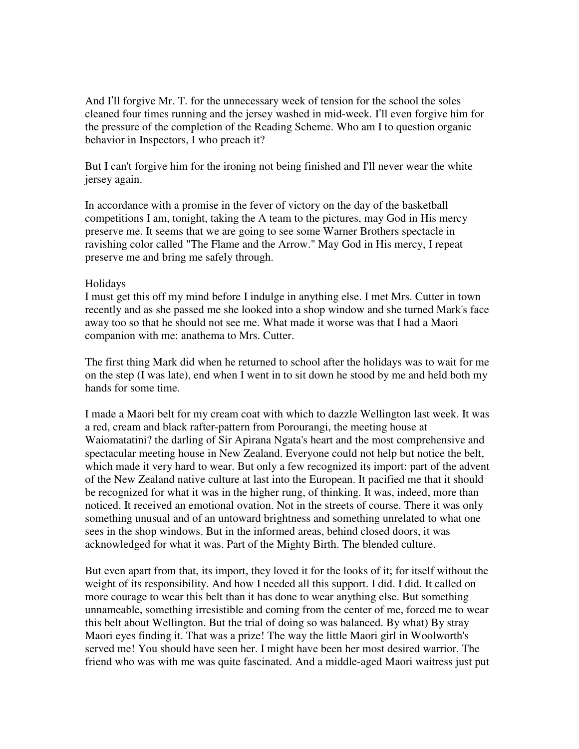And I'll forgive Mr. T. for the unnecessary week of tension for the school the soles cleaned four times running and the jersey washed in mid-week. I'll even forgive him for the pressure of the completion of the Reading Scheme. Who am I to question organic behavior in Inspectors, I who preach it?

But I can't forgive him for the ironing not being finished and I'll never wear the white jersey again.

In accordance with a promise in the fever of victory on the day of the basketball competitions I am, tonight, taking the A team to the pictures, may God in His mercy preserve me. It seems that we are going to see some Warner Brothers spectacle in ravishing color called "The Flame and the Arrow." May God in His mercy, I repeat preserve me and bring me safely through.

#### Holidays

I must get this off my mind before I indulge in anything else. I met Mrs. Cutter in town recently and as she passed me she looked into a shop window and she turned Mark's face away too so that he should not see me. What made it worse was that I had a Maori companion with me: anathema to Mrs. Cutter.

The first thing Mark did when he returned to school after the holidays was to wait for me on the step (I was late), end when I went in to sit down he stood by me and held both my hands for some time.

I made a Maori belt for my cream coat with which to dazzle Wellington last week. It was a red, cream and black rafter-pattern from Porourangi, the meeting house at Waiomatatini? the darling of Sir Apirana Ngata's heart and the most comprehensive and spectacular meeting house in New Zealand. Everyone could not help but notice the belt, which made it very hard to wear. But only a few recognized its import: part of the advent of the New Zealand native culture at last into the European. It pacified me that it should be recognized for what it was in the higher rung, of thinking. It was, indeed, more than noticed. It received an emotional ovation. Not in the streets of course. There it was only something unusual and of an untoward brightness and something unrelated to what one sees in the shop windows. But in the informed areas, behind closed doors, it was acknowledged for what it was. Part of the Mighty Birth. The blended culture.

But even apart from that, its import, they loved it for the looks of it; for itself without the weight of its responsibility. And how I needed all this support. I did. I did. It called on more courage to wear this belt than it has done to wear anything else. But something unnameable, something irresistible and coming from the center of me, forced me to wear this belt about Wellington. But the trial of doing so was balanced. By what) By stray Maori eyes finding it. That was a prize! The way the little Maori girl in Woolworth's served me! You should have seen her. I might have been her most desired warrior. The friend who was with me was quite fascinated. And a middle-aged Maori waitress just put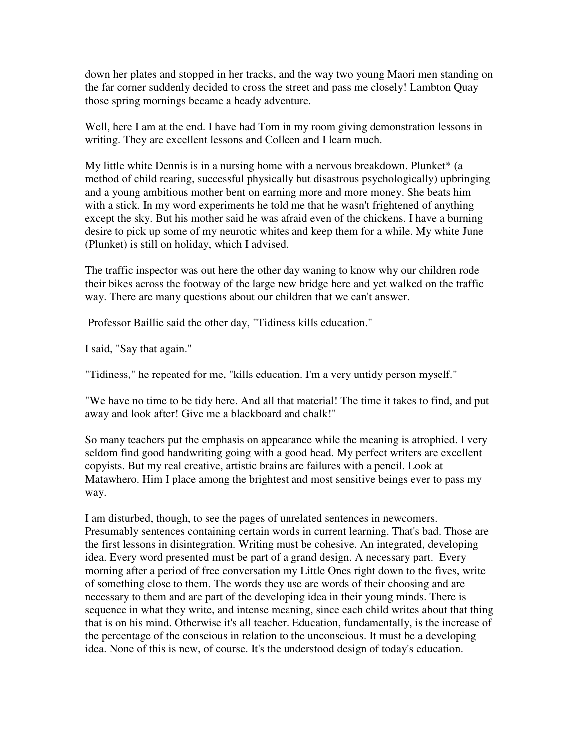down her plates and stopped in her tracks, and the way two young Maori men standing on the far corner suddenly decided to cross the street and pass me closely! Lambton Quay those spring mornings became a heady adventure.

Well, here I am at the end. I have had Tom in my room giving demonstration lessons in writing. They are excellent lessons and Colleen and I learn much.

My little white Dennis is in a nursing home with a nervous breakdown. Plunket\* (a method of child rearing, successful physically but disastrous psychologically) upbringing and a young ambitious mother bent on earning more and more money. She beats him with a stick. In my word experiments he told me that he wasn't frightened of anything except the sky. But his mother said he was afraid even of the chickens. I have a burning desire to pick up some of my neurotic whites and keep them for a while. My white June (Plunket) is still on holiday, which I advised.

The traffic inspector was out here the other day waning to know why our children rode their bikes across the footway of the large new bridge here and yet walked on the traffic way. There are many questions about our children that we can't answer.

Professor Baillie said the other day, "Tidiness kills education."

I said, "Say that again."

"Tidiness," he repeated for me, "kills education. I'm a very untidy person myself."

"We have no time to be tidy here. And all that material! The time it takes to find, and put away and look after! Give me a blackboard and chalk!"

So many teachers put the emphasis on appearance while the meaning is atrophied. I very seldom find good handwriting going with a good head. My perfect writers are excellent copyists. But my real creative, artistic brains are failures with a pencil. Look at Matawhero. Him I place among the brightest and most sensitive beings ever to pass my way.

I am disturbed, though, to see the pages of unrelated sentences in newcomers. Presumably sentences containing certain words in current learning. That's bad. Those are the first lessons in disintegration. Writing must be cohesive. An integrated, developing idea. Every word presented must be part of a grand design. A necessary part. Every morning after a period of free conversation my Little Ones right down to the fives, write of something close to them. The words they use are words of their choosing and are necessary to them and are part of the developing idea in their young minds. There is sequence in what they write, and intense meaning, since each child writes about that thing that is on his mind. Otherwise it's all teacher. Education, fundamentally, is the increase of the percentage of the conscious in relation to the unconscious. It must be a developing idea. None of this is new, of course. It's the understood design of today's education.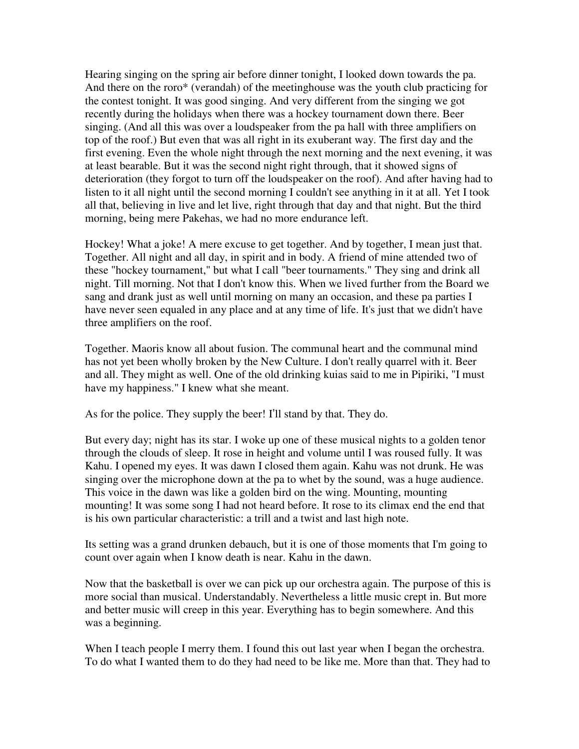Hearing singing on the spring air before dinner tonight, I looked down towards the pa. And there on the roro\* (verandah) of the meetinghouse was the youth club practicing for the contest tonight. It was good singing. And very different from the singing we got recently during the holidays when there was a hockey tournament down there. Beer singing. (And all this was over a loudspeaker from the pa hall with three amplifiers on top of the roof.) But even that was all right in its exuberant way. The first day and the first evening. Even the whole night through the next morning and the next evening, it was at least bearable. But it was the second night right through, that it showed signs of deterioration (they forgot to turn off the loudspeaker on the roof). And after having had to listen to it all night until the second morning I couldn't see anything in it at all. Yet I took all that, believing in live and let live, right through that day and that night. But the third morning, being mere Pakehas, we had no more endurance left.

Hockey! What a joke! A mere excuse to get together. And by together, I mean just that. Together. All night and all day, in spirit and in body. A friend of mine attended two of these "hockey tournament," but what I call "beer tournaments." They sing and drink all night. Till morning. Not that I don't know this. When we lived further from the Board we sang and drank just as well until morning on many an occasion, and these pa parties I have never seen equaled in any place and at any time of life. It's just that we didn't have three amplifiers on the roof.

Together. Maoris know all about fusion. The communal heart and the communal mind has not yet been wholly broken by the New Culture. I don't really quarrel with it. Beer and all. They might as well. One of the old drinking kuias said to me in Pipiriki, "I must have my happiness." I knew what she meant.

As for the police. They supply the beer! I'll stand by that. They do.

But every day; night has its star. I woke up one of these musical nights to a golden tenor through the clouds of sleep. It rose in height and volume until I was roused fully. It was Kahu. I opened my eyes. It was dawn I closed them again. Kahu was not drunk. He was singing over the microphone down at the pa to whet by the sound, was a huge audience. This voice in the dawn was like a golden bird on the wing. Mounting, mounting mounting! It was some song I had not heard before. It rose to its climax end the end that is his own particular characteristic: a trill and a twist and last high note.

Its setting was a grand drunken debauch, but it is one of those moments that I'm going to count over again when I know death is near. Kahu in the dawn.

Now that the basketball is over we can pick up our orchestra again. The purpose of this is more social than musical. Understandably. Nevertheless a little music crept in. But more and better music will creep in this year. Everything has to begin somewhere. And this was a beginning.

When I teach people I merry them. I found this out last year when I began the orchestra. To do what I wanted them to do they had need to be like me. More than that. They had to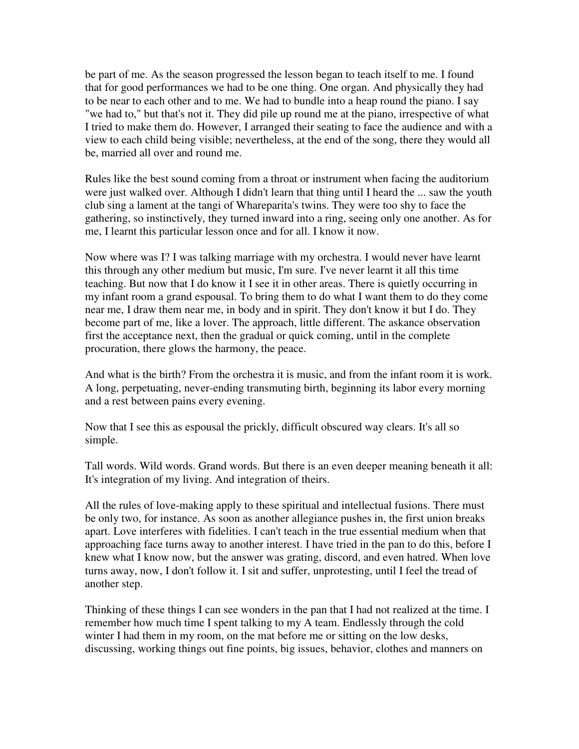be part of me. As the season progressed the lesson began to teach itself to me. I found that for good performances we had to be one thing. One organ. And physically they had to be near to each other and to me. We had to bundle into a heap round the piano. I say "we had to," but that's not it. They did pile up round me at the piano, irrespective of what I tried to make them do. However, I arranged their seating to face the audience and with a view to each child being visible; nevertheless, at the end of the song, there they would all be, married all over and round me.

Rules like the best sound coming from a throat or instrument when facing the auditorium were just walked over. Although I didn't learn that thing until I heard the ... saw the youth club sing a lament at the tangi of Whareparita's twins. They were too shy to face the gathering, so instinctively, they turned inward into a ring, seeing only one another. As for me, I learnt this particular lesson once and for all. I know it now.

Now where was I? I was talking marriage with my orchestra. I would never have learnt this through any other medium but music, I'm sure. I've never learnt it all this time teaching. But now that I do know it I see it in other areas. There is quietly occurring in my infant room a grand espousal. To bring them to do what I want them to do they come near me, I draw them near me, in body and in spirit. They don't know it but I do. They become part of me, like a lover. The approach, little different. The askance observation first the acceptance next, then the gradual or quick coming, until in the complete procuration, there glows the harmony, the peace.

And what is the birth? From the orchestra it is music, and from the infant room it is work. A long, perpetuating, never-ending transmuting birth, beginning its labor every morning and a rest between pains every evening.

Now that I see this as espousal the prickly, difficult obscured way clears. It's all so simple.

Tall words. Wild words. Grand words. But there is an even deeper meaning beneath it all: It's integration of my living. And integration of theirs.

All the rules of love-making apply to these spiritual and intellectual fusions. There must be only two, for instance. As soon as another allegiance pushes in, the first union breaks apart. Love interferes with fidelities. I can't teach in the true essential medium when that approaching face turns away to another interest. I have tried in the pan to do this, before I knew what I know now, but the answer was grating, discord, and even hatred. When love turns away, now, I don't follow it. I sit and suffer, unprotesting, until I feel the tread of another step.

Thinking of these things I can see wonders in the pan that I had not realized at the time. I remember how much time I spent talking to my A team. Endlessly through the cold winter I had them in my room, on the mat before me or sitting on the low desks, discussing, working things out fine points, big issues, behavior, clothes and manners on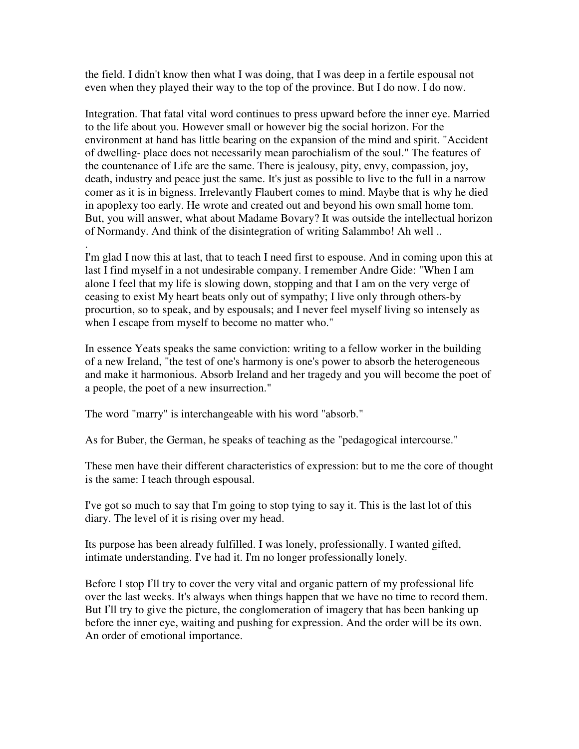the field. I didn't know then what I was doing, that I was deep in a fertile espousal not even when they played their way to the top of the province. But I do now. I do now.

Integration. That fatal vital word continues to press upward before the inner eye. Married to the life about you. However small or however big the social horizon. For the environment at hand has little bearing on the expansion of the mind and spirit. "Accident of dwelling- place does not necessarily mean parochialism of the soul." The features of the countenance of Life are the same. There is jealousy, pity, envy, compassion, joy, death, industry and peace just the same. It's just as possible to live to the full in a narrow comer as it is in bigness. Irrelevantly Flaubert comes to mind. Maybe that is why he died in apoplexy too early. He wrote and created out and beyond his own small home tom. But, you will answer, what about Madame Bovary? It was outside the intellectual horizon of Normandy. And think of the disintegration of writing Salammbo! Ah well ..

I'm glad I now this at last, that to teach I need first to espouse. And in coming upon this at last I find myself in a not undesirable company. I remember Andre Gide: "When I am alone I feel that my life is slowing down, stopping and that I am on the very verge of ceasing to exist My heart beats only out of sympathy; I live only through others-by procurtion, so to speak, and by espousals; and I never feel myself living so intensely as when I escape from myself to become no matter who."

In essence Yeats speaks the same conviction: writing to a fellow worker in the building of a new Ireland, "the test of one's harmony is one's power to absorb the heterogeneous and make it harmonious. Absorb Ireland and her tragedy and you will become the poet of a people, the poet of a new insurrection."

The word "marry" is interchangeable with his word "absorb."

.

As for Buber, the German, he speaks of teaching as the "pedagogical intercourse."

These men have their different characteristics of expression: but to me the core of thought is the same: I teach through espousal.

I've got so much to say that I'm going to stop tying to say it. This is the last lot of this diary. The level of it is rising over my head.

Its purpose has been already fulfilled. I was lonely, professionally. I wanted gifted, intimate understanding. I've had it. I'm no longer professionally lonely.

Before I stop I'll try to cover the very vital and organic pattern of my professional life over the last weeks. It's always when things happen that we have no time to record them. But I'll try to give the picture, the conglomeration of imagery that has been banking up before the inner eye, waiting and pushing for expression. And the order will be its own. An order of emotional importance.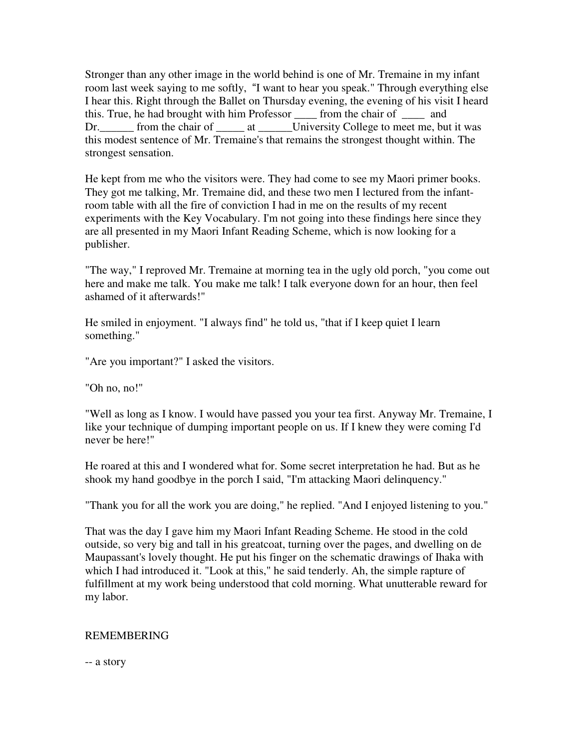Stronger than any other image in the world behind is one of Mr. Tremaine in my infant room last week saying to me softly, "I want to hear you speak." Through everything else I hear this. Right through the Ballet on Thursday evening, the evening of his visit I heard this. True, he had brought with him Professor \_\_\_\_ from the chair of \_\_\_\_ and Dr. from the chair of \_\_\_\_\_ at \_\_\_\_\_\_University College to meet me, but it was this modest sentence of Mr. Tremaine's that remains the strongest thought within. The strongest sensation.

He kept from me who the visitors were. They had come to see my Maori primer books. They got me talking, Mr. Tremaine did, and these two men I lectured from the infantroom table with all the fire of conviction I had in me on the results of my recent experiments with the Key Vocabulary. I'm not going into these findings here since they are all presented in my Maori Infant Reading Scheme, which is now looking for a publisher.

"The way," I reproved Mr. Tremaine at morning tea in the ugly old porch, "you come out here and make me talk. You make me talk! I talk everyone down for an hour, then feel ashamed of it afterwards!"

He smiled in enjoyment. "I always find" he told us, "that if I keep quiet I learn something."

"Are you important?" I asked the visitors.

"Oh no, no!"

"Well as long as I know. I would have passed you your tea first. Anyway Mr. Tremaine, I like your technique of dumping important people on us. If I knew they were coming I'd never be here!"

He roared at this and I wondered what for. Some secret interpretation he had. But as he shook my hand goodbye in the porch I said, "I'm attacking Maori delinquency."

"Thank you for all the work you are doing," he replied. "And I enjoyed listening to you."

That was the day I gave him my Maori Infant Reading Scheme. He stood in the cold outside, so very big and tall in his greatcoat, turning over the pages, and dwelling on de Maupassant's lovely thought. He put his finger on the schematic drawings of Ihaka with which I had introduced it. "Look at this," he said tenderly. Ah, the simple rapture of fulfillment at my work being understood that cold morning. What unutterable reward for my labor.

## REMEMBERING

-- a story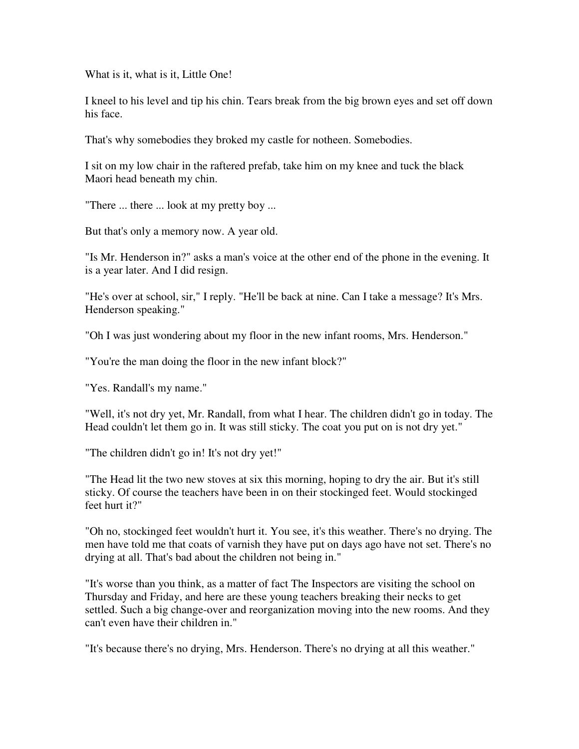What is it, what is it, Little One!

I kneel to his level and tip his chin. Tears break from the big brown eyes and set off down his face.

That's why somebodies they broked my castle for notheen. Somebodies.

I sit on my low chair in the raftered prefab, take him on my knee and tuck the black Maori head beneath my chin.

"There ... there ... look at my pretty boy ...

But that's only a memory now. A year old.

"Is Mr. Henderson in?" asks a man's voice at the other end of the phone in the evening. It is a year later. And I did resign.

"He's over at school, sir," I reply. "He'll be back at nine. Can I take a message? It's Mrs. Henderson speaking."

"Oh I was just wondering about my floor in the new infant rooms, Mrs. Henderson."

"You're the man doing the floor in the new infant block?"

"Yes. Randall's my name."

"Well, it's not dry yet, Mr. Randall, from what I hear. The children didn't go in today. The Head couldn't let them go in. It was still sticky. The coat you put on is not dry yet."

"The children didn't go in! It's not dry yet!"

"The Head lit the two new stoves at six this morning, hoping to dry the air. But it's still sticky. Of course the teachers have been in on their stockinged feet. Would stockinged feet hurt it?"

"Oh no, stockinged feet wouldn't hurt it. You see, it's this weather. There's no drying. The men have told me that coats of varnish they have put on days ago have not set. There's no drying at all. That's bad about the children not being in."

"It's worse than you think, as a matter of fact The Inspectors are visiting the school on Thursday and Friday, and here are these young teachers breaking their necks to get settled. Such a big change-over and reorganization moving into the new rooms. And they can't even have their children in."

"It's because there's no drying, Mrs. Henderson. There's no drying at all this weather."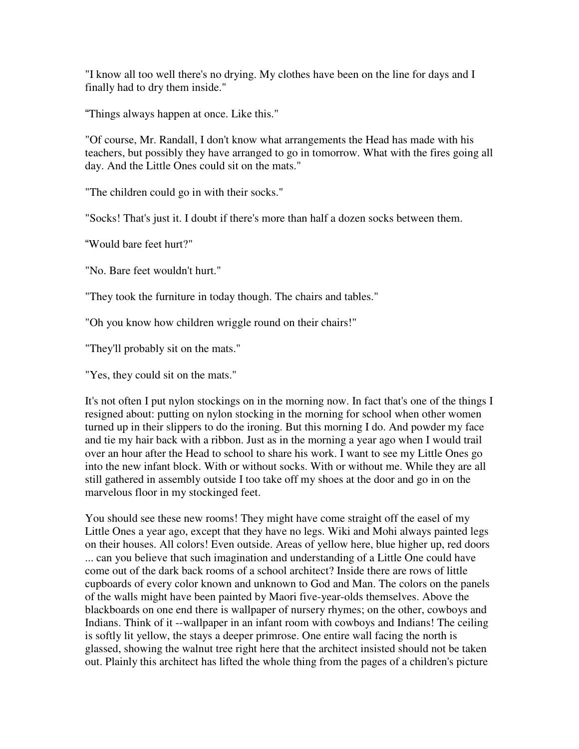"I know all too well there's no drying. My clothes have been on the line for days and I finally had to dry them inside."

"Things always happen at once. Like this."

"Of course, Mr. Randall, I don't know what arrangements the Head has made with his teachers, but possibly they have arranged to go in tomorrow. What with the fires going all day. And the Little Ones could sit on the mats."

"The children could go in with their socks."

"Socks! That's just it. I doubt if there's more than half a dozen socks between them.

"Would bare feet hurt?"

"No. Bare feet wouldn't hurt."

"They took the furniture in today though. The chairs and tables."

"Oh you know how children wriggle round on their chairs!"

"They'll probably sit on the mats."

"Yes, they could sit on the mats."

It's not often I put nylon stockings on in the morning now. In fact that's one of the things I resigned about: putting on nylon stocking in the morning for school when other women turned up in their slippers to do the ironing. But this morning I do. And powder my face and tie my hair back with a ribbon. Just as in the morning a year ago when I would trail over an hour after the Head to school to share his work. I want to see my Little Ones go into the new infant block. With or without socks. With or without me. While they are all still gathered in assembly outside I too take off my shoes at the door and go in on the marvelous floor in my stockinged feet.

You should see these new rooms! They might have come straight off the easel of my Little Ones a year ago, except that they have no legs. Wiki and Mohi always painted legs on their houses. All colors! Even outside. Areas of yellow here, blue higher up, red doors ... can you believe that such imagination and understanding of a Little One could have come out of the dark back rooms of a school architect? Inside there are rows of little cupboards of every color known and unknown to God and Man. The colors on the panels of the walls might have been painted by Maori five-year-olds themselves. Above the blackboards on one end there is wallpaper of nursery rhymes; on the other, cowboys and Indians. Think of it --wallpaper in an infant room with cowboys and Indians! The ceiling is softly lit yellow, the stays a deeper primrose. One entire wall facing the north is glassed, showing the walnut tree right here that the architect insisted should not be taken out. Plainly this architect has lifted the whole thing from the pages of a children's picture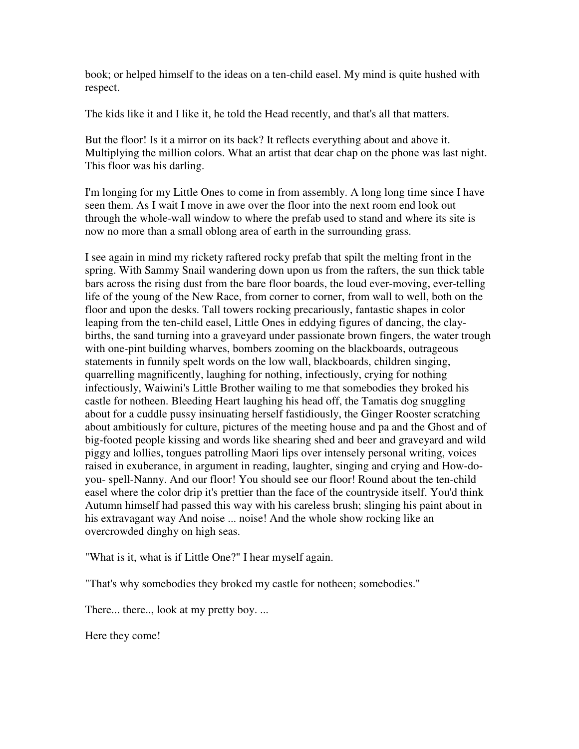book; or helped himself to the ideas on a ten-child easel. My mind is quite hushed with respect.

The kids like it and I like it, he told the Head recently, and that's all that matters.

But the floor! Is it a mirror on its back? It reflects everything about and above it. Multiplying the million colors. What an artist that dear chap on the phone was last night. This floor was his darling.

I'm longing for my Little Ones to come in from assembly. A long long time since I have seen them. As I wait I move in awe over the floor into the next room end look out through the whole-wall window to where the prefab used to stand and where its site is now no more than a small oblong area of earth in the surrounding grass.

I see again in mind my rickety raftered rocky prefab that spilt the melting front in the spring. With Sammy Snail wandering down upon us from the rafters, the sun thick table bars across the rising dust from the bare floor boards, the loud ever-moving, ever-telling life of the young of the New Race, from corner to corner, from wall to well, both on the floor and upon the desks. Tall towers rocking precariously, fantastic shapes in color leaping from the ten-child easel, Little Ones in eddying figures of dancing, the claybirths, the sand turning into a graveyard under passionate brown fingers, the water trough with one-pint building wharves, bombers zooming on the blackboards, outrageous statements in funnily spelt words on the low wall, blackboards, children singing, quarrelling magnificently, laughing for nothing, infectiously, crying for nothing infectiously, Waiwini's Little Brother wailing to me that somebodies they broked his castle for notheen. Bleeding Heart laughing his head off, the Tamatis dog snuggling about for a cuddle pussy insinuating herself fastidiously, the Ginger Rooster scratching about ambitiously for culture, pictures of the meeting house and pa and the Ghost and of big-footed people kissing and words like shearing shed and beer and graveyard and wild piggy and lollies, tongues patrolling Maori lips over intensely personal writing, voices raised in exuberance, in argument in reading, laughter, singing and crying and How-doyou- spell-Nanny. And our floor! You should see our floor! Round about the ten-child easel where the color drip it's prettier than the face of the countryside itself. You'd think Autumn himself had passed this way with his careless brush; slinging his paint about in his extravagant way And noise ... noise! And the whole show rocking like an overcrowded dinghy on high seas.

"What is it, what is if Little One?" I hear myself again.

"That's why somebodies they broked my castle for notheen; somebodies."

There... there..., look at my pretty boy. ...

Here they come!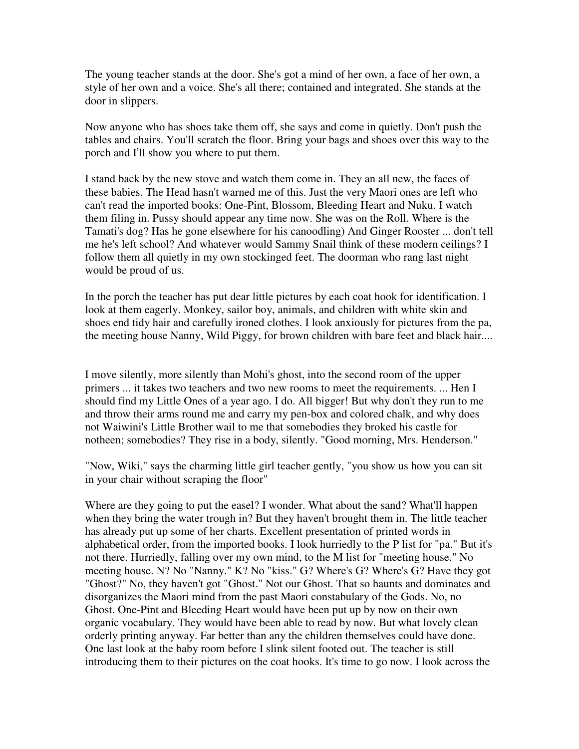The young teacher stands at the door. She's got a mind of her own, a face of her own, a style of her own and a voice. She's all there; contained and integrated. She stands at the door in slippers.

Now anyone who has shoes take them off, she says and come in quietly. Don't push the tables and chairs. You'll scratch the floor. Bring your bags and shoes over this way to the porch and I'll show you where to put them.

I stand back by the new stove and watch them come in. They an all new, the faces of these babies. The Head hasn't warned me of this. Just the very Maori ones are left who can't read the imported books: One-Pint, Blossom, Bleeding Heart and Nuku. I watch them filing in. Pussy should appear any time now. She was on the Roll. Where is the Tamati's dog? Has he gone elsewhere for his canoodling) And Ginger Rooster ... don't tell me he's left school? And whatever would Sammy Snail think of these modern ceilings? I follow them all quietly in my own stockinged feet. The doorman who rang last night would be proud of us.

In the porch the teacher has put dear little pictures by each coat hook for identification. I look at them eagerly. Monkey, sailor boy, animals, and children with white skin and shoes end tidy hair and carefully ironed clothes. I look anxiously for pictures from the pa, the meeting house Nanny, Wild Piggy, for brown children with bare feet and black hair....

I move silently, more silently than Mohi's ghost, into the second room of the upper primers ... it takes two teachers and two new rooms to meet the requirements. ... Hen I should find my Little Ones of a year ago. I do. All bigger! But why don't they run to me and throw their arms round me and carry my pen-box and colored chalk, and why does not Waiwini's Little Brother wail to me that somebodies they broked his castle for notheen; somebodies? They rise in a body, silently. "Good morning, Mrs. Henderson."

"Now, Wiki," says the charming little girl teacher gently, "you show us how you can sit in your chair without scraping the floor"

Where are they going to put the easel? I wonder. What about the sand? What'll happen when they bring the water trough in? But they haven't brought them in. The little teacher has already put up some of her charts. Excellent presentation of printed words in alphabetical order, from the imported books. I look hurriedly to the P list for "pa." But it's not there. Hurriedly, falling over my own mind, to the M list for "meeting house." No meeting house. N? No "Nanny." K? No "kiss." G? Where's G? Where's G? Have they got "Ghost?" No, they haven't got "Ghost." Not our Ghost. That so haunts and dominates and disorganizes the Maori mind from the past Maori constabulary of the Gods. No, no Ghost. One-Pint and Bleeding Heart would have been put up by now on their own organic vocabulary. They would have been able to read by now. But what lovely clean orderly printing anyway. Far better than any the children themselves could have done. One last look at the baby room before I slink silent footed out. The teacher is still introducing them to their pictures on the coat hooks. It's time to go now. I look across the